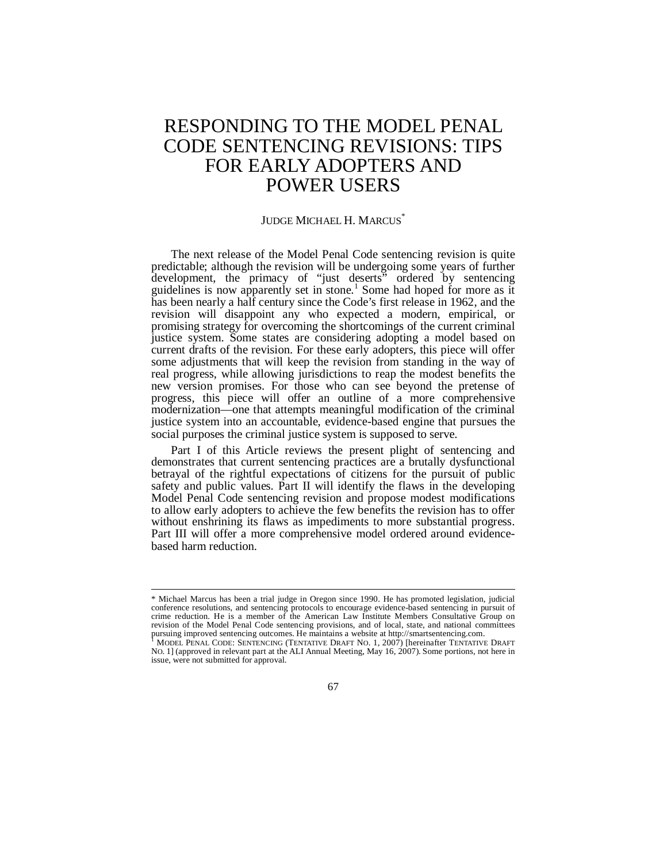# RESPONDING TO THE MODEL PENAL CODE SENTENCING REVISIONS: TIPS FOR EARLY ADOPTERS AND POWER USERS

#### JUDGE MICHAEL H. MARCUS<sup>\*</sup>

The next release of the Model Penal Code sentencing revision is quite predictable; although the revision will be undergoing some years of further development, the primacy of "just deserts" ordered by sentencing guidelines is now apparently set in stone.<sup>1</sup> Some had hoped for more as it has been nearly a half century since the Code's first release in 1962, and the revision will disappoint any who expected a modern, empirical, or promising strategy for overcoming the shortcomings of the current criminal justice system. Some states are considering adopting a model based on current drafts of the revision. For these early adopters, this piece will offer some adjustments that will keep the revision from standing in the way of real progress, while allowing jurisdictions to reap the modest benefits the new version promises. For those who can see beyond the pretense of progress, this piece will offer an outline of a more comprehensive modernization—one that attempts meaningful modification of the criminal justice system into an accountable, evidence-based engine that pursues the social purposes the criminal justice system is supposed to serve.

Part I of this Article reviews the present plight of sentencing and demonstrates that current sentencing practices are a brutally dysfunctional betrayal of the rightful expectations of citizens for the pursuit of public safety and public values. Part II will identify the flaws in the developing Model Penal Code sentencing revision and propose modest modifications to allow early adopters to achieve the few benefits the revision has to offer without enshrining its flaws as impediments to more substantial progress. Part III will offer a more comprehensive model ordered around evidencebased harm reduction.

67

<sup>\*</sup> Michael Marcus has been a trial judge in Oregon since 1990. He has promoted legislation, judicial conference resolutions, and sentencing protocols to encourage evidence-based sentencing in pursuit of crime reduction. He is a member of the American Law Institute Members Consultative Group on revision of the Model Penal Code sentencing provisions, and of local, state, and national committees pursuing improved sentencing outcomes. He maintains a website at http://smartsentencing.com.

<sup>1</sup> MODEL PENAL CODE: SENTENCING (TENTATIVE DRAFT NO. 1, 2007) [hereinafter TENTATIVE DRAFT NO. 1] (approved in relevant part at the ALI Annual Meeting, May 16, 2007). Some portions, not here in issue, were not submitted for approval.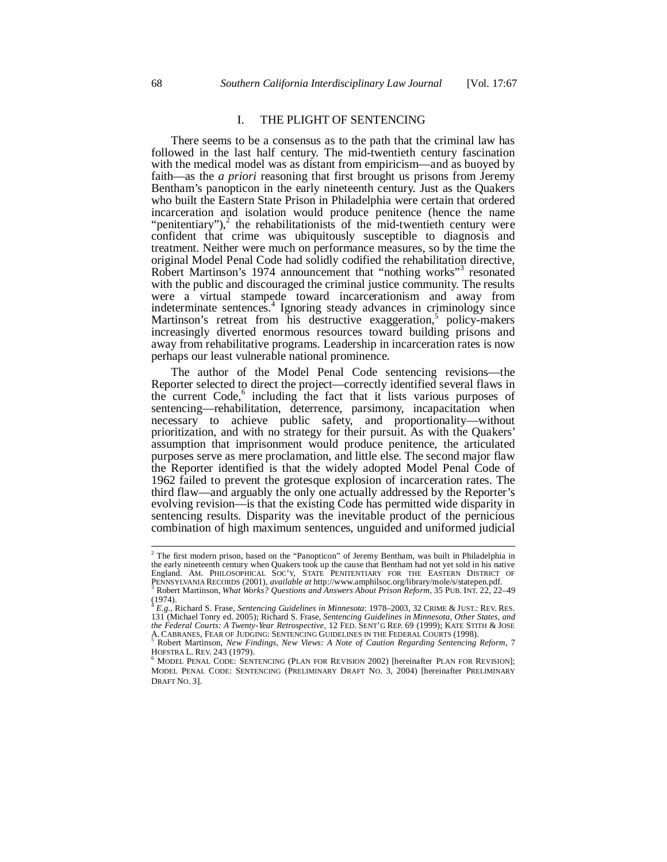## I. THE PLIGHT OF SENTENCING

There seems to be a consensus as to the path that the criminal law has followed in the last half century. The mid-twentieth century fascination with the medical model was as distant from empiricism—and as buoyed by faith—as the *a priori* reasoning that first brought us prisons from Jeremy Bentham's panopticon in the early nineteenth century. Just as the Quakers who built the Eastern State Prison in Philadelphia were certain that ordered incarceration and isolation would produce penitence (hence the name "penitentiary"), $2$  the rehabilitationists of the mid-twentieth century were confident that crime was ubiquitously susceptible to diagnosis and treatment. Neither were much on performance measures, so by the time the original Model Penal Code had solidly codified the rehabilitation directive, Robert Martinson's 1974 announcement that "nothing works"<sup>3</sup> resonated with the public and discouraged the criminal justice community. The results were a virtual stampede toward incarcerationism and away from indeterminate sentences.<sup>4</sup> Ignoring steady advances in criminology since Martinson's retreat from his destructive exaggeration,<sup>5</sup> policy-makers increasingly diverted enormous resources toward building prisons and away from rehabilitative programs. Leadership in incarceration rates is now perhaps our least vulnerable national prominence.

The author of the Model Penal Code sentencing revisions—the Reporter selected to direct the project—correctly identified several flaws in the current Code,<sup>6</sup> including the fact that it lists various purposes of sentencing—rehabilitation, deterrence, parsimony, incapacitation when necessary to achieve public safety, and proportionality—without prioritization, and with no strategy for their pursuit. As with the Quakers' assumption that imprisonment would produce penitence, the articulated purposes serve as mere proclamation, and little else. The second major flaw the Reporter identified is that the widely adopted Model Penal Code of 1962 failed to prevent the grotesque explosion of incarceration rates. The third flaw—and arguably the only one actually addressed by the Reporter's evolving revision—is that the existing Code has permitted wide disparity in sentencing results. Disparity was the inevitable product of the pernicious combination of high maximum sentences, unguided and uniformed judicial

 $2$  The first modern prison, based on the "Panopticon" of Jeremy Bentham, was built in Philadelphia in the early nineteenth century when Quakers took up the cause that Bentham had not yet sold in his native England. AM. PHILOSOPHICAL SOC'Y, STATE PENITENTIARY FOR THE EASTERN DISTRICT OF PENNSYLVANIA RECORDS (2001), *available at* http://www.amphilsoc.org/library/mole/s/statepen.pdf. 3 Robert Martinson, *What Works? Questions and Answers About Prison Reform*, 35 PUB. INT. 22, 22–49

 $(1974)$ .

*E.g.*, Richard S. Frase, *Sentencing Guidelines in Minnesota*: 1978–2003, 32 CRIME & JUST.: REV. RES. 131 (Michael Tonry ed. 2005); Richard S. Frase, *Sentencing Guidelines in Minnesota, Other States, and the Federal Courts: A Twenty-Year Retrospective*, 12 FED. SENT'G REP. 69 (1999); KATE STITH & JOSE A. CABRANES, FEAR OF JUDGING: SENTENCING GUIDELINES IN THE FEDERAL COURTS (1998).

Robert Martinson, *New Findings, New Views: A Note of Caution Regarding Sentencing Reform*, 7 HOFSTRA L. REV. 243 (1979).

<sup>6</sup> MODEL PENAL CODE: SENTENCING (PLAN FOR REVISION 2002) [hereinafter PLAN FOR REVISION]; MODEL PENAL CODE: SENTENCING (PRELIMINARY DRAFT NO. 3, 2004) [hereinafter PRELIMINARY DRAFT NO. 3].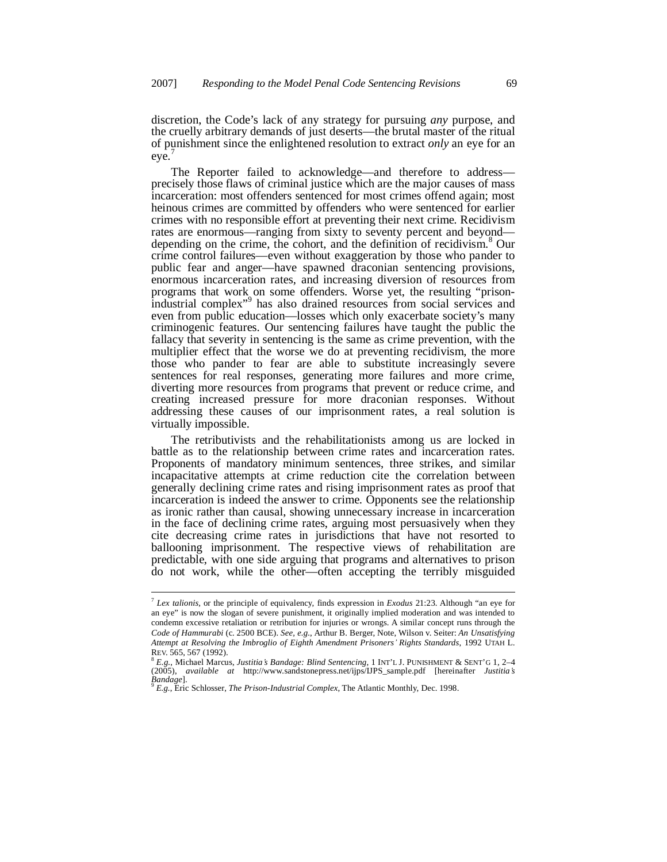discretion, the Code's lack of any strategy for pursuing *any* purpose, and the cruelly arbitrary demands of just deserts—the brutal master of the ritual of punishment since the enlightened resolution to extract *only* an eye for an eye.

The Reporter failed to acknowledge—and therefore to address precisely those flaws of criminal justice which are the major causes of mass incarceration: most offenders sentenced for most crimes offend again; most heinous crimes are committed by offenders who were sentenced for earlier crimes with no responsible effort at preventing their next crime. Recidivism rates are enormous—ranging from sixty to seventy percent and beyond depending on the crime, the cohort, and the definition of recidivism.<sup>8</sup> Our crime control failures—even without exaggeration by those who pander to public fear and anger—have spawned draconian sentencing provisions, enormous incarceration rates, and increasing diversion of resources from programs that work on some offenders. Worse yet, the resulting "prisonindustrial complex"<sup>9</sup> has also drained resources from social services and even from public education—losses which only exacerbate society's many criminogenic features. Our sentencing failures have taught the public the fallacy that severity in sentencing is the same as crime prevention, with the multiplier effect that the worse we do at preventing recidivism, the more those who pander to fear are able to substitute increasingly severe sentences for real responses, generating more failures and more crime, diverting more resources from programs that prevent or reduce crime, and creating increased pressure for more draconian responses. Without addressing these causes of our imprisonment rates, a real solution is virtually impossible.

The retributivists and the rehabilitationists among us are locked in battle as to the relationship between crime rates and incarceration rates. Proponents of mandatory minimum sentences, three strikes, and similar incapacitative attempts at crime reduction cite the correlation between generally declining crime rates and rising imprisonment rates as proof that incarceration is indeed the answer to crime. Opponents see the relationship as ironic rather than causal, showing unnecessary increase in incarceration in the face of declining crime rates, arguing most persuasively when they cite decreasing crime rates in jurisdictions that have not resorted to ballooning imprisonment. The respective views of rehabilitation are predictable, with one side arguing that programs and alternatives to prison do not work, while the other—often accepting the terribly misguided

<sup>7</sup>  *Lex talionis*, or the principle of equivalency, finds expression in *Exodus* 21:23. Although "an eye for an eye" is now the slogan of severe punishment, it originally implied moderation and was intended to condemn excessive retaliation or retribution for injuries or wrongs. A similar concept runs through the *Code of Hammurabi* (c. 2500 BCE). *See, e.g.*, Arthur B. Berger, Note, Wilson v. Seiter: *An Unsatisfying Attempt at Resolving the Imbroglio of Eighth Amendment Prisoners¶ Rights Standards*, 1992 UTAH L. REV. 565, 567 (1992).

 $8$  E.g., Michael Marcus, Justitia's Bandage: Blind Sentencing, 1 INT'L J. PUNISHMENT & SENT'G 1, 2-4 (2005), available at http://www.sandstonepress.net/ijps/IJPS\_sample.pdf [hereinafter Justitia's *Bandage*].

*E.g.*, Eric Schlosser, *The Prison-Industrial Complex*, The Atlantic Monthly, Dec. 1998.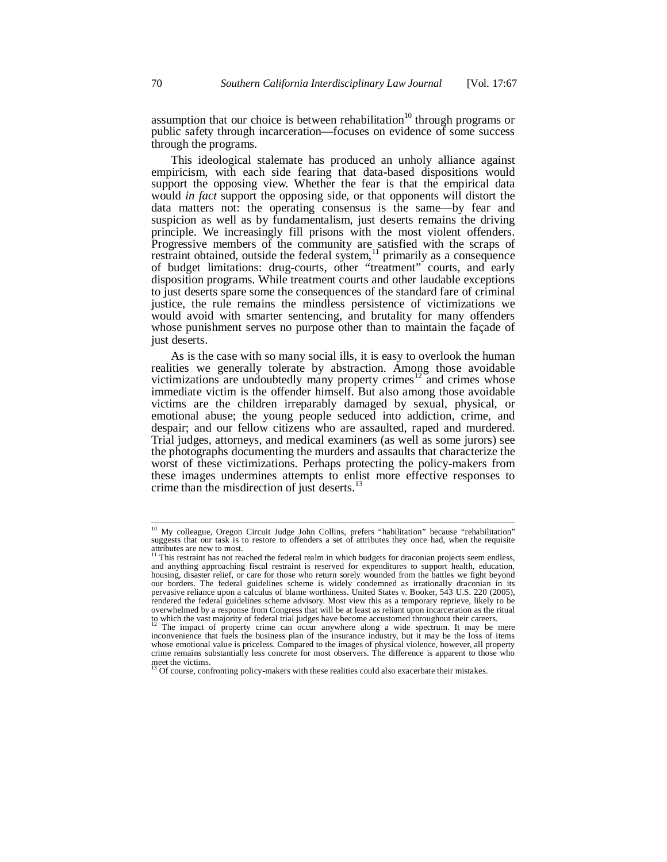assumption that our choice is between rehabilitation<sup>10</sup> through programs or public safety through incarceration—focuses on evidence of some success through the programs.

This ideological stalemate has produced an unholy alliance against empiricism, with each side fearing that data-based dispositions would support the opposing view. Whether the fear is that the empirical data would *in fact* support the opposing side, or that opponents will distort the data matters not: the operating consensus is the same—by fear and suspicion as well as by fundamentalism, just deserts remains the driving principle. We increasingly fill prisons with the most violent offenders. Progressive members of the community are satisfied with the scraps of restraint obtained, outside the federal system, $11$  primarily as a consequence of budget limitations: drug-courts, other "treatment" courts, and early disposition programs. While treatment courts and other laudable exceptions to just deserts spare some the consequences of the standard fare of criminal justice, the rule remains the mindless persistence of victimizations we would avoid with smarter sentencing, and brutality for many offenders whose punishment serves no purpose other than to maintain the façade of just deserts.

As is the case with so many social ills, it is easy to overlook the human realities we generally tolerate by abstraction. Among those avoidable victimizations are undoubtedly many property crimes<sup> $12$ </sup> and crimes whose immediate victim is the offender himself. But also among those avoidable victims are the children irreparably damaged by sexual, physical, or emotional abuse; the young people seduced into addiction, crime, and despair; and our fellow citizens who are assaulted, raped and murdered. Trial judges, attorneys, and medical examiners (as well as some jurors) see the photographs documenting the murders and assaults that characterize the worst of these victimizations. Perhaps protecting the policy-makers from these images undermines attempts to enlist more effective responses to crime than the misdirection of just deserts.<sup>13</sup>

<sup>&</sup>lt;sup>10</sup> My colleague, Oregon Circuit Judge John Collins, prefers "habilitation" because "rehabilitation" suggests that our task is to restore to offenders a set of attributes they once had, when the requisite attributes are new to most.<br><sup>11</sup> This restraint has not reached the federal realm in which budgets for draconian projects seem endless,

and anything approaching fiscal restraint is reserved for expenditures to support health, education, housing, disaster relief, or care for those who return sorely wounded from the battles we fight beyond our borders. The federal guidelines scheme is widely condemned as irrationally draconian in its pervasive reliance upon a calculus of blame worthiness. United States v. Booker, 543 U.S. 220 (2005), rendered the federal guidelines scheme advisory. Most view this as a temporary reprieve, likely to be overwhelmed by a response from Congress that will be at least as reliant upon incarceration as the ritual<br>to which the vast majority of federal trial judges have become accustomed throughout their careers.<br><sup>12</sup> The impact

inconvenience that fuels the business plan of the insurance industry, but it may be the loss of items whose emotional value is priceless. Compared to the images of physical violence, however, all property crime remains substantially less concrete for most observers. The difference is apparent to those who meet the victims.<br><sup>13</sup> Of course, confronting policy-makers with these realities could also exacerbate their mistakes.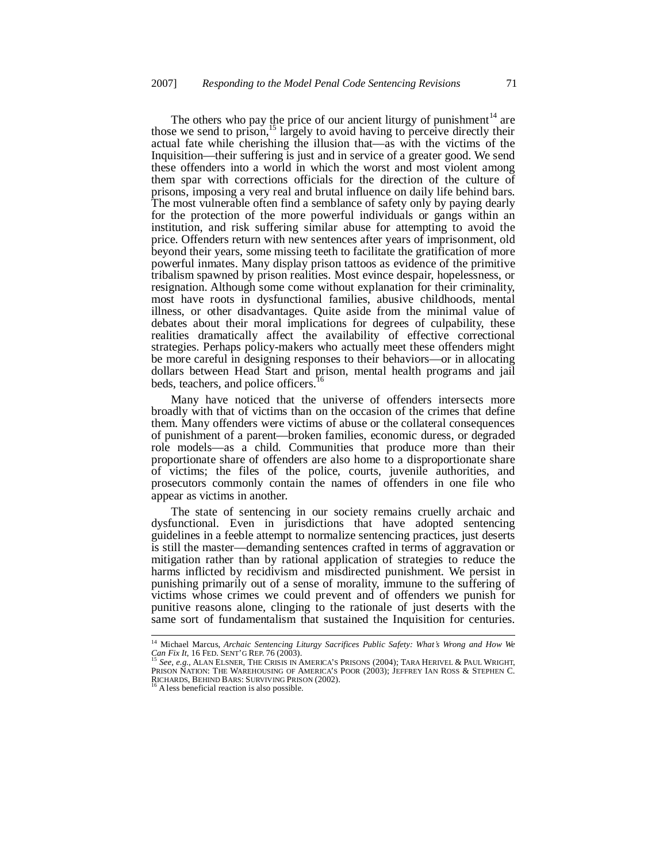The others who pay the price of our ancient liturgy of punishment $14$  are those we send to prison,<sup>15</sup> largely to avoid having to perceive directly their actual fate while cherishing the illusion that—as with the victims of the Inquisition—their suffering is just and in service of a greater good. We send these offenders into a world in which the worst and most violent among them spar with corrections officials for the direction of the culture of prisons, imposing a very real and brutal influence on daily life behind bars. The most vulnerable often find a semblance of safety only by paying dearly for the protection of the more powerful individuals or gangs within an institution, and risk suffering similar abuse for attempting to avoid the price. Offenders return with new sentences after years of imprisonment, old beyond their years, some missing teeth to facilitate the gratification of more powerful inmates. Many display prison tattoos as evidence of the primitive tribalism spawned by prison realities. Most evince despair, hopelessness, or resignation. Although some come without explanation for their criminality, most have roots in dysfunctional families, abusive childhoods, mental illness, or other disadvantages. Quite aside from the minimal value of debates about their moral implications for degrees of culpability, these realities dramatically affect the availability of effective correctional strategies. Perhaps policy-makers who actually meet these offenders might be more careful in designing responses to their behaviors—or in allocating dollars between Head Start and prison, mental health programs and jail beds, teachers, and police officers.<sup>16</sup>

Many have noticed that the universe of offenders intersects more broadly with that of victims than on the occasion of the crimes that define them. Many offenders were victims of abuse or the collateral consequences of punishment of a parent—broken families, economic duress, or degraded role models—as a child. Communities that produce more than their proportionate share of offenders are also home to a disproportionate share of victims; the files of the police, courts, juvenile authorities, and prosecutors commonly contain the names of offenders in one file who appear as victims in another.

The state of sentencing in our society remains cruelly archaic and dysfunctional. Even in jurisdictions that have adopted sentencing guidelines in a feeble attempt to normalize sentencing practices, just deserts is still the master—demanding sentences crafted in terms of aggravation or mitigation rather than by rational application of strategies to reduce the harms inflicted by recidivism and misdirected punishment. We persist in punishing primarily out of a sense of morality, immune to the suffering of victims whose crimes we could prevent and of offenders we punish for punitive reasons alone, clinging to the rationale of just deserts with the same sort of fundamentalism that sustained the Inquisition for centuries.

<sup>&</sup>lt;sup>14</sup> Michael Marcus, *Archaic Sentencing Liturgy Sacrifices Public Safety: What's Wrong and How We Can Fix It*, 16 FED. SENT'G REP. 76 (2003).

<sup>15</sup> *See, e.g.,* ALAN ELSNER, THE CRISIS IN AMERICA'S PRISONS (2004); TARA HERIVEL & PAUL WRIGHT, PRISON NATION: THE WAREHOUSING OF AMERICA'S POOR (2003); JEFFREY IAN ROSS & STEPHEN C. RICHARDS, BEHIND BARS: SURVIVING PRISON (2002).<br><sup>16</sup> A less beneficial reaction is also possible.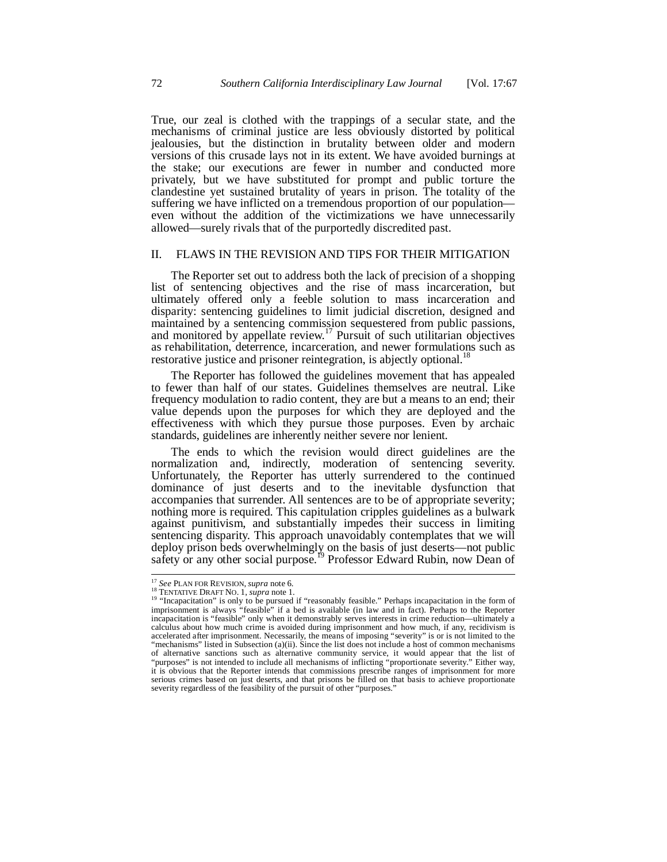True, our zeal is clothed with the trappings of a secular state, and the mechanisms of criminal justice are less obviously distorted by political jealousies, but the distinction in brutality between older and modern versions of this crusade lays not in its extent. We have avoided burnings at the stake; our executions are fewer in number and conducted more privately, but we have substituted for prompt and public torture the clandestine yet sustained brutality of years in prison. The totality of the suffering we have inflicted on a tremendous proportion of our population even without the addition of the victimizations we have unnecessarily allowed—surely rivals that of the purportedly discredited past.

#### II. FLAWS IN THE REVISION AND TIPS FOR THEIR MITIGATION

The Reporter set out to address both the lack of precision of a shopping list of sentencing objectives and the rise of mass incarceration, but ultimately offered only a feeble solution to mass incarceration and disparity: sentencing guidelines to limit judicial discretion, designed and maintained by a sentencing commission sequestered from public passions, and monitored by appellate review.<sup>17</sup> Pursuit of such utilitarian objectives as rehabilitation, deterrence, incarceration, and newer formulations such as restorative justice and prisoner reintegration, is abjectly optional.<sup>18</sup>

The Reporter has followed the guidelines movement that has appealed to fewer than half of our states. Guidelines themselves are neutral. Like frequency modulation to radio content, they are but a means to an end; their value depends upon the purposes for which they are deployed and the effectiveness with which they pursue those purposes. Even by archaic standards, guidelines are inherently neither severe nor lenient.

The ends to which the revision would direct guidelines are the normalization and, indirectly, moderation of sentencing severity. Unfortunately, the Reporter has utterly surrendered to the continued dominance of just deserts and to the inevitable dysfunction that accompanies that surrender. All sentences are to be of appropriate severity; nothing more is required. This capitulation cripples guidelines as a bulwark against punitivism, and substantially impedes their success in limiting sentencing disparity. This approach unavoidably contemplates that we will deploy prison beds overwhelmingly on the basis of just deserts—not public safety or any other social purpose.<sup>19</sup> Professor Edward Rubin, now Dean of

<sup>&</sup>lt;sup>17</sup> See PLAN FOR REVISION, *supra* note 6.<br><sup>18</sup> TENTATIVE DRAFT NO. 1, *supra* note 1.

<sup>&</sup>lt;sup>19</sup> "Incapacitation" is only to be pursued if "reasonably feasible." Perhaps incapacitation in the form of imprisonment is always "feasible" if a bed is available (in law and in fact). Perhaps to the Reporter incapacitation is "feasible" only when it demonstrably serves interests in crime reduction—ultimately a calculus about how much crime is avoided during imprisonment and how much, if any, recidivism is accelerated after imprisonment. Necessarily, the means of imposing "severity" is or is not limited to the "mechanisms" listed in Subsection (a)(ii). Since the list does not include a host of common mechanisms of alternative sanctions such as alternative community service, it would appear that the list of "purposes" is not intended to include all mechanisms of inflicting "proportionate severity." Either way, it is obvious that the Reporter intends that commissions prescribe ranges of imprisonment for more serious crimes based on just deserts, and that prisons be filled on that basis to achieve proportionate severity regardless of the feasibility of the pursuit of other "purposes."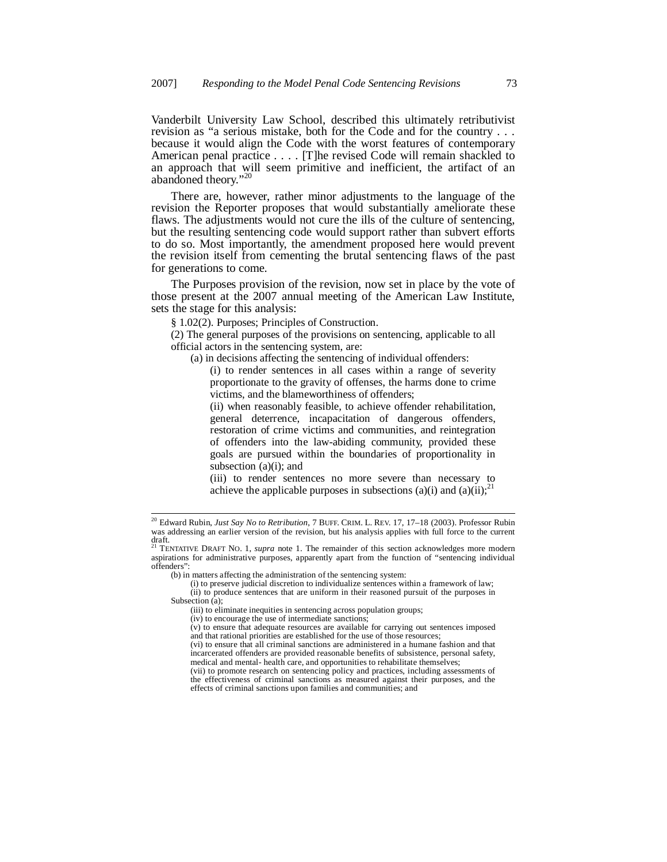Vanderbilt University Law School, described this ultimately retributivist revision as "a serious mistake, both for the Code and for the country . . . because it would align the Code with the worst features of contemporary American penal practice . . . . [T]he revised Code will remain shackled to an approach that will seem primitive and inefficient, the artifact of an abandoned theory."<sup>20</sup>

There are, however, rather minor adjustments to the language of the revision the Reporter proposes that would substantially ameliorate these flaws. The adjustments would not cure the ills of the culture of sentencing, but the resulting sentencing code would support rather than subvert efforts to do so. Most importantly, the amendment proposed here would prevent the revision itself from cementing the brutal sentencing flaws of the past for generations to come.

The Purposes provision of the revision, now set in place by the vote of those present at the 2007 annual meeting of the American Law Institute, sets the stage for this analysis:

§ 1.02(2). Purposes; Principles of Construction.

(2) The general purposes of the provisions on sentencing, applicable to all official actors in the sentencing system, are:

(a) in decisions affecting the sentencing of individual offenders:

(i) to render sentences in all cases within a range of severity proportionate to the gravity of offenses, the harms done to crime victims, and the blameworthiness of offenders;

(ii) when reasonably feasible, to achieve offender rehabilitation, general deterrence, incapacitation of dangerous offenders, restoration of crime victims and communities, and reintegration of offenders into the law-abiding community, provided these goals are pursued within the boundaries of proportionality in subsection (a)(i); and

(iii) to render sentences no more severe than necessary to achieve the applicable purposes in subsections (a)(i) and (a)(ii);<sup>21</sup>

(b) in matters affecting the administration of the sentencing system:

- (i) to preserve judicial discretion to individualize sentences within a framework of law; (ii) to produce sentences that are uniform in their reasoned pursuit of the purposes in
- Subsection (a):

(iv) to encourage the use of intermediate sanctions;

(v) to ensure that adequate resources are available for carrying out sentences imposed and that rational priorities are established for the use of those resources;

(vi) to ensure that all criminal sanctions are administered in a humane fashion and that incarcerated offenders are provided reasonable benefits of subsistence, personal safety, medical and mental- health care, and opportunities to rehabilitate themselves;

<sup>20</sup> Edward Rubin, *Just Say No to Retribution*, 7 BUFF. CRIM. L. REV. 17, 17–18 (2003). Professor Rubin was addressing an earlier version of the revision, but his analysis applies with full force to the current draft. <sup>21</sup> TENTATIVE DRAFT NO. 1, *supra* note 1. The remainder of this section acknowledges more modern

aspirations for administrative purposes, apparently apart from the function of "sentencing individual offenders":

<sup>(</sup>iii) to eliminate inequities in sentencing across population groups;

<sup>(</sup>vii) to promote research on sentencing policy and practices, including assessments of the effectiveness of criminal sanctions as measured against their purposes, and the effects of criminal sanctions upon families and communities; and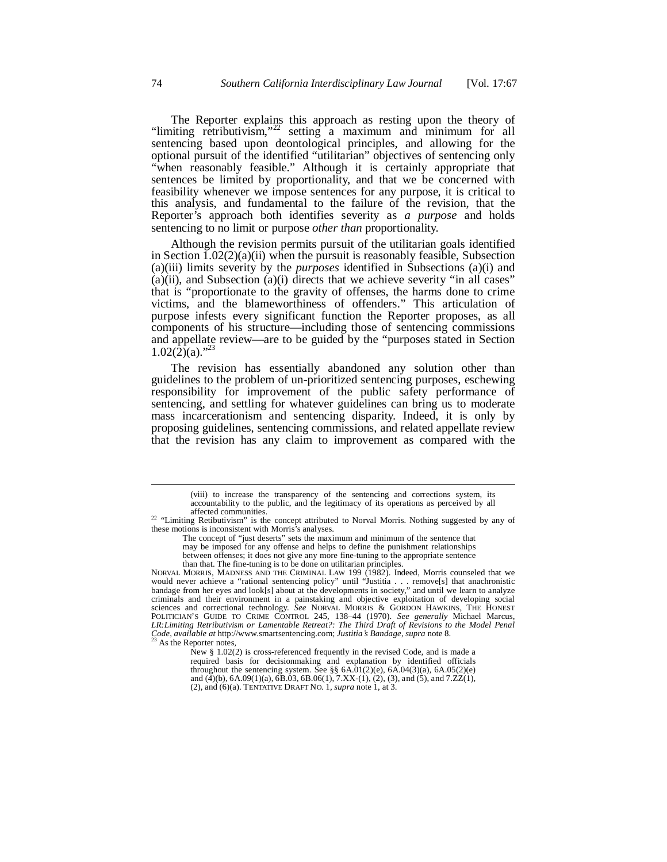The Reporter explains this approach as resting upon the theory of "limiting retributivism,"<sup>22</sup> setting a maximum and minimum for all sentencing based upon deontological principles, and allowing for the optional pursuit of the identified "utilitarian" objectives of sentencing only "when reasonably feasible." Although it is certainly appropriate that sentences be limited by proportionality, and that we be concerned with feasibility whenever we impose sentences for any purpose, it is critical to this analysis, and fundamental to the failure of the revision, that the Reporter's approach both identifies severity as *a purpose* and holds sentencing to no limit or purpose *other than* proportionality.

Although the revision permits pursuit of the utilitarian goals identified in Section  $1.02(2)(a)(ii)$  when the pursuit is reasonably feasible, Subsection (a)(iii) limits severity by the *purposes* identified in Subsections (a)(i) and (a)(ii), and Subsection (a)(i) directs that we achieve severity "in all cases" that is "proportionate to the gravity of offenses, the harms done to crime victims, and the blameworthiness of offenders." This articulation of purpose infests every significant function the Reporter proposes, as all components of his structure—including those of sentencing commissions and appellate review—are to be guided by the "purposes stated in Section  $1.02(\overline{2})(a)$ ."

The revision has essentially abandoned any solution other than guidelines to the problem of un-prioritized sentencing purposes, eschewing responsibility for improvement of the public safety performance of sentencing, and settling for whatever guidelines can bring us to moderate mass incarcerationism and sentencing disparity. Indeed, it is only by proposing guidelines, sentencing commissions, and related appellate review that the revision has any claim to improvement as compared with the

between offenses; it does not give any more fine-tuning to the appropriate sentence

than that. The fine-tuning is to be done on utilitarian principles. NORVAL MORRIS, MADNESS AND THE CRIMINAL LAW 199 (1982). Indeed, Morris counseled that we would never achieve a "rational sentencing policy" until "Justitia . . . remove[s] that anachronistic bandage from her eyes and look[s] about at the developments in society," and until we learn to analyze criminals and their environment in a painstaking and objective exploitation of developing social sciences and correctional technology. See NORVAL MORRIS & GORDON HAWKINS, THE HONEST POLITICIAN'S GUIDE TO CRIME CONTROL 245, 138–44 (1970). *See generally* Michael Marcus, *LR:Limiting Retributivism or Lamentable Retreat?: The Third Draft of Revisions to the Model Penal Code*, *available at* http://www.smartsentencing.com; *Justitia¶s Bandage*, *supra* note 8.

<sup>(</sup>viii) to increase the transparency of the sentencing and corrections system, its accountability to the public, and the legitimacy of its operations as perceived by all affected communities.

<sup>&</sup>lt;sup>22</sup> "Limiting Retibutivism" is the concept attributed to Norval Morris. Nothing suggested by any of these motions is inconsistent with Morris's analyses.

The concept of "just deserts" sets the maximum and minimum of the sentence that

may be imposed for any offense and helps to define the punishment relationships

As the Reporter notes,

New § 1.02(2) is cross-referenced frequently in the revised Code, and is made a required basis for decisionmaking and explanation by identified officials throughout the sentencing system. See  $\S$ § 6A.01(2)(e), 6A.04(3)(a), 6A.05(2)(e) and  $(\overline{4})(b)$ , 6A.09(1)(a), 6B.03, 6B.06(1), 7.XX-(1), (2), (3), and (5), and 7.ZZ(1), (2), and (6)(a). TENTATIVE DRAFT NO. 1, *supra* note 1, at 3.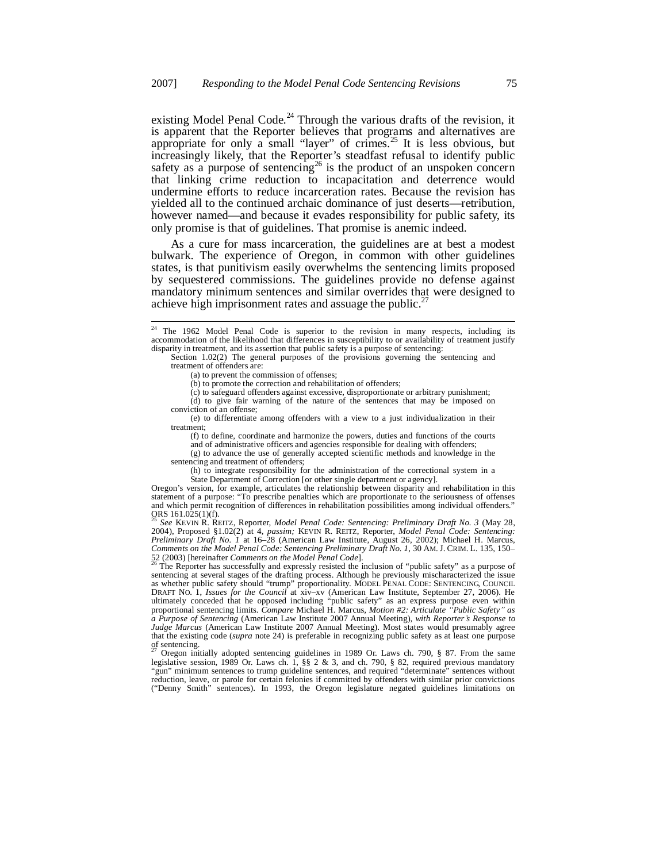existing Model Penal Code.<sup>24</sup> Through the various drafts of the revision, it is apparent that the Reporter believes that programs and alternatives are appropriate for only a small "layer" of crimes.<sup>25</sup> It is less obvious, but increasingly likely, that the Reporter's steadfast refusal to identify public safety as a purpose of sentencing<sup>26</sup> is the product of an unspoken concern that linking crime reduction to incapacitation and deterrence would undermine efforts to reduce incarceration rates. Because the revision has yielded all to the continued archaic dominance of just deserts—retribution, however named—and because it evades responsibility for public safety, its only promise is that of guidelines. That promise is anemic indeed.

As a cure for mass incarceration, the guidelines are at best a modest bulwark. The experience of Oregon, in common with other guidelines states, is that punitivism easily overwhelms the sentencing limits proposed by sequestered commissions. The guidelines provide no defense against mandatory minimum sentences and similar overrides that were designed to achieve high imprisonment rates and assuage the public.<sup>27</sup>

(g) to advance the use of generally accepted scientific methods and knowledge in the sentencing and treatment of offenders;

(h) to integrate responsibility for the administration of the correctional system in a State Department of Correction [or other single department or agency].

<sup>25</sup> *See* KEVIN R. REITZ, Reporter, *Model Penal Code: Sentencing: Preliminary Draft No. 3* (May 28, 2004), Proposed §1.02(2) at 4, *passim;* KEVIN R. REITZ, Reporter, *Model Penal Code: Sentencing: Preliminary Draft No. 1* at 16–28 (American Law Institute, August 26, 2002); Michael H. Marcus, *Comments on the Model Penal Code: Sentencing Preliminary Draft No. 1*, 30 AM. J. CRIM. L. 135, 150– 52 (2003) [hereinafter *Comments on the Model Penal Code*]. <sup>26</sup> The Reporter has successfully and expressly resisted the inclusion of "public safety" as a purpose of

sentencing at several stages of the drafting process. Although he previously mischaracterized the issue as whether public safety should "trump" proportionality. MODEL PENAL CODE: SENTENCING, COUNCIL<br>DRAFT NO. 1, *Issues for the Council* at xiv–xv (American Law Institute, September 27, 2006). He<br>ultimately conceded that he op proportional sentencing limits. *Compare Michael H. Marcus, Motion #2: Articulate "Public Safety" as*<br>*a Purpose of Sentencing (American Law Institute 2007 Annual Meeting), with Reporter's Response to Judge Marcus* (American Law Institute 2007 Annual Meeting). Most states would presumably agree that the existing code (*supra* note 24) is preferable in recognizing public safety as at least one purpose of sentencing.<br><sup>27</sup> Oregon initially adopted sentencing guidelines in 1989 Or. Laws ch. 790, § 87. From the same

legislative session, 1989 Or. Laws ch. 1, §§ 2 & 3, and ch. 790, § 82, required previous mandatory<br>"gun" minimum sentences to trump guideline sentences, and required "determinate" sentences without reduction, leave, or parole for certain felonies if committed by offenders with similar prior convictions ("Denny Smith" sentences). In 1993, the Oregon legislature negated guidelines limitations on

<sup>&</sup>lt;sup>24</sup> The 1962 Model Penal Code is superior to the revision in many respects, including its accommodation of the likelihood that differences in susceptibility to or availability of treatment justify disparity in treatment, and its assertion that public safety is a purpose of sentencing: Section 1.02(2) The general purposes of the provisions governing the sentencing and

treatment of offenders are:

<sup>(</sup>a) to prevent the commission of offenses;

<sup>(</sup>b) to promote the correction and rehabilitation of offenders;

<sup>(</sup>c) to safeguard offenders against excessive, disproportionate or arbitrary punishment; (d) to give fair warning of the nature of the sentences that may be imposed on conviction of an offense;

<sup>(</sup>e) to differentiate among offenders with a view to a just individualization in their treatment;

<sup>(</sup>f) to define, coordinate and harmonize the powers, duties and functions of the courts and of administrative officers and agencies responsible for dealing with offenders;

Oregon's version, for example, articulates the relationship between disparity and rehabilitation in this statement of a purpose: "To prescribe penalties which are proportionate to the seriousness of offenses and which permit recognition of differences in rehabilitation possibilities among individual offenders." ORS 161.025(1)(f).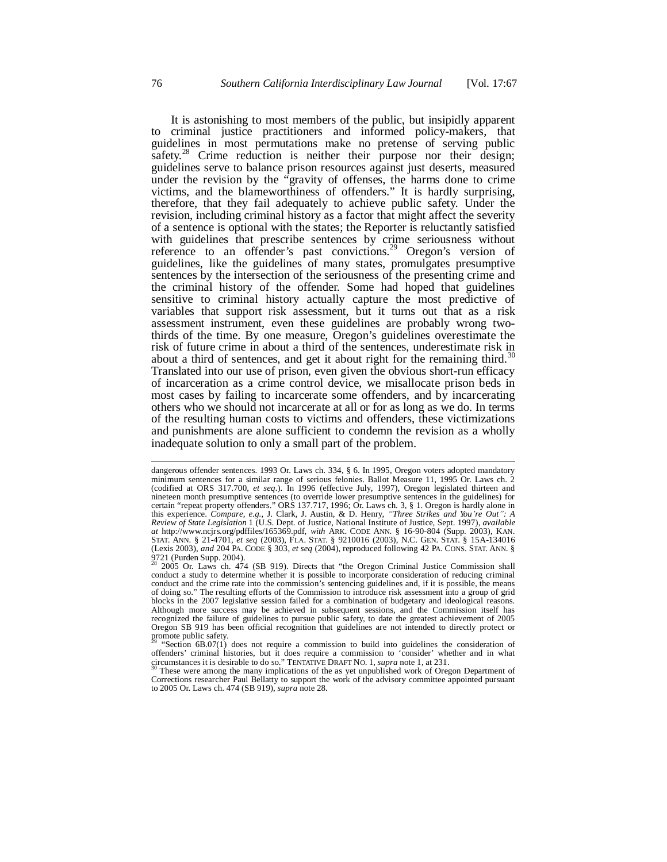It is astonishing to most members of the public, but insipidly apparent to criminal justice practitioners and informed policy-makers, that guidelines in most permutations make no pretense of serving public safety.<sup>28</sup> Crime reduction is neither their purpose nor their design; guidelines serve to balance prison resources against just deserts, measured under the revision by the "gravity of offenses, the harms done to crime victims, and the blameworthiness of offenders." It is hardly surprising, therefore, that they fail adequately to achieve public safety. Under the revision, including criminal history as a factor that might affect the severity of a sentence is optional with the states; the Reporter is reluctantly satisfied with guidelines that prescribe sentences by crime seriousness without reference to an offender's past convictions.<sup>29</sup> Oregon's version of guidelines, like the guidelines of many states, promulgates presumptive sentences by the intersection of the seriousness of the presenting crime and the criminal history of the offender. Some had hoped that guidelines sensitive to criminal history actually capture the most predictive of variables that support risk assessment, but it turns out that as a risk assessment instrument, even these guidelines are probably wrong twothirds of the time. By one measure, Oregon's guidelines overestimate the risk of future crime in about a third of the sentences, underestimate risk in about a third of sentences, and get it about right for the remaining third.<sup>30</sup> Translated into our use of prison, even given the obvious short-run efficacy of incarceration as a crime control device, we misallocate prison beds in most cases by failing to incarcerate some offenders, and by incarcerating others who we should not incarcerate at all or for as long as we do. In terms of the resulting human costs to victims and offenders, these victimizations and punishments are alone sufficient to condemn the revision as a wholly inadequate solution to only a small part of the problem.

These were among the many implications of the as yet unpublished work of Oregon Department of Corrections researcher Paul Bellatty to support the work of the advisory committee appointed pursuant to 2005 Or. Laws ch. 474 (SB 919), *supra* note 28.

dangerous offender sentences. 1993 Or. Laws ch. 334, § 6. In 1995, Oregon voters adopted mandatory minimum sentences for a similar range of serious felonies. Ballot Measure 11, 1995 Or. Laws ch. 2 (codified at ORS 317.700, *et seq.*). In 1996 (effective July, 1997), Oregon legislated thirteen and nineteen month presumptive sentences (to override lower presumptive sentences in the guidelines) for certain "repeat property offenders." ORS 137.717, 1996; Or. Laws ch. 3, § 1. Oregon is hardly alone in this experience. *Compare, e.g.*, J. Clark, J. Austin, & D. Henry, "Three Strikes and You're Out": A *Review of State Legislation* 1 (U.S. Dept. of Justice, National Institute of Justice, Sept. 1997), *available at* http://www.ncjrs.org/pdffiles/165369.pdf, *with* ARK. CODE ANN. § 16-90-804 (Supp. 2003), KAN. STAT. ANN. § 21-4701, *et seq* (2003), FLA. STAT. § 9210016 (2003), N.C. GEN. STAT. § 15A-134016 (Lexis 2003), *and* 204 PA. CODE § 303, *et seq* (2004), reproduced following 42 PA. CONS. STAT. ANN. § 9721 (Purden Supp. 2004). <sup>28</sup> 2005 Or. Laws ch. 474 (SB 919). Directs that "the Oregon Criminal Justice Commission shall

conduct a study to determine whether it is possible to incorporate consideration of reducing criminal conduct and the crime rate into the commission's sentencing guidelines and, if it is possible, the means of doing so." The resulting efforts of the Commission to introduce risk assessment into a group of grid blocks in the 2007 legislative session failed for a combination of budgetary and ideological reasons. Although more success may be achieved in subsequent sessions, and the Commission itself has recognized the failure of guidelines to pursue public safety, to date the greatest achievement of 2005 Oregon SB 919 has been official recognition that guidelines are not intended to directly protect or promote public safety.

<sup>&</sup>quot;Section  $6B.07(1)$  does not require a commission to build into guidelines the consideration of offenders' criminal histories, but it does require a commission to 'consider' whether and in what circumstances it is desirable to do so." TENTATIVE DRAFT NO. 1, *supra* note 1, at 231.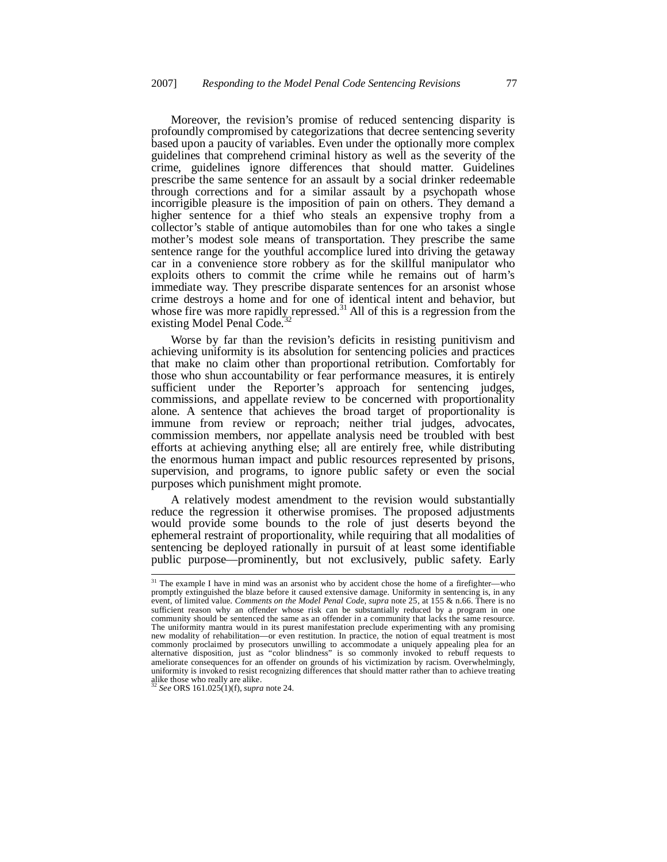Moreover, the revision's promise of reduced sentencing disparity is profoundly compromised by categorizations that decree sentencing severity based upon a paucity of variables. Even under the optionally more complex guidelines that comprehend criminal history as well as the severity of the crime, guidelines ignore differences that should matter. Guidelines prescribe the same sentence for an assault by a social drinker redeemable through corrections and for a similar assault by a psychopath whose incorrigible pleasure is the imposition of pain on others. They demand a higher sentence for a thief who steals an expensive trophy from a collector's stable of antique automobiles than for one who takes a single mother's modest sole means of transportation. They prescribe the same sentence range for the youthful accomplice lured into driving the getaway car in a convenience store robbery as for the skillful manipulator who exploits others to commit the crime while he remains out of harm's immediate way. They prescribe disparate sentences for an arsonist whose crime destroys a home and for one of identical intent and behavior, but whose fire was more rapidly repressed.<sup>31</sup> All of this is a regression from the existing Model Penal Code.<sup>3</sup>

Worse by far than the revision's deficits in resisting punitivism and achieving uniformity is its absolution for sentencing policies and practices that make no claim other than proportional retribution. Comfortably for those who shun accountability or fear performance measures, it is entirely sufficient under the Reporter's approach for sentencing judges, commissions, and appellate review to be concerned with proportionality alone. A sentence that achieves the broad target of proportionality is immune from review or reproach; neither trial judges, advocates, commission members, nor appellate analysis need be troubled with best efforts at achieving anything else; all are entirely free, while distributing the enormous human impact and public resources represented by prisons, supervision, and programs, to ignore public safety or even the social purposes which punishment might promote.

A relatively modest amendment to the revision would substantially reduce the regression it otherwise promises. The proposed adjustments would provide some bounds to the role of just deserts beyond the ephemeral restraint of proportionality, while requiring that all modalities of sentencing be deployed rationally in pursuit of at least some identifiable public purpose—prominently, but not exclusively, public safety. Early

<sup>&</sup>lt;sup>31</sup> The example I have in mind was an arsonist who by accident chose the home of a firefighter—who promptly extinguished the blaze before it caused extensive damage. Uniformity in sentencing is, in any event, of limited value. *Comments on the Model Penal Code*, *supra* note 25, at 155 & n.66. There is no sufficient reason why an offender whose risk can be substantially reduced by a program in one community should be sentenced the same as an offender in a community that lacks the same resource. The uniformity mantra would in its purest manifestation preclude experimenting with any promising new modality of rehabilitation—or even restitution. In practice, the notion of equal treatment is most commonly proclaimed by prosecutors unwilling to accommodate a uniquely appealing plea for an alternative disposition, just as "color blindness" is so commonly invoked to rebuff requests to ameliorate consequences for an offender on grounds of his victimization by racism. Overwhelmingly, uniformity is invoked to resist recognizing differences that should matter rather than to achieve treating alike those who really are alike.

<sup>32</sup> *See* ORS 161.025(1)(f), *supra* note 24.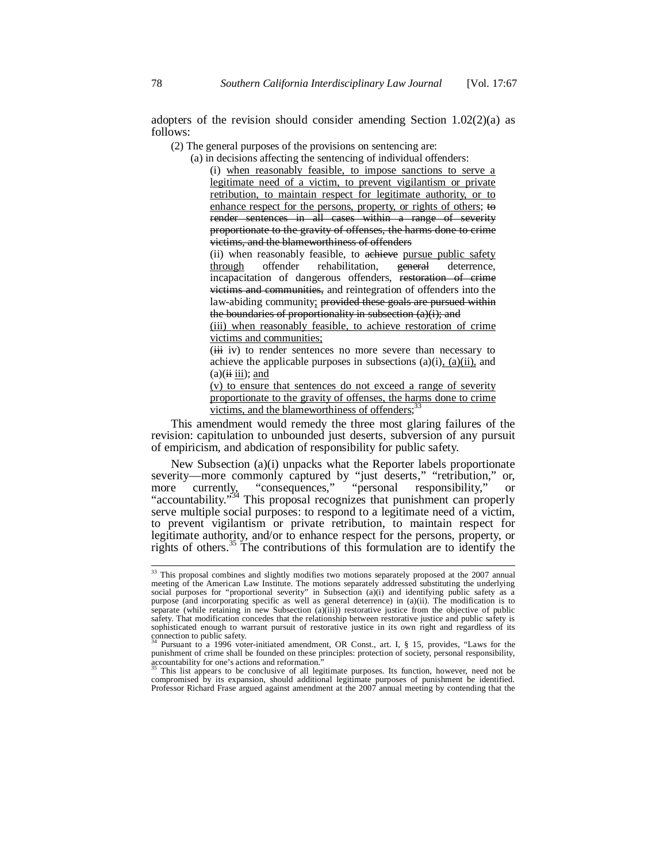adopters of the revision should consider amending Section  $1.02(2)(a)$  as follows:

(2) The general purposes of the provisions on sentencing are:

(a) in decisions affecting the sentencing of individual offenders:

(i) when reasonably feasible, to impose sanctions to serve a legitimate need of a victim, to prevent vigilantism or private retribution, to maintain respect for legitimate authority, or to enhance respect for the persons, property, or rights of others; to render sentences in all cases within a range of severity proportionate to the gravity of offenses, the harms done to crime victims, and the blameworthiness of offenders

(ii) when reasonably feasible, to achieve pursue public safety through offender rehabilitation, general deterrence, incapacitation of dangerous offenders, restoration of crime victims and communities, and reintegration of offenders into the law-abiding community; provided these goals are pursued within the boundaries of proportionality in subsection  $(a)(i)$ ; and

(iii) when reasonably feasible, to achieve restoration of crime victims and communities;

(iii iv) to render sentences no more severe than necessary to achieve the applicable purposes in subsections  $(a)(i)$ ,  $(a)(ii)$ , and  $(a)(ii iii);$  and

(v) to ensure that sentences do not exceed a range of severity proportionate to the gravity of offenses, the harms done to crime victims, and the blameworthiness of offenders; $33$ 

This amendment would remedy the three most glaring failures of the revision: capitulation to unbounded just deserts, subversion of any pursuit of empiricism, and abdication of responsibility for public safety.

New Subsection (a)(i) unpacks what the Reporter labels proportionate severity—more commonly captured by "just deserts," "retribution," or, more currently, "consequences," "personal responsibility," or more currently, "consequences," "personal responsibility," or "accountability."<sup>34</sup> This proposal recognizes that punishment can properly serve multiple social purposes: to respond to a legitimate need of a victim, to prevent vigilantism or private retribution, to maintain respect for legitimate authority, and/or to enhance respect for the persons, property, or rights of others.<sup>35</sup> The contributions of this formulation are to identify the

accountability for one's actions and reformation." <sup>35</sup> This list appears to be conclusive of all legitimate purposes. Its function, however, need not be compromised by its expansion, should additional legitimate purposes of punishment be identified. Professor Richard Frase argued against amendment at the 2007 annual meeting by contending that the

<sup>&</sup>lt;sup>33</sup> This proposal combines and slightly modifies two motions separately proposed at the 2007 annual meeting of the American Law Institute. The motions separately addressed substituting the underlying<br>social purposes for "proportional severity" in Subsection (a)(i) and identifying public safety as a<br>purpose (and incorpora separate (while retaining in new Subsection (a)(iii)) restorative justice from the objective of public safety. That modification concedes that the relationship between restorative justice and public safety is sophisticated enough to warrant pursuit of restorative justice in its own right and regardless of its connection to public safety.

<sup>34</sup> Pursuant to a 1996 voter-initiated amendment, OR Const., art. I, § 15, provides, "Laws for the punishment of crime shall be founded on these principles: protection of society, personal responsibility,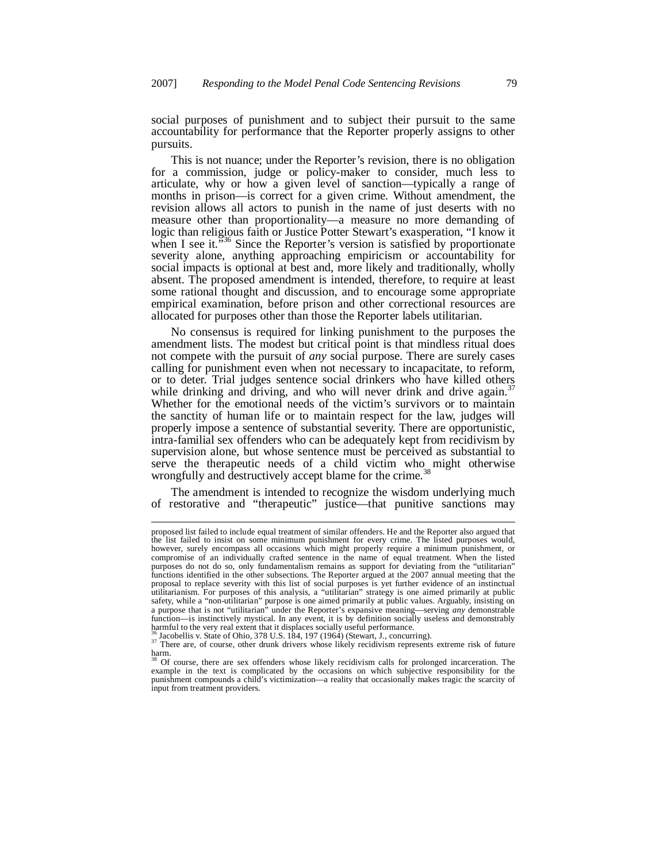social purposes of punishment and to subject their pursuit to the same accountability for performance that the Reporter properly assigns to other pursuits.

This is not nuance; under the Reporter's revision, there is no obligation for a commission, judge or policy-maker to consider, much less to articulate, why or how a given level of sanction—typically a range of months in prison—is correct for a given crime. Without amendment, the revision allows all actors to punish in the name of just deserts with no measure other than proportionality—a measure no more demanding of logic than religious faith or Justice Potter Stewart's exasperation, "I know it when I see it.<sup>336</sup> Since the Reporter's version is satisfied by proportionate severity alone, anything approaching empiricism or accountability for social impacts is optional at best and, more likely and traditionally, wholly absent. The proposed amendment is intended, therefore, to require at least some rational thought and discussion, and to encourage some appropriate empirical examination, before prison and other correctional resources are allocated for purposes other than those the Reporter labels utilitarian.

No consensus is required for linking punishment to the purposes the amendment lists. The modest but critical point is that mindless ritual does not compete with the pursuit of *any* social purpose. There are surely cases calling for punishment even when not necessary to incapacitate, to reform, or to deter. Trial judges sentence social drinkers who have killed others while drinking and driving, and who will never drink and drive again.<sup>3</sup> Whether for the emotional needs of the victim's survivors or to maintain the sanctity of human life or to maintain respect for the law, judges will properly impose a sentence of substantial severity. There are opportunistic, intra-familial sex offenders who can be adequately kept from recidivism by supervision alone, but whose sentence must be perceived as substantial to serve the therapeutic needs of a child victim who might otherwise wrongfully and destructively accept blame for the crime.<sup>38</sup>

The amendment is intended to recognize the wisdom underlying much of restorative and "therapeutic" justice—that punitive sanctions may

proposed list failed to include equal treatment of similar offenders. He and the Reporter also argued that the list failed to insist on some minimum punishment for every crime. The listed purposes would, however, surely encompass all occasions which might properly require a minimum punishment, or compromise of an individually crafted sentence in the name of equal treatment. When the listed purposes do not do so, only fundamentalism remains as support for deviating from the "utilitarian" functions identified in the other subsections. The Reporter argued at the 2007 annual meeting that the proposal to replace severity with this list of social purposes is yet further evidence of an instinctual utilitarianism. For purposes of this analysis, a "utilitarian" strategy is one aimed primarily at public safety, while a "non-utilitarian" purpose is one aimed primarily at public values. Arguably, insisting on a purpose that is not "utilitarian" under the Reporter's expansive meaning—serving *any* demonstrable function—is instinctively mystical. In any event, it is by definition socially useless and demonstrably

harmful to the very real extent that it displaces socially useful performance.<br><sup>36</sup> Jacobellis v. State of Ohio, 378 U.S. 184, 197 (1964) (Stewart, J., concurring).<br><sup>37</sup> There are, of course, other drunk drivers whose like  $\lim_{38}$ 

<sup>38</sup> Of course, there are sex offenders whose likely recidivism calls for prolonged incarceration. The example in the text is complicated by the occasions on which subjective responsibility for the punishment compounds a child's victimization—a reality that occasionally makes tragic the scarcity of input from treatment providers.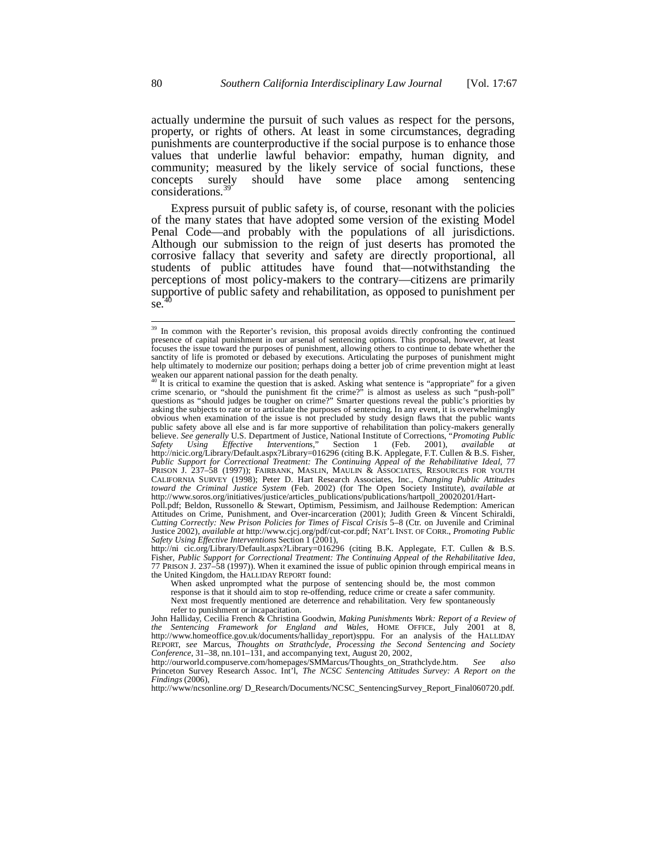actually undermine the pursuit of such values as respect for the persons, property, or rights of others. At least in some circumstances, degrading punishments are counterproductive if the social purpose is to enhance those values that underlie lawful behavior: empathy, human dignity, and community; measured by the likely service of social functions, these concepts surely should have some place among sentencing considerations.<sup>3</sup>

Express pursuit of public safety is, of course, resonant with the policies of the many states that have adopted some version of the existing Model Penal Code—and probably with the populations of all jurisdictions. Although our submission to the reign of just deserts has promoted the corrosive fallacy that severity and safety are directly proportional, all students of public attitudes have found that—notwithstanding the perceptions of most policy-makers to the contrary—citizens are primarily supportive of public safety and rehabilitation, as opposed to punishment per  $se^{40}$ 

<sup>&</sup>lt;sup>39</sup> In common with the Reporter's revision, this proposal avoids directly confronting the continued presence of capital punishment in our arsenal of sentencing options. This proposal, however, at least focuses the issue toward the purposes of punishment, allowing others to continue to debate whether the sanctity of life is promoted or debased by executions. Articulating the purposes of punishment might help ultimately to modernize our position; perhaps doing a better job of crime prevention might at least weaken our apparent national passion for the death penalty.<br><sup>40</sup> It is critical to examine the question that is asked. Asking what sentence is "appropriate" for a given

crime scenario, or "should the punishment fit the crime?" is almost as useless as such "push-poll" questions as "should judges be tougher on crime?" Smarter questions reveal the public's priorities by asking the subjects to rate or to articulate the purposes of sentencing. In any event, it is overwhelmingly obvious when examination of the issue is not precluded by study design flaws that the public wants public safety above all else and is far more supportive of rehabilitation than policy-makers generally believe. *See generally* U.S. Department of Justice, National Institute of Corrections, "*Promoting Public Safety Using Effective Interventions*," Section 1 (Feb. 2001), *available at* http://nicic.org/Library/Default.aspx?Library=016296 (citing B.K. Applegate, F.T. Cullen & B.S. Fisher, *Public Support for Correctional Treatment: The Continuing Appeal of the Rehabilitative Ideal*, 77 PRISON J. 237–58 (1997)); FAIRBANK, MASLIN, MAULIN & ASSOCIATES, RESOURCES FOR YOUTH CALIFORNIA SURVEY (1998); Peter D. Hart Research Associates, Inc., *Changing Public Attitudes toward the Criminal Justice System* (Feb. 2002) (for The Open Society Institute), *available at* http://www.soros.org/initiatives/justice/articles\_publications/publications/hartpoll\_20020201/Hart-

Poll.pdf; Beldon, Russonello & Stewart, Optimism, Pessimism, and Jailhouse Redemption: American Attitudes on Crime, Punishment, and Over-incarceration (2001); Judith Green & Vincent Schiraldi, *Cutting Correctly: New Prison Policies for Times of Fiscal Crisis* 5–8 (Ctr. on Juvenile and Criminal Justice 2002), *available at* http://www.cjcj.org/pdf/cut-cor.pdf; NAT'L INST. OF CORR., *Promoting Public Safety Using Effective Interventions* Section 1 (2001),

http://ni cic.org/Library/Default.aspx?Library=016296 (citing B.K. Applegate, F.T. Cullen & B.S. Fisher, *Public Support for Correctional Treatment: The Continuing Appeal of the Rehabilitative Idea,* 77 PRISON J. 237–58 (1997)). When it examined the issue of public opinion through empirical means in the United Kingdom, the HALLIDAY REPORT found:

When asked unprompted what the purpose of sentencing should be, the most common response is that it should aim to stop re-offending, reduce crime or create a safer community. Next most frequently mentioned are deterrence and rehabilitation. Very few spontaneously refer to punishment or incapacitation.

John Halliday, Cecilia French & Christina Goodwin, *Making Punishments Work: Report of a Review of the Sentencing Framework for England and Wales,* HOME OFFICE, July 2001 at 8, http://www.homeoffice.gov.uk/documents/halliday\_report)sppu. For an analysis of the HALLIDAY REPORT, *see* Marcus, *Thoughts on Strathclyde*, *Processing the Second Sentencing and Society Conference*, 31–38, nn.101–131, and accompanying text, August 20, 2002,

http://ourworld.compuserve.com/homepages/SMMarcus/Thoughts\_on\_Strathclyde.htm. *See also* Princeton Survey Research Assoc. Int'l, *The NCSC Sentencing Attitudes Survey: A Report on the Findings* (2006),

http://www/ncsonline.org/ D\_Research/Documents/NCSC\_SentencingSurvey\_Report\_Final060720.pdf.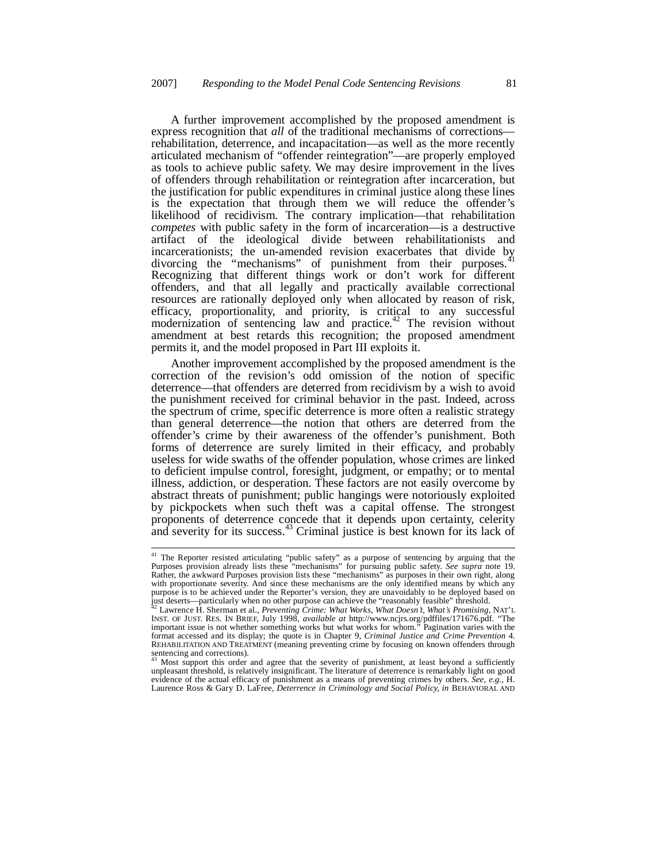A further improvement accomplished by the proposed amendment is express recognition that *all* of the traditional mechanisms of corrections rehabilitation, deterrence, and incapacitation—as well as the more recently articulated mechanism of "offender reintegration"—are properly employed as tools to achieve public safety. We may desire improvement in the lives of offenders through rehabilitation or reintegration after incarceration, but the justification for public expenditures in criminal justice along these lines is the expectation that through them we will reduce the offender's likelihood of recidivism. The contrary implication—that rehabilitation *competes* with public safety in the form of incarceration—is a destructive artifact of the ideological divide between rehabilitationists and incarcerationists; the un-amended revision exacerbates that divide by divorcing the "mechanisms" of punishment from their purposes.<sup>41</sup> Recognizing that different things work or don't work for different offenders, and that all legally and practically available correctional resources are rationally deployed only when allocated by reason of risk, efficacy, proportionality, and priority, is critical to any successful modernization of sentencing law and practice.<sup> $42$ </sup> The revision without amendment at best retards this recognition; the proposed amendment permits it, and the model proposed in Part III exploits it.

Another improvement accomplished by the proposed amendment is the correction of the revision's odd omission of the notion of specific deterrence—that offenders are deterred from recidivism by a wish to avoid the punishment received for criminal behavior in the past. Indeed, across the spectrum of crime, specific deterrence is more often a realistic strategy than general deterrence—the notion that others are deterred from the offender's crime by their awareness of the offender's punishment. Both forms of deterrence are surely limited in their efficacy, and probably useless for wide swaths of the offender population, whose crimes are linked to deficient impulse control, foresight, judgment, or empathy; or to mental illness, addiction, or desperation. These factors are not easily overcome by abstract threats of punishment; public hangings were notoriously exploited by pickpockets when such theft was a capital offense. The strongest proponents of deterrence concede that it depends upon certainty, celerity and severity for its success. $43$  Criminal justice is best known for its lack of

<sup>41</sup> The Reporter resisted articulating "public safety" as a purpose of sentencing by arguing that the Purposes provision already lists these "mechanisms" for pursuing public safety. *See supra* note 19. Rather, the awkward Purposes provision lists these "mechanisms" as purposes in their own right, along with proportionate severity. And since these mechanisms are the only identified means by which any purpose is to be achieved under the Reporter's version, they are unavoidably to be deployed based on just deserts—particularly when no other purpose can achieve the "reasonably feasible" threshold.

<sup>&</sup>lt;sup>42</sup> Lawrence H. Sherman et al., *Preventing Crime: What Works, What Doesn't, What's Promising*, NAT'L<br>INST. OF JUST. RES. IN BRIEF, July 1998, *available at http://www.ncjrs.org/pdffiles/171676.pdf.* "The<br>important issue format accessed and its display; the quote is in Chapter 9, *Criminal Justice and Crime Prevention* 4. REHABILITATION AND TREATMENT (meaning preventing crime by focusing on known offenders through sentencing and corrections).

Most support this order and agree that the severity of punishment, at least beyond a sufficiently unpleasant threshold, is relatively insignificant. The literature of deterrence is remarkably light on good evidence of the actual efficacy of punishment as a means of preventing crimes by others. *See, e.g.,* H. Laurence Ross & Gary D. LaFree, *Deterrence in Criminology and Social Policy, in* BEHAVIORAL AND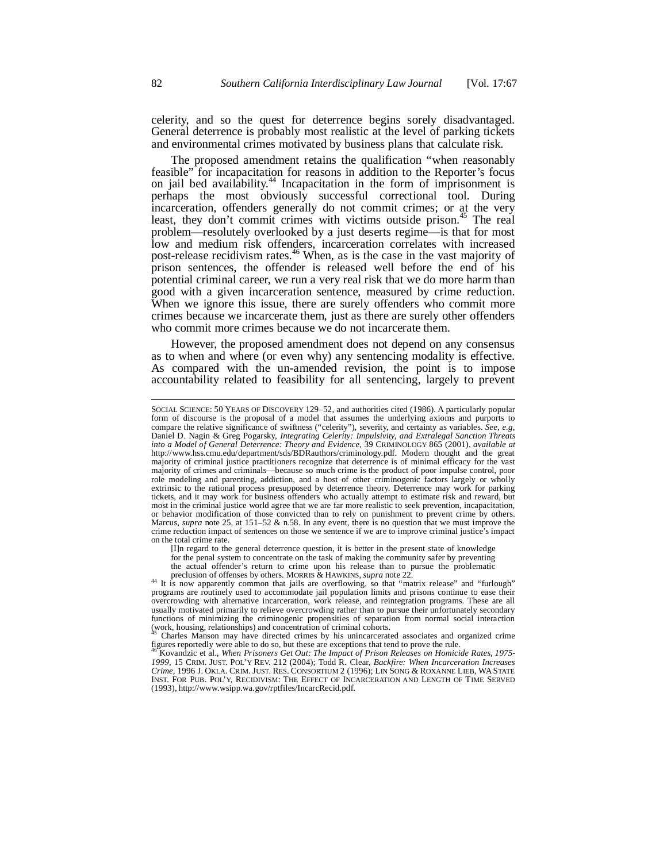celerity, and so the quest for deterrence begins sorely disadvantaged. General deterrence is probably most realistic at the level of parking tickets and environmental crimes motivated by business plans that calculate risk.

The proposed amendment retains the qualification "when reasonably feasible" for incapacitation for reasons in addition to the Reporter's focus on jail bed availability.<sup>44</sup> Incapacitation in the form of imprisonment is perhaps the most obviously successful correctional tool. During incarceration, offenders generally do not commit crimes; or at the very least, they don't commit crimes with victims outside prison.<sup>45</sup> The real problem—resolutely overlooked by a just deserts regime—is that for most low and medium risk offenders, incarceration correlates with increased post-release recidivism rates.<sup>46</sup> When, as is the case in the vast majority of prison sentences, the offender is released well before the end of his potential criminal career, we run a very real risk that we do more harm than good with a given incarceration sentence, measured by crime reduction. When we ignore this issue, there are surely offenders who commit more crimes because we incarcerate them, just as there are surely other offenders who commit more crimes because we do not incarcerate them.

However, the proposed amendment does not depend on any consensus as to when and where (or even why) any sentencing modality is effective. As compared with the un-amended revision, the point is to impose accountability related to feasibility for all sentencing, largely to prevent

[I]n regard to the general deterrence question, it is better in the present state of knowledge for the penal system to concentrate on the task of making the community safer by preventing the actual offender's return to crime upon his release than to pursue the problematic preclusion of offenses by others. MORRIS & HAWKINS, *supra* note 22.

SOCIAL SCIENCE: 50 YEARS OF DISCOVERY 129–52, and authorities cited (1986). A particularly popular form of discourse is the proposal of a model that assumes the underlying axioms and purports to compare the relative significance of swiftness ("celerity"), severity, and certainty as variables. *See, e.g*, Daniel D. Nagin & Greg Pogarsky, *Integrating Celerity: Impulsivity, and Extralegal Sanction Threats into a Model of General Deterrence: Theory and Evidence*, 39 CRIMINOLOGY 865 (2001), *available at* http://www.hss.cmu.edu/department/sds/BDRauthors/criminology.pdf. Modern thought and the great majority of criminal justice practitioners recognize that deterrence is of minimal efficacy for the vast majority of crimes and criminals—because so much crime is the product of poor impulse control, poor role modeling and parenting, addiction, and a host of other criminogenic factors largely or wholly extrinsic to the rational process presupposed by deterrence theory. Deterrence may work for parking tickets, and it may work for business offenders who actually attempt to estimate risk and reward, but most in the criminal justice world agree that we are far more realistic to seek prevention, incapacitation, or behavior modification of those convicted than to rely on punishment to prevent crime by others. Marcus, *supra* note 25, at 151–52 & n.58. In any event, there is no question that we must improve the crime reduction impact of sentences on those we sentence if we are to improve criminal justice's impact on the total crime rate.

<sup>&</sup>lt;sup>44</sup> It is now apparently common that jails are overflowing, so that "matrix release" and "furlough" programs are routinely used to accommodate jail population limits and prisons continue to ease their overcrowding with alternative incarceration, work release, and reintegration programs. These are all usually motivated primarily to relieve overcrowding rather than to pursue their unfortunately secondary functions of minimizing the criminogenic propensities of separation from normal social interaction (work, housing, relationships) and concentration of criminal cohorts.

<sup>45</sup> Charles Manson may have directed crimes by his unincarcerated associates and organized crime figures reportedly were able to do so, but these are exceptions that tend to prove the rule.

<sup>46</sup> Kovandzic et al., *When Prisoners Get Out: The Impact of Prison Releases on Homicide Rates, 1975- 1999*, 15 CRIM. JUST. POL'Y REV. 212 (2004); Todd R. Clear, *Backfire: When Incarceration Increases Crime,* 1996 J. OKLA. CRIM. JUST. RES. CONSORTIUM 2 (1996); LIN SONG & ROXANNE LIEB, WASTATE INST. FOR PUB. POL'Y, RECIDIVISM: THE EFFECT OF INCARCERATION AND LENGTH OF TIME SERVED (1993), http://www.wsipp.wa.gov/rptfiles/IncarcRecid.pdf.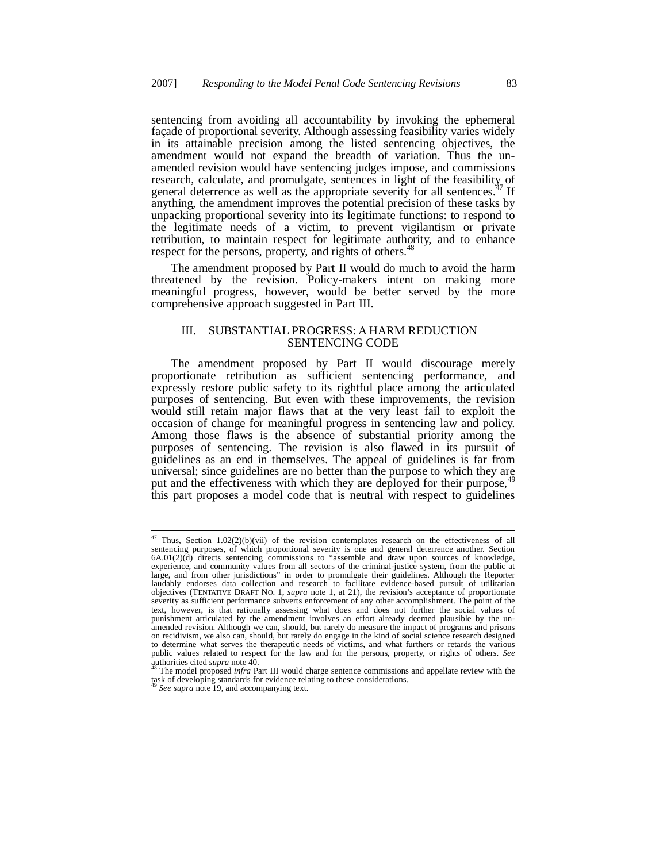sentencing from avoiding all accountability by invoking the ephemeral façade of proportional severity. Although assessing feasibility varies widely in its attainable precision among the listed sentencing objectives, the amendment would not expand the breadth of variation. Thus the unamended revision would have sentencing judges impose, and commissions research, calculate, and promulgate, sentences in light of the feasibility of general deterrence as well as the appropriate severity for all sentences.<sup> $4$ </sup> If anything, the amendment improves the potential precision of these tasks by unpacking proportional severity into its legitimate functions: to respond to the legitimate needs of a victim, to prevent vigilantism or private retribution, to maintain respect for legitimate authority, and to enhance respect for the persons, property, and rights of others.<sup>48</sup>

The amendment proposed by Part II would do much to avoid the harm threatened by the revision. Policy-makers intent on making more meaningful progress, however, would be better served by the more comprehensive approach suggested in Part III.

## III. SUBSTANTIAL PROGRESS: A HARM REDUCTION SENTENCING CODE

The amendment proposed by Part II would discourage merely proportionate retribution as sufficient sentencing performance, and expressly restore public safety to its rightful place among the articulated purposes of sentencing. But even with these improvements, the revision would still retain major flaws that at the very least fail to exploit the occasion of change for meaningful progress in sentencing law and policy. Among those flaws is the absence of substantial priority among the purposes of sentencing. The revision is also flawed in its pursuit of guidelines as an end in themselves. The appeal of guidelines is far from universal; since guidelines are no better than the purpose to which they are put and the effectiveness with which they are deployed for their purpose,<sup>4</sup> this part proposes a model code that is neutral with respect to guidelines

<sup>&</sup>lt;sup>47</sup> Thus, Section 1.02(2)(b)(vii) of the revision contemplates research on the effectiveness of all sentencing purposes, of which proportional severity is one and general deterrence another. Section 6A.01(2)(d) directs sentencing commissions to "assemble and draw upon sources of knowledge, experience, and community values from all sectors of the criminal-justice system, from the public at large, and from other jurisdictions" in order to promulgate their guidelines. Although the Reporter laudably endorses data collection and research to facilitate evidence-based pursuit of utilitarian objectives (TENTATIVE DRAFT NO. 1, *supra* note 1, at 21), the revision's acceptance of proportionate severity as sufficient performance subverts enforcement of any other accomplishment. The point of the text, however, is that rationally assessing what does and does not further the social values of punishment articulated by the amendment involves an effort already deemed plausible by the unamended revision. Although we can, should, but rarely do measure the impact of programs and prisons on recidivism, we also can, should, but rarely do engage in the kind of social science research designed to determine what serves the therapeutic needs of victims, and what furthers or retards the various public values related to respect for the law and for the persons, property, or rights of others. *See* authorities cited *supra* note 40.

The model proposed *infra* Part III would charge sentence commissions and appellate review with the task of developing standards for evidence relating to these considerations.

*See supra* note 19, and accompanying text.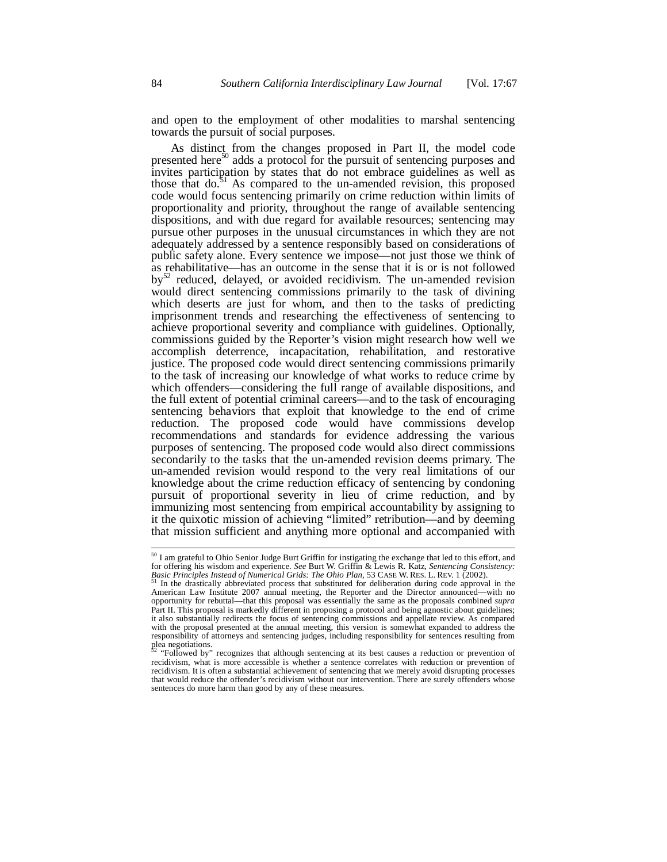and open to the employment of other modalities to marshal sentencing towards the pursuit of social purposes.

As distinct from the changes proposed in Part II, the model code presented here $50$  adds a protocol for the pursuit of sentencing purposes and invites participation by states that do not embrace guidelines as well as those that do. $51$  As compared to the un-amended revision, this proposed code would focus sentencing primarily on crime reduction within limits of proportionality and priority, throughout the range of available sentencing dispositions, and with due regard for available resources; sentencing may pursue other purposes in the unusual circumstances in which they are not adequately addressed by a sentence responsibly based on considerations of public safety alone. Every sentence we impose—not just those we think of as rehabilitative—has an outcome in the sense that it is or is not followed  $by<sup>52</sup>$  reduced, delayed, or avoided recidivism. The un-amended revision would direct sentencing commissions primarily to the task of divining which deserts are just for whom, and then to the tasks of predicting imprisonment trends and researching the effectiveness of sentencing to achieve proportional severity and compliance with guidelines. Optionally, commissions guided by the Reporter's vision might research how well we accomplish deterrence, incapacitation, rehabilitation, and restorative justice. The proposed code would direct sentencing commissions primarily to the task of increasing our knowledge of what works to reduce crime by which offenders—considering the full range of available dispositions, and the full extent of potential criminal careers—and to the task of encouraging sentencing behaviors that exploit that knowledge to the end of crime reduction. The proposed code would have commissions develop recommendations and standards for evidence addressing the various purposes of sentencing. The proposed code would also direct commissions secondarily to the tasks that the un-amended revision deems primary. The un-amended revision would respond to the very real limitations of our knowledge about the crime reduction efficacy of sentencing by condoning pursuit of proportional severity in lieu of crime reduction, and by immunizing most sentencing from empirical accountability by assigning to it the quixotic mission of achieving "limited" retribution—and by deeming that mission sufficient and anything more optional and accompanied with

<sup>50</sup> I am grateful to Ohio Senior Judge Burt Griffin for instigating the exchange that led to this effort, and for offering his wisdom and experience. *See* Burt W. Griffin & Lewis R. Katz, *Sentencing Consistency:* **Basic Principles Instead of Numerical Grids: The Ohio Plan, 53 CASE W. RES. L. REV. 1 (2002).**<br>Basic Principles Instead of Numerical Grids: The Ohio Plan, 53 CASE W. RES. L. REV. 1 (2002).

<sup>51</sup> In the drastically abbreviated process that substituted for deliberation during code approval in the American Law Institute 2007 annual meeting, the Reporter and the Director announced—with no opportunity for rebuttal—that this proposal was essentially the same as the proposals combined *supra* Part II. This proposal is markedly different in proposing a protocol and being agnostic about guidelines; it also substantially redirects the focus of sentencing commissions and appellate review. As compared with the proposal presented at the annual meeting, this version is somewhat expanded to address the responsibility of attorneys and sentencing judges, including responsibility for sentences resulting from plea negotiations. <sup>52</sup> "Followed by" recognizes that although sentencing at its best causes a reduction or prevention of

recidivism, what is more accessible is whether a sentence correlates with reduction or prevention of recidivism. It is often a substantial achievement of sentencing that we merely avoid disrupting processes that would reduce the offender's recidivism without our intervention. There are surely offenders whose sentences do more harm than good by any of these measures.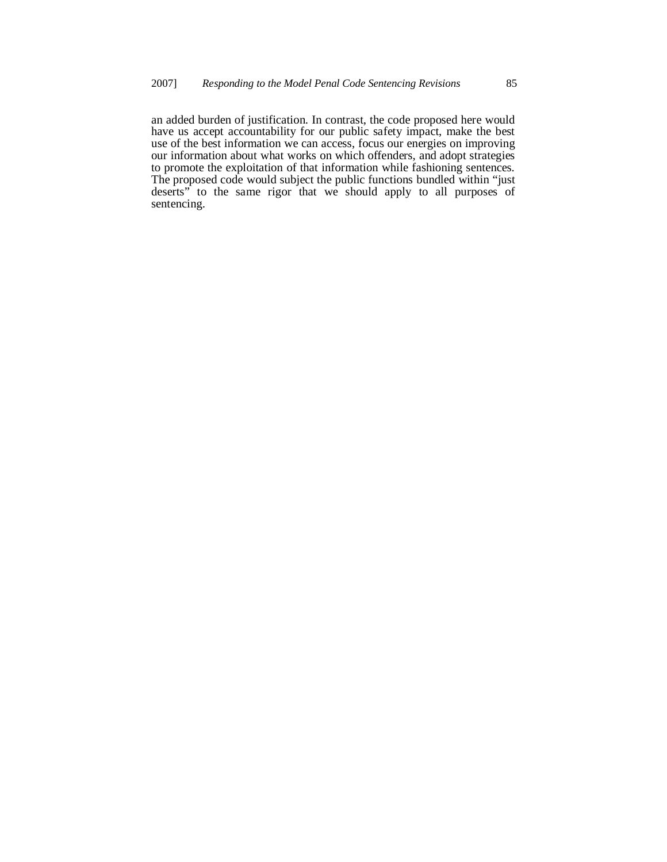an added burden of justification. In contrast, the code proposed here would have us accept accountability for our public safety impact, make the best use of the best information we can access, focus our energies on improving our information about what works on which offenders, and adopt strategies to promote the exploitation of that information while fashioning sentences. The proposed code would subject the public functions bundled within "just deserts" to the same rigor that we should apply to all purposes of sentencing.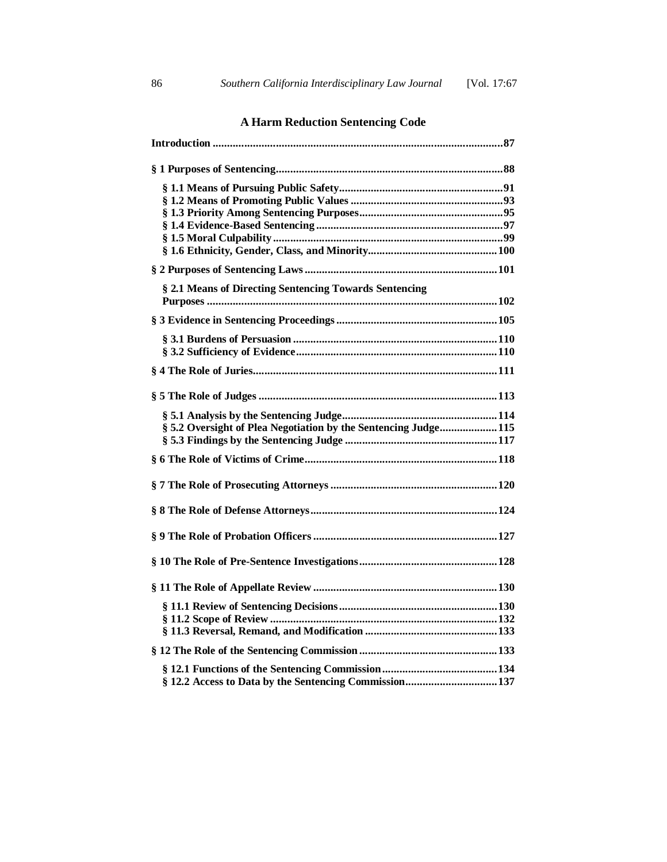# **A Harm Reduction Sentencing Code**

| § 2.1 Means of Directing Sentencing Towards Sentencing         |
|----------------------------------------------------------------|
|                                                                |
|                                                                |
|                                                                |
|                                                                |
|                                                                |
|                                                                |
|                                                                |
|                                                                |
|                                                                |
| § 5.2 Oversight of Plea Negotiation by the Sentencing Judge115 |
|                                                                |
|                                                                |
|                                                                |
|                                                                |
|                                                                |
|                                                                |
|                                                                |
|                                                                |
|                                                                |
|                                                                |
|                                                                |
|                                                                |
|                                                                |
|                                                                |
|                                                                |
|                                                                |
|                                                                |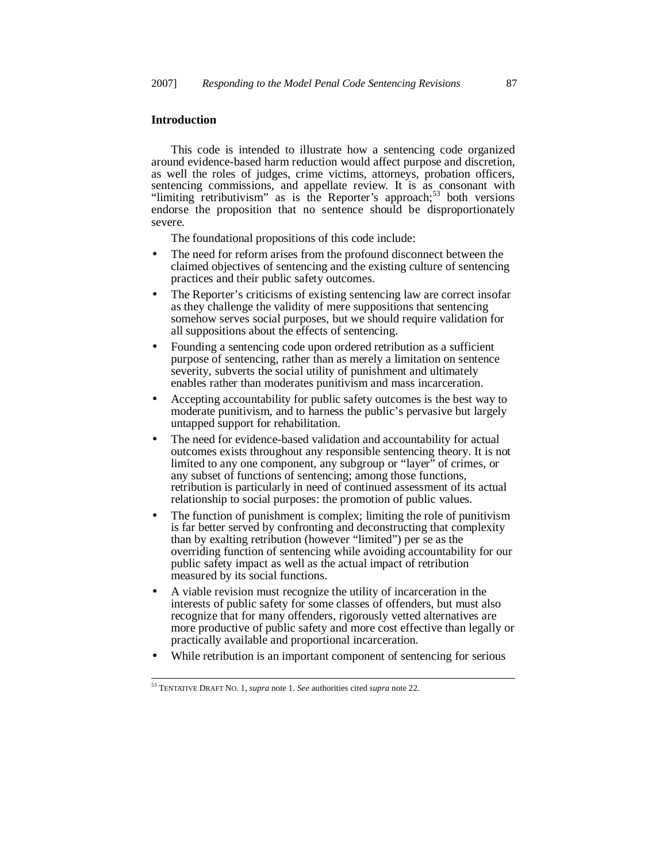## **Introduction**

This code is intended to illustrate how a sentencing code organized around evidence-based harm reduction would affect purpose and discretion, as well the roles of judges, crime victims, attorneys, probation officers, sentencing commissions, and appellate review. It is as consonant with "limiting retributivism" as is the Reporter's approach;<sup>53</sup> both versions endorse the proposition that no sentence should be disproportionately severe.

The foundational propositions of this code include:

- The need for reform arises from the profound disconnect between the claimed objectives of sentencing and the existing culture of sentencing practices and their public safety outcomes.
- The Reporter's criticisms of existing sentencing law are correct insofar as they challenge the validity of mere suppositions that sentencing somehow serves social purposes, but we should require validation for all suppositions about the effects of sentencing.
- Founding a sentencing code upon ordered retribution as a sufficient purpose of sentencing, rather than as merely a limitation on sentence severity, subverts the social utility of punishment and ultimately enables rather than moderates punitivism and mass incarceration.
- Accepting accountability for public safety outcomes is the best way to moderate punitivism, and to harness the public's pervasive but largely untapped support for rehabilitation.
- The need for evidence-based validation and accountability for actual outcomes exists throughout any responsible sentencing theory. It is not limited to any one component, any subgroup or "layer" of crimes, or any subset of functions of sentencing; among those functions, retribution is particularly in need of continued assessment of its actual relationship to social purposes: the promotion of public values.
- The function of punishment is complex; limiting the role of punitivism is far better served by confronting and deconstructing that complexity than by exalting retribution (however "limited") per se as the overriding function of sentencing while avoiding accountability for our public safety impact as well as the actual impact of retribution measured by its social functions.
- A viable revision must recognize the utility of incarceration in the interests of public safety for some classes of offenders, but must also recognize that for many offenders, rigorously vetted alternatives are more productive of public safety and more cost effective than legally or practically available and proportional incarceration.
- While retribution is an important component of sentencing for serious

<sup>53</sup> TENTATIVE DRAFT NO. 1, *supra* note 1. *See* authorities cited *supra* note 22.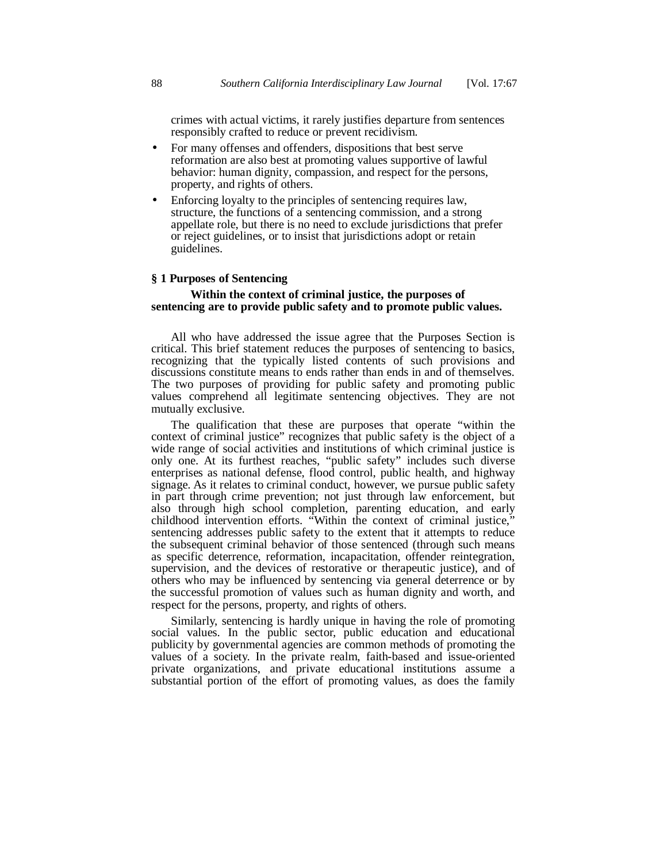crimes with actual victims, it rarely justifies departure from sentences responsibly crafted to reduce or prevent recidivism.

- For many offenses and offenders, dispositions that best serve reformation are also best at promoting values supportive of lawful behavior: human dignity, compassion, and respect for the persons, property, and rights of others.
- Enforcing loyalty to the principles of sentencing requires law, structure, the functions of a sentencing commission, and a strong appellate role, but there is no need to exclude jurisdictions that prefer or reject guidelines, or to insist that jurisdictions adopt or retain guidelines.

#### **§ 1 Purposes of Sentencing**

## **Within the context of criminal justice, the purposes of sentencing are to provide public safety and to promote public values.**

All who have addressed the issue agree that the Purposes Section is critical. This brief statement reduces the purposes of sentencing to basics, recognizing that the typically listed contents of such provisions and discussions constitute means to ends rather than ends in and of themselves. The two purposes of providing for public safety and promoting public values comprehend all legitimate sentencing objectives. They are not mutually exclusive.

The qualification that these are purposes that operate "within the context of criminal justice" recognizes that public safety is the object of a wide range of social activities and institutions of which criminal justice is only one. At its furthest reaches, "public safety" includes such diverse enterprises as national defense, flood control, public health, and highway signage. As it relates to criminal conduct, however, we pursue public safety in part through crime prevention; not just through law enforcement, but also through high school completion, parenting education, and early childhood intervention efforts. "Within the context of criminal justice," sentencing addresses public safety to the extent that it attempts to reduce the subsequent criminal behavior of those sentenced (through such means as specific deterrence, reformation, incapacitation, offender reintegration, supervision, and the devices of restorative or therapeutic justice), and of others who may be influenced by sentencing via general deterrence or by the successful promotion of values such as human dignity and worth, and respect for the persons, property, and rights of others.

Similarly, sentencing is hardly unique in having the role of promoting social values. In the public sector, public education and educational publicity by governmental agencies are common methods of promoting the values of a society. In the private realm, faith-based and issue-oriented private organizations, and private educational institutions assume a substantial portion of the effort of promoting values, as does the family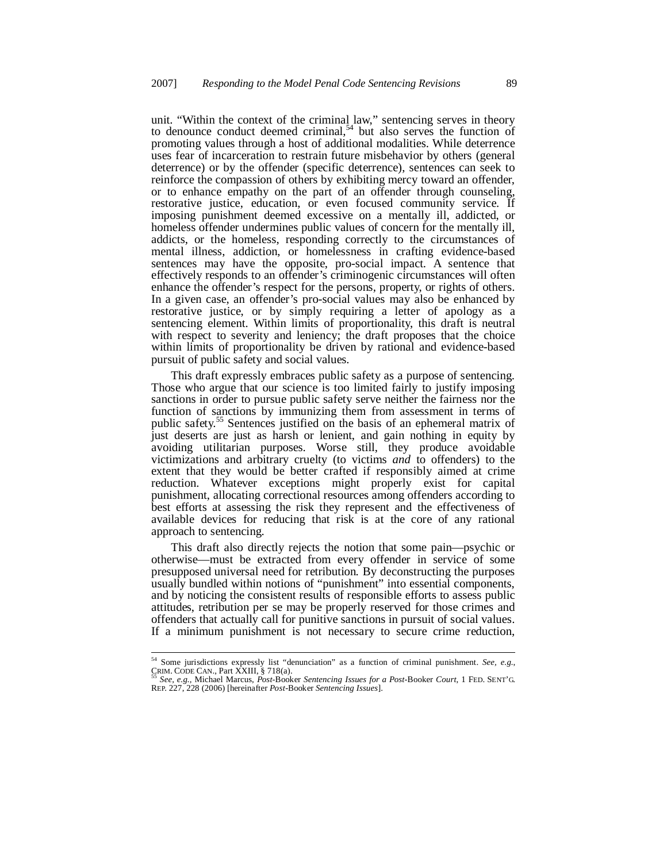unit. "Within the context of the criminal law," sentencing serves in theory to denounce conduct deemed criminal,<sup>54</sup> but also serves the function of promoting values through a host of additional modalities. While deterrence uses fear of incarceration to restrain future misbehavior by others (general deterrence) or by the offender (specific deterrence), sentences can seek to reinforce the compassion of others by exhibiting mercy toward an offender, or to enhance empathy on the part of an offender through counseling, restorative justice, education, or even focused community service. If imposing punishment deemed excessive on a mentally ill, addicted, or homeless offender undermines public values of concern for the mentally ill, addicts, or the homeless, responding correctly to the circumstances of mental illness, addiction, or homelessness in crafting evidence-based sentences may have the opposite, pro-social impact. A sentence that effectively responds to an offender's criminogenic circumstances will often enhance the offender's respect for the persons, property, or rights of others. In a given case, an offender's pro-social values may also be enhanced by restorative justice, or by simply requiring a letter of apology as a sentencing element. Within limits of proportionality, this draft is neutral with respect to severity and leniency; the draft proposes that the choice within limits of proportionality be driven by rational and evidence-based pursuit of public safety and social values.

This draft expressly embraces public safety as a purpose of sentencing. Those who argue that our science is too limited fairly to justify imposing sanctions in order to pursue public safety serve neither the fairness nor the function of sanctions by immunizing them from assessment in terms of public safety.<sup>55</sup> Sentences justified on the basis of an ephemeral matrix of just deserts are just as harsh or lenient, and gain nothing in equity by avoiding utilitarian purposes. Worse still, they produce avoidable victimizations and arbitrary cruelty (to victims *and* to offenders) to the extent that they would be better crafted if responsibly aimed at crime reduction. Whatever exceptions might properly exist for capital punishment, allocating correctional resources among offenders according to best efforts at assessing the risk they represent and the effectiveness of available devices for reducing that risk is at the core of any rational approach to sentencing.

This draft also directly rejects the notion that some pain—psychic or otherwise—must be extracted from every offender in service of some presupposed universal need for retribution*.* By deconstructing the purposes usually bundled within notions of "punishment" into essential components, and by noticing the consistent results of responsible efforts to assess public attitudes, retribution per se may be properly reserved for those crimes and offenders that actually call for punitive sanctions in pursuit of social values. If a minimum punishment is not necessary to secure crime reduction,

<sup>54</sup> Some jurisdictions expressly list "denunciation" as a function of criminal punishment. *See, e.g.*, CRIM. CODE CAN., Part XXIII, § 718(a).

<sup>55</sup> *See, e.g.,* Michael Marcus, *Post-*Booker *Sentencing Issues for a Post-*Booker *Court*, 1 FED. SENT'G. REP. 227, 228 (2006) [hereinafter *Post*-Booker *Sentencing Issues*].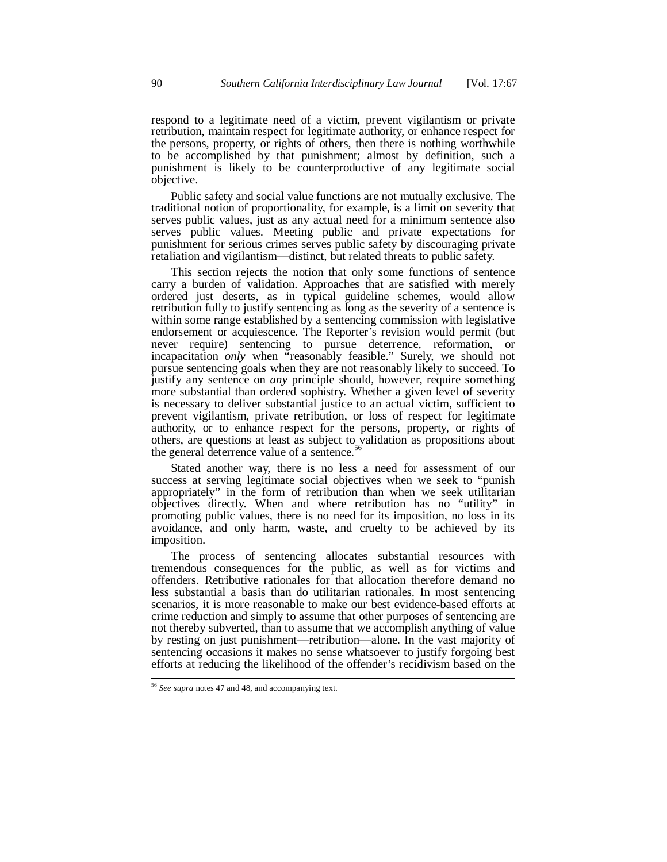respond to a legitimate need of a victim, prevent vigilantism or private retribution, maintain respect for legitimate authority, or enhance respect for the persons, property, or rights of others, then there is nothing worthwhile to be accomplished by that punishment; almost by definition, such a punishment is likely to be counterproductive of any legitimate social objective.

Public safety and social value functions are not mutually exclusive. The traditional notion of proportionality, for example, is a limit on severity that serves public values, just as any actual need for a minimum sentence also serves public values. Meeting public and private expectations for punishment for serious crimes serves public safety by discouraging private retaliation and vigilantism—distinct, but related threats to public safety.

This section rejects the notion that only some functions of sentence carry a burden of validation. Approaches that are satisfied with merely ordered just deserts, as in typical guideline schemes, would allow retribution fully to justify sentencing as long as the severity of a sentence is within some range established by a sentencing commission with legislative endorsement or acquiescence. The Reporter's revision would permit (but never require) sentencing to pursue deterrence, reformation, or incapacitation *only* when "reasonably feasible." Surely, we should not pursue sentencing goals when they are not reasonably likely to succeed. To justify any sentence on *any* principle should, however, require something more substantial than ordered sophistry. Whether a given level of severity is necessary to deliver substantial justice to an actual victim, sufficient to prevent vigilantism, private retribution, or loss of respect for legitimate authority, or to enhance respect for the persons, property, or rights of others, are questions at least as subject to validation as propositions about the general deterrence value of a sentence.<sup>56</sup>

Stated another way, there is no less a need for assessment of our success at serving legitimate social objectives when we seek to "punish appropriately" in the form of retribution than when we seek utilitarian objectives directly. When and where retribution has no "utility" in promoting public values, there is no need for its imposition, no loss in its avoidance, and only harm, waste, and cruelty to be achieved by its imposition.

The process of sentencing allocates substantial resources with tremendous consequences for the public, as well as for victims and offenders. Retributive rationales for that allocation therefore demand no less substantial a basis than do utilitarian rationales. In most sentencing scenarios, it is more reasonable to make our best evidence-based efforts at crime reduction and simply to assume that other purposes of sentencing are not thereby subverted, than to assume that we accomplish anything of value by resting on just punishment—retribution—alone. In the vast majority of sentencing occasions it makes no sense whatsoever to justify forgoing best efforts at reducing the likelihood of the offender's recidivism based on the

<sup>56</sup> *See supra* notes 47 and 48, and accompanying text.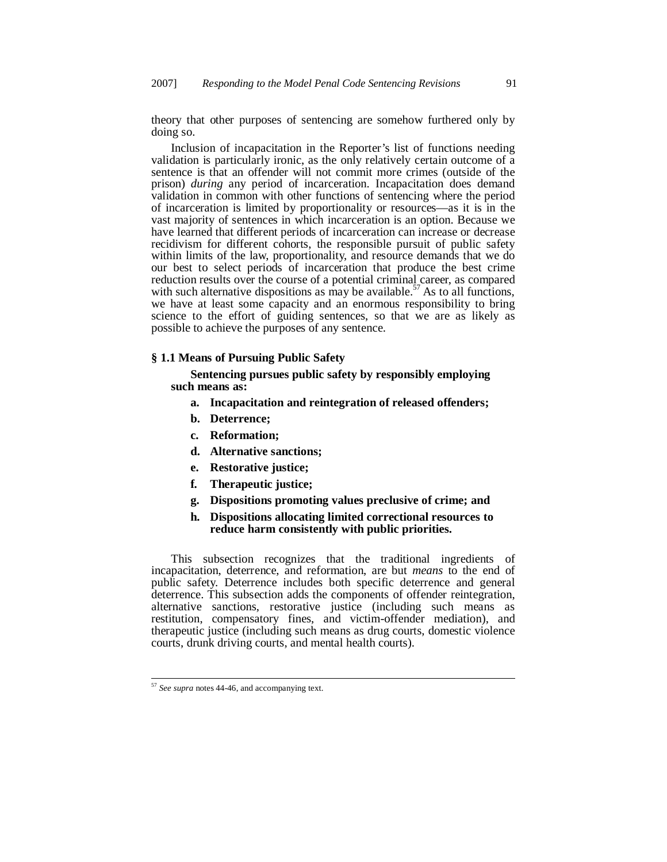theory that other purposes of sentencing are somehow furthered only by doing so.

Inclusion of incapacitation in the Reporter's list of functions needing validation is particularly ironic, as the only relatively certain outcome of a sentence is that an offender will not commit more crimes (outside of the prison) *during* any period of incarceration. Incapacitation does demand validation in common with other functions of sentencing where the period of incarceration is limited by proportionality or resources—as it is in the vast majority of sentences in which incarceration is an option. Because we have learned that different periods of incarceration can increase or decrease recidivism for different cohorts, the responsible pursuit of public safety within limits of the law, proportionality, and resource demands that we do our best to select periods of incarceration that produce the best crime reduction results over the course of a potential criminal career, as compared with such alternative dispositions as may be available.<sup>57</sup> As to all functions, we have at least some capacity and an enormous responsibility to bring science to the effort of guiding sentences, so that we are as likely as possible to achieve the purposes of any sentence.

### **§ 1.1 Means of Pursuing Public Safety**

 **Sentencing pursues public safety by responsibly employing such means as:**

- **a. Incapacitation and reintegration of released offenders;**
- **b. Deterrence;**
- **c. Reformation;**
- **d. Alternative sanctions;**
- **e. Restorative justice;**
- **f. Therapeutic justice;**
- **g. Dispositions promoting values preclusive of crime; and**
- **h. Dispositions allocating limited correctional resources to reduce harm consistently with public priorities.**

This subsection recognizes that the traditional ingredients of incapacitation, deterrence, and reformation, are but *means* to the end of public safety. Deterrence includes both specific deterrence and general deterrence. This subsection adds the components of offender reintegration, alternative sanctions, restorative justice (including such means as restitution, compensatory fines, and victim-offender mediation), and therapeutic justice (including such means as drug courts, domestic violence courts, drunk driving courts, and mental health courts).

<sup>57</sup> *See supra* notes 44-46, and accompanying text.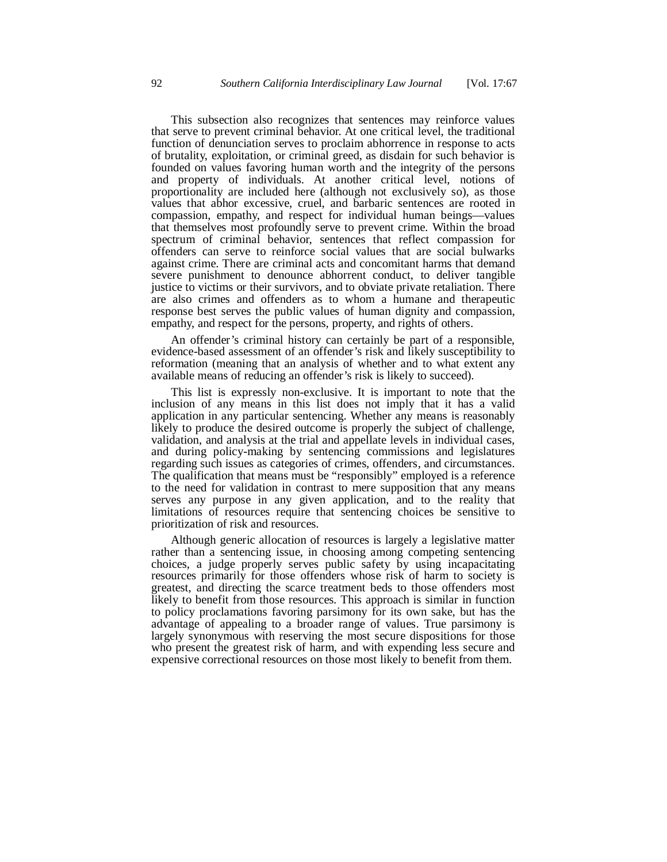This subsection also recognizes that sentences may reinforce values that serve to prevent criminal behavior. At one critical level, the traditional function of denunciation serves to proclaim abhorrence in response to acts of brutality, exploitation, or criminal greed, as disdain for such behavior is founded on values favoring human worth and the integrity of the persons and property of individuals. At another critical level, notions of proportionality are included here (although not exclusively so), as those values that abhor excessive, cruel, and barbaric sentences are rooted in compassion, empathy, and respect for individual human beings—values that themselves most profoundly serve to prevent crime. Within the broad spectrum of criminal behavior, sentences that reflect compassion for offenders can serve to reinforce social values that are social bulwarks against crime. There are criminal acts and concomitant harms that demand severe punishment to denounce abhorrent conduct, to deliver tangible justice to victims or their survivors, and to obviate private retaliation. There are also crimes and offenders as to whom a humane and therapeutic response best serves the public values of human dignity and compassion, empathy, and respect for the persons, property, and rights of others.

An offender's criminal history can certainly be part of a responsible, evidence-based assessment of an offender's risk and likely susceptibility to reformation (meaning that an analysis of whether and to what extent any available means of reducing an offender's risk is likely to succeed).

This list is expressly non-exclusive. It is important to note that the inclusion of any means in this list does not imply that it has a valid application in any particular sentencing. Whether any means is reasonably likely to produce the desired outcome is properly the subject of challenge, validation, and analysis at the trial and appellate levels in individual cases, and during policy-making by sentencing commissions and legislatures regarding such issues as categories of crimes, offenders, and circumstances. The qualification that means must be "responsibly" employed is a reference to the need for validation in contrast to mere supposition that any means serves any purpose in any given application, and to the reality that limitations of resources require that sentencing choices be sensitive to prioritization of risk and resources.

Although generic allocation of resources is largely a legislative matter rather than a sentencing issue, in choosing among competing sentencing choices, a judge properly serves public safety by using incapacitating resources primarily for those offenders whose risk of harm to society is greatest, and directing the scarce treatment beds to those offenders most likely to benefit from those resources. This approach is similar in function to policy proclamations favoring parsimony for its own sake, but has the advantage of appealing to a broader range of values. True parsimony is largely synonymous with reserving the most secure dispositions for those who present the greatest risk of harm, and with expending less secure and expensive correctional resources on those most likely to benefit from them.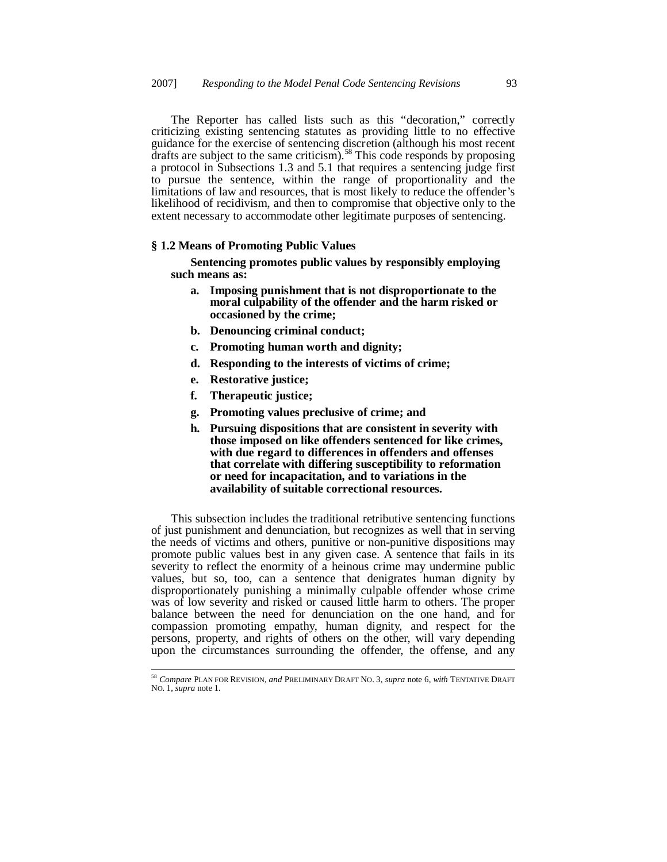The Reporter has called lists such as this "decoration," correctly criticizing existing sentencing statutes as providing little to no effective guidance for the exercise of sentencing discretion (although his most recent drafts are subject to the same criticism).<sup>58</sup> This code responds by proposing a protocol in Subsections 1.3 and 5.1 that requires a sentencing judge first to pursue the sentence, within the range of proportionality and the limitations of law and resources, that is most likely to reduce the offender's likelihood of recidivism, and then to compromise that objective only to the extent necessary to accommodate other legitimate purposes of sentencing.

## **§ 1.2 Means of Promoting Public Values**

**Sentencing promotes public values by responsibly employing such means as:**

- **a. Imposing punishment that is not disproportionate to the moral culpability of the offender and the harm risked or occasioned by the crime;**
- **b. Denouncing criminal conduct;**
- **c. Promoting human worth and dignity;**
- **d. Responding to the interests of victims of crime;**
- **e. Restorative justice;**
- **f. Therapeutic justice;**
- **g. Promoting values preclusive of crime; and**
- **h. Pursuing dispositions that are consistent in severity with those imposed on like offenders sentenced for like crimes, with due regard to differences in offenders and offenses that correlate with differing susceptibility to reformation or need for incapacitation, and to variations in the availability of suitable correctional resources.**

This subsection includes the traditional retributive sentencing functions of just punishment and denunciation, but recognizes as well that in serving the needs of victims and others, punitive or non-punitive dispositions may promote public values best in any given case. A sentence that fails in its severity to reflect the enormity of a heinous crime may undermine public values, but so, too, can a sentence that denigrates human dignity by disproportionately punishing a minimally culpable offender whose crime was of low severity and risked or caused little harm to others. The proper balance between the need for denunciation on the one hand, and for compassion promoting empathy, human dignity, and respect for the persons, property, and rights of others on the other, will vary depending upon the circumstances surrounding the offender, the offense, and any

<sup>58</sup> *Compare* PLAN FOR REVISION, *and* PRELIMINARY DRAFT NO. 3, *supra* note 6, *with* TENTATIVE DRAFT NO. 1, *supra* note 1.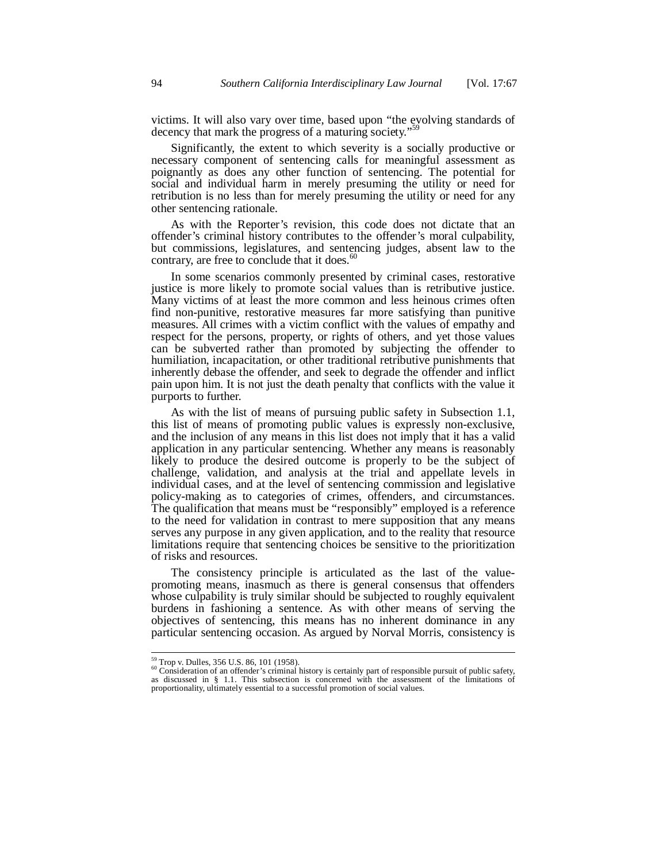victims. It will also vary over time, based upon "the evolving standards of decency that mark the progress of a maturing society."

Significantly, the extent to which severity is a socially productive or necessary component of sentencing calls for meaningful assessment as poignantly as does any other function of sentencing. The potential for social and individual harm in merely presuming the utility or need for retribution is no less than for merely presuming the utility or need for any other sentencing rationale.

As with the Reporter's revision, this code does not dictate that an offender's criminal history contributes to the offender's moral culpability, but commissions, legislatures, and sentencing judges, absent law to the contrary, are free to conclude that it does.<sup>6</sup>

In some scenarios commonly presented by criminal cases, restorative justice is more likely to promote social values than is retributive justice. Many victims of at least the more common and less heinous crimes often find non-punitive, restorative measures far more satisfying than punitive measures. All crimes with a victim conflict with the values of empathy and respect for the persons, property, or rights of others, and yet those values can be subverted rather than promoted by subjecting the offender to humiliation, incapacitation, or other traditional retributive punishments that inherently debase the offender, and seek to degrade the offender and inflict pain upon him. It is not just the death penalty that conflicts with the value it purports to further.

As with the list of means of pursuing public safety in Subsection 1.1, this list of means of promoting public values is expressly non-exclusive, and the inclusion of any means in this list does not imply that it has a valid application in any particular sentencing. Whether any means is reasonably likely to produce the desired outcome is properly to be the subject of challenge, validation, and analysis at the trial and appellate levels in individual cases, and at the level of sentencing commission and legislative policy-making as to categories of crimes, offenders, and circumstances. The qualification that means must be "responsibly" employed is a reference to the need for validation in contrast to mere supposition that any means serves any purpose in any given application, and to the reality that resource limitations require that sentencing choices be sensitive to the prioritization of risks and resources.

The consistency principle is articulated as the last of the valuepromoting means, inasmuch as there is general consensus that offenders whose culpability is truly similar should be subjected to roughly equivalent burdens in fashioning a sentence. As with other means of serving the objectives of sentencing, this means has no inherent dominance in any particular sentencing occasion. As argued by Norval Morris, consistency is

<sup>&</sup>lt;sup>59</sup> Trop v. Dulles, 356 U.S. 86, 101 (1958).<br><sup>60</sup> Consideration of an offender's criminal history is certainly part of responsible pursuit of public safety, as discussed in § 1.1. This subsection is concerned with the assessment of the limitations of proportionality, ultimately essential to a successful promotion of social values.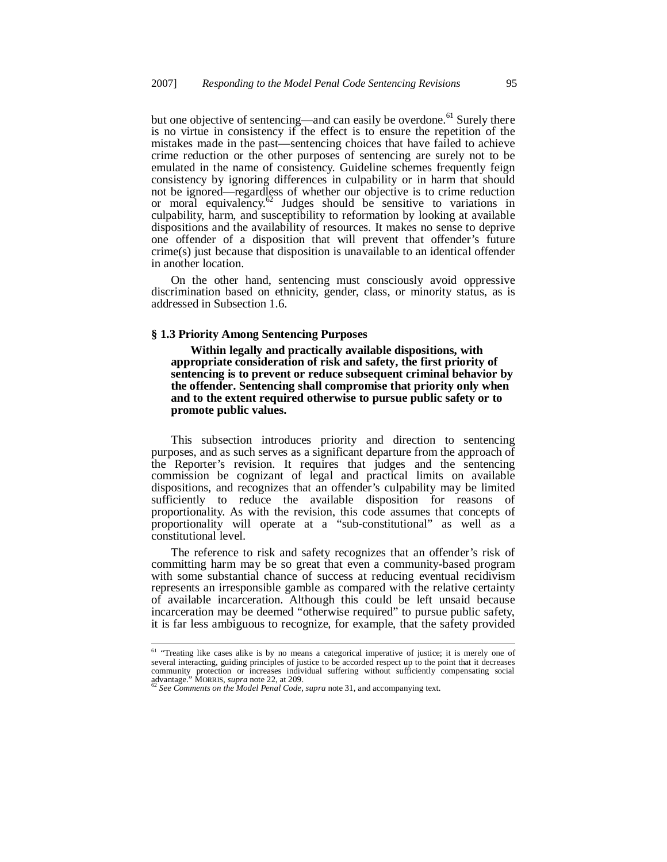but one objective of sentencing—and can easily be overdone.<sup>61</sup> Surely there is no virtue in consistency if the effect is to ensure the repetition of the mistakes made in the past—sentencing choices that have failed to achieve crime reduction or the other purposes of sentencing are surely not to be emulated in the name of consistency. Guideline schemes frequently feign consistency by ignoring differences in culpability or in harm that should not be ignored—regardless of whether our objective is to crime reduction or moral equivalency. $62$  Judges should be sensitive to variations in culpability, harm, and susceptibility to reformation by looking at available dispositions and the availability of resources. It makes no sense to deprive one offender of a disposition that will prevent that offender's future crime(s) just because that disposition is unavailable to an identical offender in another location.

On the other hand, sentencing must consciously avoid oppressive discrimination based on ethnicity, gender, class, or minority status, as is addressed in Subsection 1.6.

## **§ 1.3 Priority Among Sentencing Purposes**

 **Within legally and practically available dispositions, with appropriate consideration of risk and safety, the first priority of sentencing is to prevent or reduce subsequent criminal behavior by the offender. Sentencing shall compromise that priority only when and to the extent required otherwise to pursue public safety or to promote public values.**

This subsection introduces priority and direction to sentencing purposes, and as such serves as a significant departure from the approach of the Reporter's revision. It requires that judges and the sentencing commission be cognizant of legal and practical limits on available dispositions, and recognizes that an offender's culpability may be limited sufficiently to reduce the available disposition for reasons of proportionality. As with the revision, this code assumes that concepts of proportionality will operate at a "sub-constitutional" as well as a constitutional level.

The reference to risk and safety recognizes that an offender's risk of committing harm may be so great that even a community-based program with some substantial chance of success at reducing eventual recidivism represents an irresponsible gamble as compared with the relative certainty of available incarceration. Although this could be left unsaid because incarceration may be deemed "otherwise required" to pursue public safety, it is far less ambiguous to recognize, for example, that the safety provided

<sup>&</sup>lt;sup>61</sup> "Treating like cases alike is by no means a categorical imperative of justice; it is merely one of several interacting, guiding principles of justice to be accorded respect up to the point that it decreases community protection or increases individual suffering without sufficiently compensating social advantage." MORRIS, *supra* note 22, at 209. <sup>62</sup> *See Comments on the Model Penal Code, supra* note 31, and accompanying text.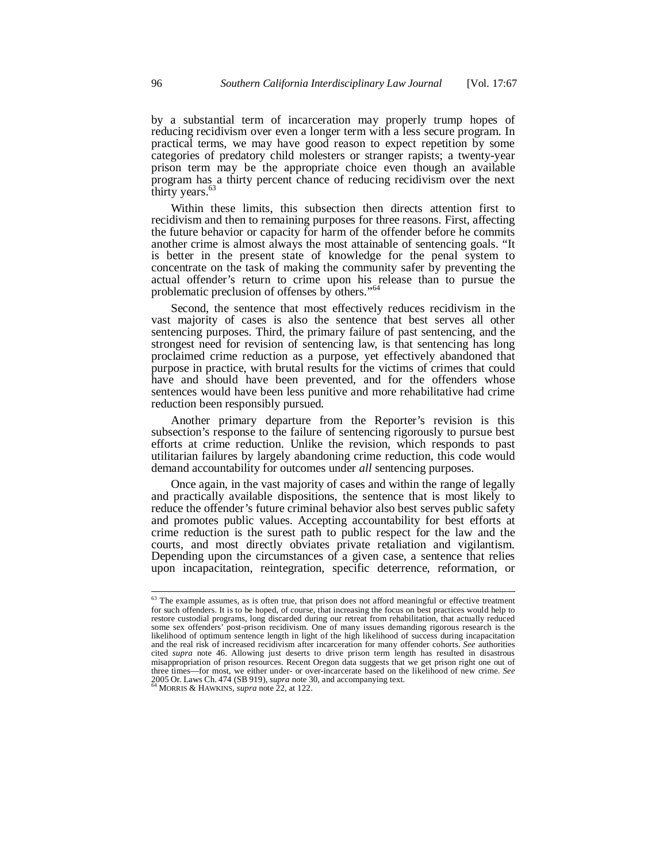by a substantial term of incarceration may properly trump hopes of reducing recidivism over even a longer term with a less secure program. In practical terms, we may have good reason to expect repetition by some categories of predatory child molesters or stranger rapists; a twenty-year prison term may be the appropriate choice even though an available program has a thirty percent chance of reducing recidivism over the next thirty years. $6$ 

Within these limits, this subsection then directs attention first to recidivism and then to remaining purposes for three reasons. First, affecting the future behavior or capacity for harm of the offender before he commits another crime is almost always the most attainable of sentencing goals. "It is better in the present state of knowledge for the penal system to concentrate on the task of making the community safer by preventing the actual offender's return to crime upon his release than to pursue the problematic preclusion of offenses by others."<sup>64</sup>

Second, the sentence that most effectively reduces recidivism in the vast majority of cases is also the sentence that best serves all other sentencing purposes. Third, the primary failure of past sentencing, and the strongest need for revision of sentencing law, is that sentencing has long proclaimed crime reduction as a purpose, yet effectively abandoned that purpose in practice, with brutal results for the victims of crimes that could have and should have been prevented, and for the offenders whose sentences would have been less punitive and more rehabilitative had crime reduction been responsibly pursued.

Another primary departure from the Reporter's revision is this subsection's response to the failure of sentencing rigorously to pursue best efforts at crime reduction. Unlike the revision, which responds to past utilitarian failures by largely abandoning crime reduction, this code would demand accountability for outcomes under *all* sentencing purposes.

Once again, in the vast majority of cases and within the range of legally and practically available dispositions, the sentence that is most likely to reduce the offender's future criminal behavior also best serves public safety and promotes public values. Accepting accountability for best efforts at crime reduction is the surest path to public respect for the law and the courts, and most directly obviates private retaliation and vigilantism. Depending upon the circumstances of a given case, a sentence that relies upon incapacitation, reintegration, specific deterrence, reformation, or

<sup>&</sup>lt;sup>63</sup> The example assumes, as is often true, that prison does not afford meaningful or effective treatment for such offenders. It is to be hoped, of course, that increasing the focus on best practices would help to restore custodial programs, long discarded during our retreat from rehabilitation, that actually reduced some sex offenders' post-prison recidivism. One of many issues demanding rigorous research is the likelihood of optimum sentence length in light of the high likelihood of success during incapacitation and the real risk of increased recidivism after incarceration for many offender cohorts. *See* authorities cited *supra* note 46. Allowing just deserts to drive prison term length has resulted in disastrous misappropriation of prison resources. Recent Oregon data suggests that we get prison right one out of three times—for most, we either under- or over-incarcerate based on the likelihood of new crime. *See* 2005 Or. Laws Ch. 474 (SB 919), *supra* note 30, and accompanying text. <sup>64</sup> MORRIS & HAWKINS, *supra* note 22, at 122.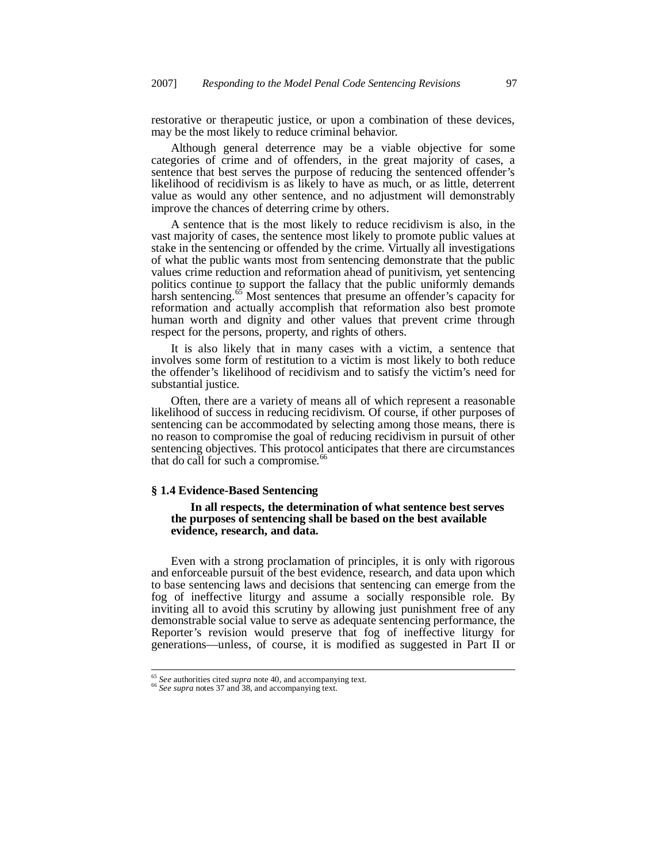restorative or therapeutic justice, or upon a combination of these devices, may be the most likely to reduce criminal behavior.

Although general deterrence may be a viable objective for some categories of crime and of offenders, in the great majority of cases, a sentence that best serves the purpose of reducing the sentenced offender's likelihood of recidivism is as likely to have as much, or as little, deterrent value as would any other sentence, and no adjustment will demonstrably improve the chances of deterring crime by others.

A sentence that is the most likely to reduce recidivism is also, in the vast majority of cases, the sentence most likely to promote public values at stake in the sentencing or offended by the crime. Virtually all investigations of what the public wants most from sentencing demonstrate that the public values crime reduction and reformation ahead of punitivism, yet sentencing politics continue to support the fallacy that the public uniformly demands harsh sentencing.<sup>65</sup> Most sentences that presume an offender's capacity for reformation and actually accomplish that reformation also best promote human worth and dignity and other values that prevent crime through respect for the persons, property, and rights of others.

It is also likely that in many cases with a victim, a sentence that involves some form of restitution to a victim is most likely to both reduce the offender's likelihood of recidivism and to satisfy the victim's need for substantial justice.

Often, there are a variety of means all of which represent a reasonable likelihood of success in reducing recidivism. Of course, if other purposes of sentencing can be accommodated by selecting among those means, there is no reason to compromise the goal of reducing recidivism in pursuit of other sentencing objectives. This protocol anticipates that there are circumstances that do call for such a compromise.<sup>66</sup>

## **§ 1.4 Evidence-Based Sentencing**

#### **In all respects, the determination of what sentence best serves the purposes of sentencing shall be based on the best available evidence, research, and data.**

Even with a strong proclamation of principles, it is only with rigorous and enforceable pursuit of the best evidence, research, and data upon which to base sentencing laws and decisions that sentencing can emerge from the fog of ineffective liturgy and assume a socially responsible role. By inviting all to avoid this scrutiny by allowing just punishment free of any demonstrable social value to serve as adequate sentencing performance, the Reporter's revision would preserve that fog of ineffective liturgy for generations—unless, of course, it is modified as suggested in Part II or

<sup>65</sup> *See* authorities cited *supra* note 40, and accompanying text.

<sup>66</sup> *See supra* notes 37 and 38, and accompanying text.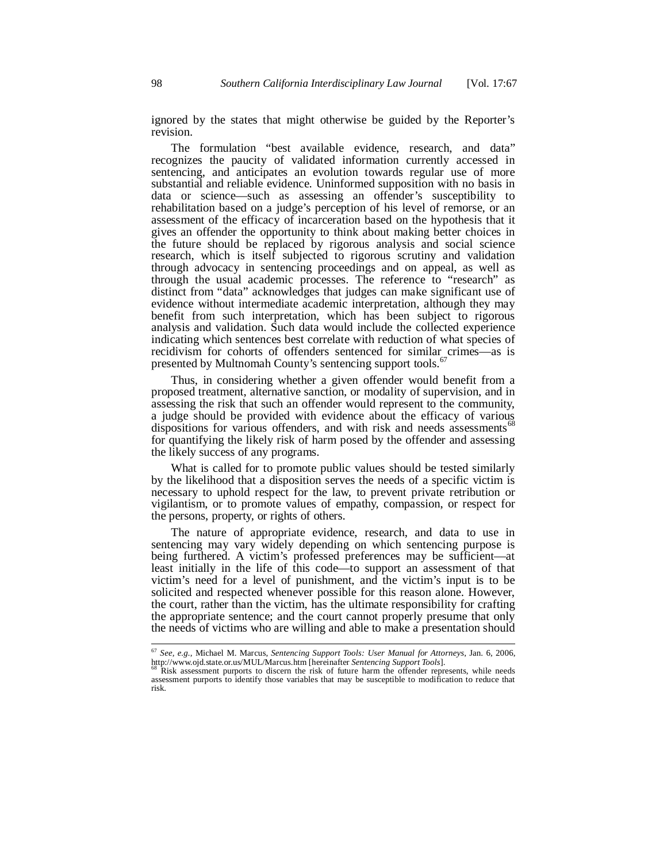ignored by the states that might otherwise be guided by the Reporter's revision.

The formulation "best available evidence, research, and data" recognizes the paucity of validated information currently accessed in sentencing, and anticipates an evolution towards regular use of more substantial and reliable evidence. Uninformed supposition with no basis in data or science—such as assessing an offender's susceptibility to rehabilitation based on a judge's perception of his level of remorse, or an assessment of the efficacy of incarceration based on the hypothesis that it gives an offender the opportunity to think about making better choices in the future should be replaced by rigorous analysis and social science research, which is itself subjected to rigorous scrutiny and validation through advocacy in sentencing proceedings and on appeal, as well as through the usual academic processes. The reference to "research" as distinct from "data" acknowledges that judges can make significant use of evidence without intermediate academic interpretation, although they may benefit from such interpretation, which has been subject to rigorous analysis and validation. Such data would include the collected experience indicating which sentences best correlate with reduction of what species of recidivism for cohorts of offenders sentenced for similar crimes—as is presented by Multnomah County's sentencing support tools.<sup>6</sup>

Thus, in considering whether a given offender would benefit from a proposed treatment, alternative sanction, or modality of supervision, and in assessing the risk that such an offender would represent to the community, a judge should be provided with evidence about the efficacy of various dispositions for various offenders, and with risk and needs assessments<sup> $\infty$ </sup> for quantifying the likely risk of harm posed by the offender and assessing the likely success of any programs.

What is called for to promote public values should be tested similarly by the likelihood that a disposition serves the needs of a specific victim is necessary to uphold respect for the law, to prevent private retribution or vigilantism, or to promote values of empathy, compassion, or respect for the persons, property, or rights of others.

The nature of appropriate evidence, research, and data to use in sentencing may vary widely depending on which sentencing purpose is being furthered. A victim's professed preferences may be sufficient—at least initially in the life of this code—to support an assessment of that victim's need for a level of punishment, and the victim's input is to be solicited and respected whenever possible for this reason alone. However, the court, rather than the victim, has the ultimate responsibility for crafting the appropriate sentence; and the court cannot properly presume that only the needs of victims who are willing and able to make a presentation should

<sup>67</sup> *See, e.g.,* Michael M. Marcus, *Sentencing Support Tools: User Manual for Attorneys*, Jan. 6, 2006, http://www.ojd.state.or.us/MUL/Marcus.htm [hereinafter *Sentencing Support Tools*].<br><sup>68</sup> Risk assessment purports to discern the risk of future harm the offender represents, while needs

assessment purports to identify those variables that may be susceptible to modification to reduce that risk.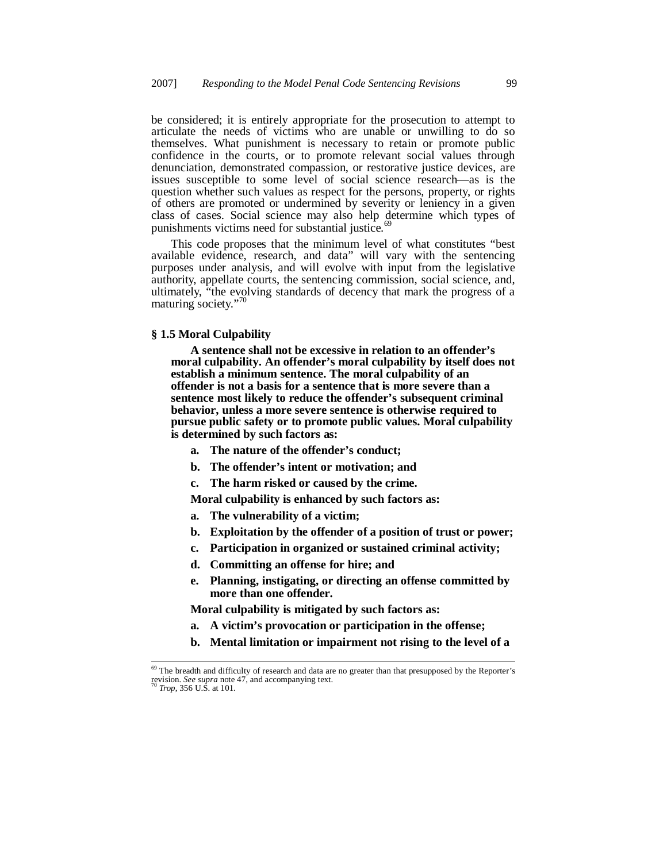be considered; it is entirely appropriate for the prosecution to attempt to articulate the needs of victims who are unable or unwilling to do so themselves. What punishment is necessary to retain or promote public confidence in the courts, or to promote relevant social values through denunciation, demonstrated compassion, or restorative justice devices, are issues susceptible to some level of social science research—as is the question whether such values as respect for the persons, property, or rights of others are promoted or undermined by severity or leniency in a given class of cases. Social science may also help determine which types of punishments victims need for substantial justice.<sup>6</sup>

This code proposes that the minimum level of what constitutes "best available evidence, research, and data" will vary with the sentencing purposes under analysis, and will evolve with input from the legislative authority, appellate courts, the sentencing commission, social science, and, ultimately, "the evolving standards of decency that mark the progress of a maturing society."<sup>70</sup>

# **§ 1.5 Moral Culpability**

**A sentence shall not be excessive in relation to an offender's moral culpability. An offender's moral culpability by itself does not establish a minimum sentence. The moral culpability of an offender is not a basis for a sentence that is more severe than a sentence most likely to reduce the offender's subsequent criminal behavior, unless a more severe sentence is otherwise required to pursue public safety or to promote public values. Moral culpability is determined by such factors as:**

- **a. The nature of the offender's conduct;**
- **b. The offender's intent or motivation; and**
- **c. The harm risked or caused by the crime.**
- **Moral culpability is enhanced by such factors as:**
- **a. The vulnerability of a victim;**
- **b. Exploitation by the offender of a position of trust or power;**
- **c. Participation in organized or sustained criminal activity;**
- **d. Committing an offense for hire; and**
- **e. Planning, instigating, or directing an offense committed by more than one offender.**

 **Moral culpability is mitigated by such factors as:**

- **a. A victim's provocation or participation in the offense;**
- **b. Mental limitation or impairment not rising to the level of a**

<sup>&</sup>lt;sup>69</sup> The breadth and difficulty of research and data are no greater than that presupposed by the Reporter's revision. *See supra* note 47, and accompanying text. <sup>70</sup> *Trop*, 356 U.S. at 101.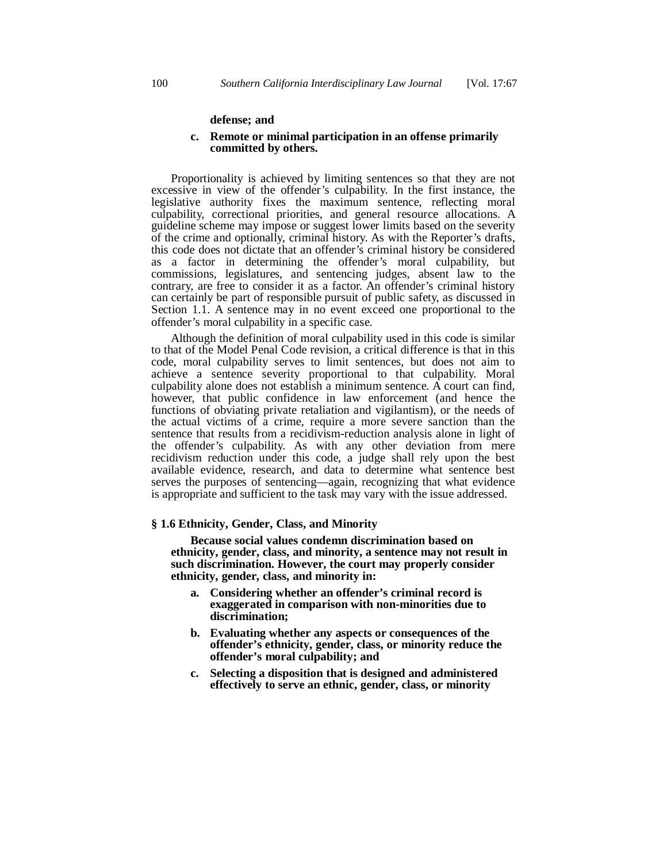#### **defense; and**

## **c. Remote or minimal participation in an offense primarily committed by others.**

Proportionality is achieved by limiting sentences so that they are not excessive in view of the offender's culpability. In the first instance, the legislative authority fixes the maximum sentence, reflecting moral culpability, correctional priorities, and general resource allocations. A guideline scheme may impose or suggest lower limits based on the severity of the crime and optionally, criminal history. As with the Reporter's drafts, this code does not dictate that an offender's criminal history be considered as a factor in determining the offender's moral culpability, but commissions, legislatures, and sentencing judges, absent law to the contrary, are free to consider it as a factor. An offender's criminal history can certainly be part of responsible pursuit of public safety, as discussed in Section 1.1. A sentence may in no event exceed one proportional to the offender's moral culpability in a specific case.

Although the definition of moral culpability used in this code is similar to that of the Model Penal Code revision, a critical difference is that in this code, moral culpability serves to limit sentences, but does not aim to achieve a sentence severity proportional to that culpability. Moral culpability alone does not establish a minimum sentence. A court can find, however, that public confidence in law enforcement (and hence the functions of obviating private retaliation and vigilantism), or the needs of the actual victims of a crime, require a more severe sanction than the sentence that results from a recidivism-reduction analysis alone in light of the offender's culpability. As with any other deviation from mere recidivism reduction under this code, a judge shall rely upon the best available evidence, research, and data to determine what sentence best serves the purposes of sentencing—again, recognizing that what evidence is appropriate and sufficient to the task may vary with the issue addressed.

### **§ 1.6 Ethnicity, Gender, Class, and Minority**

 **Because social values condemn discrimination based on ethnicity, gender, class, and minority, a sentence may not result in such discrimination. However, the court may properly consider ethnicity, gender, class, and minority in:**

- **a. Considering whether an offender's criminal record is exaggerated in comparison with non-minorities due to discrimination;**
- **b. Evaluating whether any aspects or consequences of the offender's ethnicity, gender, class, or minority reduce the offender's moral culpability; and**
- **c. Selecting a disposition that is designed and administered effectively to serve an ethnic, gender, class, or minority**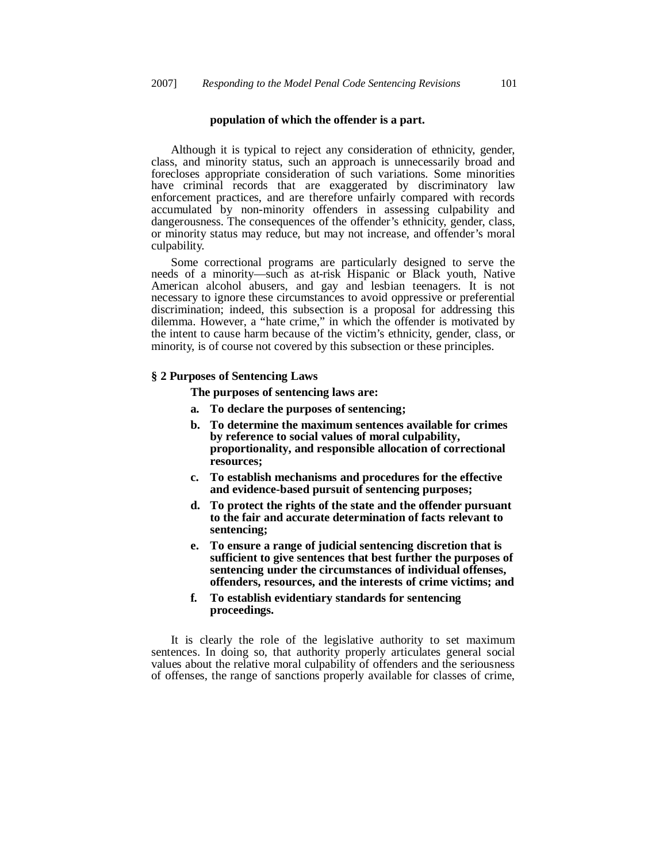#### **population of which the offender is a part.**

Although it is typical to reject any consideration of ethnicity, gender, class, and minority status, such an approach is unnecessarily broad and forecloses appropriate consideration of such variations. Some minorities have criminal records that are exaggerated by discriminatory law enforcement practices, and are therefore unfairly compared with records accumulated by non-minority offenders in assessing culpability and dangerousness. The consequences of the offender's ethnicity, gender, class, or minority status may reduce, but may not increase, and offender's moral culpability.

Some correctional programs are particularly designed to serve the needs of a minority—such as at-risk Hispanic or Black youth, Native American alcohol abusers, and gay and lesbian teenagers. It is not necessary to ignore these circumstances to avoid oppressive or preferential discrimination; indeed, this subsection is a proposal for addressing this dilemma. However, a "hate crime," in which the offender is motivated by the intent to cause harm because of the victim's ethnicity, gender, class, or minority, is of course not covered by this subsection or these principles.

## **§ 2 Purposes of Sentencing Laws**

 **The purposes of sentencing laws are:**

- **a. To declare the purposes of sentencing;**
- **b. To determine the maximum sentences available for crimes by reference to social values of moral culpability, proportionality, and responsible allocation of correctional resources;**
- **c. To establish mechanisms and procedures for the effective and evidence-based pursuit of sentencing purposes;**
- **d. To protect the rights of the state and the offender pursuant to the fair and accurate determination of facts relevant to sentencing;**
- **e. To ensure a range of judicial sentencing discretion that is sufficient to give sentences that best further the purposes of sentencing under the circumstances of individual offenses, offenders, resources, and the interests of crime victims; and**
- **f. To establish evidentiary standards for sentencing proceedings.**

It is clearly the role of the legislative authority to set maximum sentences. In doing so, that authority properly articulates general social values about the relative moral culpability of offenders and the seriousness of offenses, the range of sanctions properly available for classes of crime,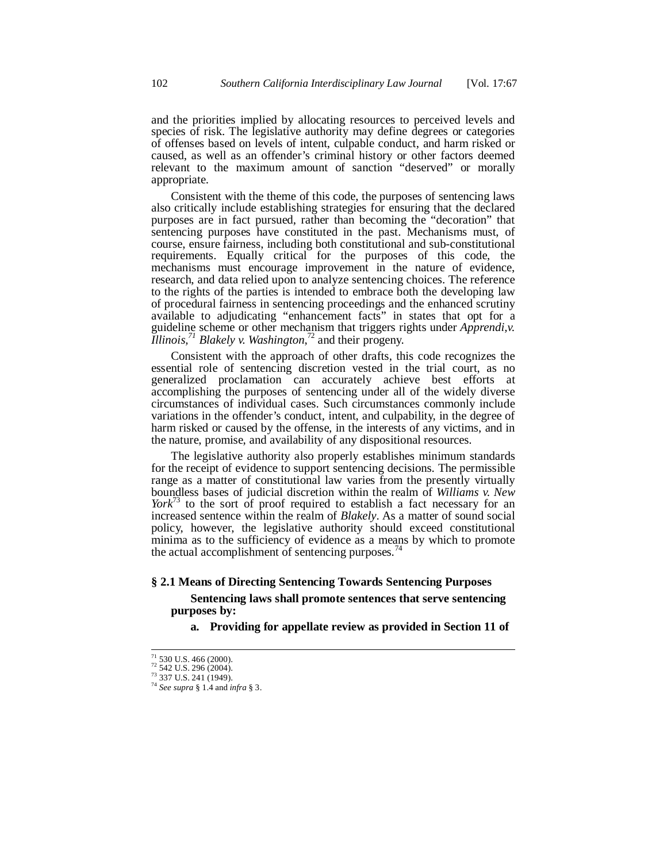and the priorities implied by allocating resources to perceived levels and species of risk. The legislative authority may define degrees or categories of offenses based on levels of intent, culpable conduct, and harm risked or caused, as well as an offender's criminal history or other factors deemed relevant to the maximum amount of sanction "deserved" or morally appropriate.

Consistent with the theme of this code, the purposes of sentencing laws also critically include establishing strategies for ensuring that the declared purposes are in fact pursued, rather than becoming the "decoration" that sentencing purposes have constituted in the past. Mechanisms must, of course, ensure fairness, including both constitutional and sub-constitutional requirements. Equally critical for the purposes of this code, the mechanisms must encourage improvement in the nature of evidence, research, and data relied upon to analyze sentencing choices. The reference to the rights of the parties is intended to embrace both the developing law of procedural fairness in sentencing proceedings and the enhanced scrutiny available to adjudicating "enhancement facts" in states that opt for a guideline scheme or other mechanism that triggers rights under *Apprendi,v. Illinois,<sup>71</sup> Blakely v. Washington*, <sup>72</sup> and their progeny.

Consistent with the approach of other drafts, this code recognizes the essential role of sentencing discretion vested in the trial court, as no generalized proclamation can accurately achieve best efforts at accomplishing the purposes of sentencing under all of the widely diverse circumstances of individual cases. Such circumstances commonly include variations in the offender's conduct, intent, and culpability, in the degree of harm risked or caused by the offense, in the interests of any victims, and in the nature, promise, and availability of any dispositional resources.

The legislative authority also properly establishes minimum standards for the receipt of evidence to support sentencing decisions. The permissible range as a matter of constitutional law varies from the presently virtually boundless bases of judicial discretion within the realm of *Williams v. New York*<sup>73</sup> to the sort of proof required to establish a fact necessary for an increased sentence within the realm of *Blakely*. As a matter of sound social policy, however, the legislative authority should exceed constitutional minima as to the sufficiency of evidence as a means by which to promote the actual accomplishment of sentencing purposes.<sup>74</sup>

## **§ 2.1 Means of Directing Sentencing Towards Sentencing Purposes**

# **Sentencing laws shall promote sentences that serve sentencing purposes by:**

**a. Providing for appellate review as provided in Section 11 of**

<sup>&</sup>lt;sup>71</sup> 530 U.S. 466 (2000).<br><sup>72</sup> 542 U.S. 296 (2004).

<sup>73</sup> 337 U.S. 241 (1949).

<sup>74</sup> *See supra* § 1.4 and *infra* § 3.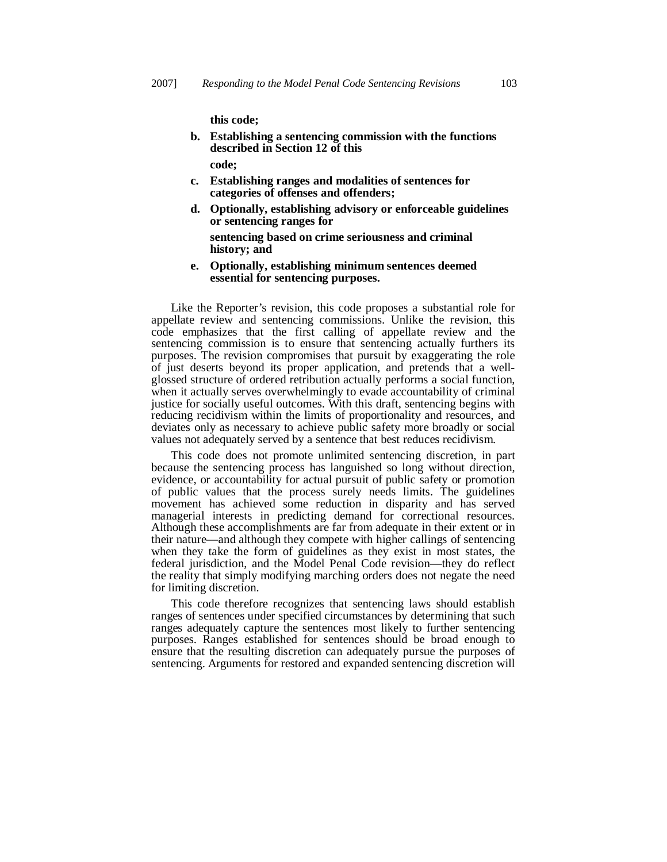**this code;**

- **b. Establishing a sentencing commission with the functions described in Section 12 of this code;**
- **c. Establishing ranges and modalities of sentences for categories of offenses and offenders;**
- **d. Optionally, establishing advisory or enforceable guidelines or sentencing ranges for**

 **sentencing based on crime seriousness and criminal history; and**

**e. Optionally, establishing minimum sentences deemed essential for sentencing purposes.**

Like the Reporter's revision, this code proposes a substantial role for appellate review and sentencing commissions. Unlike the revision, this code emphasizes that the first calling of appellate review and the sentencing commission is to ensure that sentencing actually furthers its purposes. The revision compromises that pursuit by exaggerating the role of just deserts beyond its proper application, and pretends that a wellglossed structure of ordered retribution actually performs a social function, when it actually serves overwhelmingly to evade accountability of criminal justice for socially useful outcomes. With this draft, sentencing begins with reducing recidivism within the limits of proportionality and resources, and deviates only as necessary to achieve public safety more broadly or social values not adequately served by a sentence that best reduces recidivism.

This code does not promote unlimited sentencing discretion, in part because the sentencing process has languished so long without direction, evidence, or accountability for actual pursuit of public safety or promotion of public values that the process surely needs limits. The guidelines movement has achieved some reduction in disparity and has served managerial interests in predicting demand for correctional resources. Although these accomplishments are far from adequate in their extent or in their nature—and although they compete with higher callings of sentencing when they take the form of guidelines as they exist in most states, the federal jurisdiction, and the Model Penal Code revision—they do reflect the reality that simply modifying marching orders does not negate the need for limiting discretion.

This code therefore recognizes that sentencing laws should establish ranges of sentences under specified circumstances by determining that such ranges adequately capture the sentences most likely to further sentencing purposes. Ranges established for sentences should be broad enough to ensure that the resulting discretion can adequately pursue the purposes of sentencing. Arguments for restored and expanded sentencing discretion will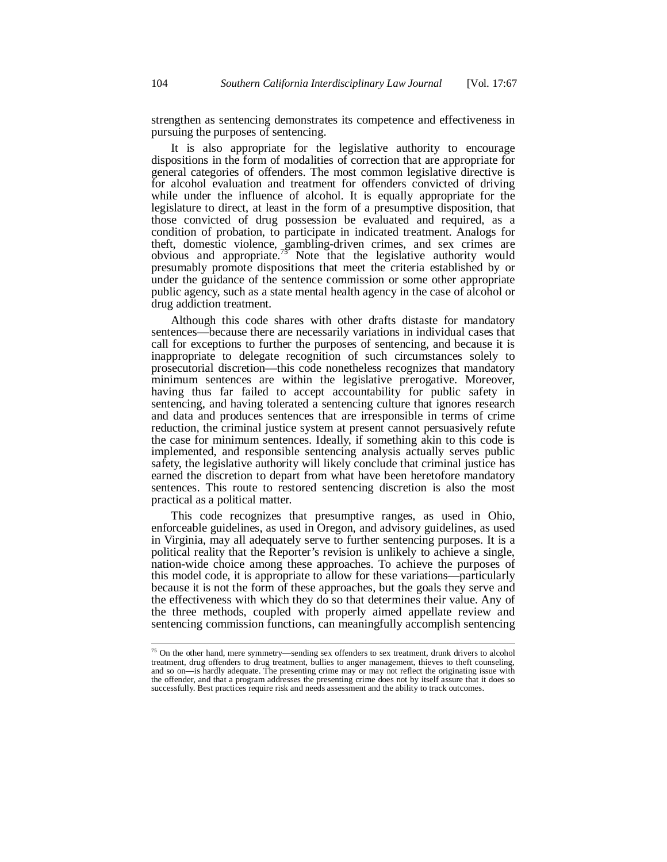strengthen as sentencing demonstrates its competence and effectiveness in pursuing the purposes of sentencing.

It is also appropriate for the legislative authority to encourage dispositions in the form of modalities of correction that are appropriate for general categories of offenders. The most common legislative directive is for alcohol evaluation and treatment for offenders convicted of driving while under the influence of alcohol. It is equally appropriate for the legislature to direct, at least in the form of a presumptive disposition, that those convicted of drug possession be evaluated and required, as a condition of probation, to participate in indicated treatment. Analogs for theft, domestic violence, gambling-driven crimes, and sex crimes are obvious and appropriate.<sup>75</sup> Note that the legislative authority would presumably promote dispositions that meet the criteria established by or under the guidance of the sentence commission or some other appropriate public agency, such as a state mental health agency in the case of alcohol or drug addiction treatment.

Although this code shares with other drafts distaste for mandatory sentences—because there are necessarily variations in individual cases that call for exceptions to further the purposes of sentencing, and because it is inappropriate to delegate recognition of such circumstances solely to prosecutorial discretion—this code nonetheless recognizes that mandatory minimum sentences are within the legislative prerogative. Moreover, having thus far failed to accept accountability for public safety in sentencing, and having tolerated a sentencing culture that ignores research and data and produces sentences that are irresponsible in terms of crime reduction, the criminal justice system at present cannot persuasively refute the case for minimum sentences. Ideally, if something akin to this code is implemented, and responsible sentencing analysis actually serves public safety, the legislative authority will likely conclude that criminal justice has earned the discretion to depart from what have been heretofore mandatory sentences. This route to restored sentencing discretion is also the most practical as a political matter.

This code recognizes that presumptive ranges, as used in Ohio, enforceable guidelines, as used in Oregon, and advisory guidelines, as used in Virginia, may all adequately serve to further sentencing purposes. It is a political reality that the Reporter's revision is unlikely to achieve a single, nation-wide choice among these approaches. To achieve the purposes of this model code, it is appropriate to allow for these variations—particularly because it is not the form of these approaches, but the goals they serve and the effectiveness with which they do so that determines their value. Any of the three methods, coupled with properly aimed appellate review and sentencing commission functions, can meaningfully accomplish sentencing

<sup>&</sup>lt;sup>75</sup> On the other hand, mere symmetry—sending sex offenders to sex treatment, drunk drivers to alcohol treatment, drug offenders to drug treatment, bullies to anger management, thieves to theft counseling, and so on—is hardly adequate. The presenting crime may or may not reflect the originating issue with the offender, and that a program addresses the presenting crime does not by itself assure that it does so successfully. Best practices require risk and needs assessment and the ability to track outcomes.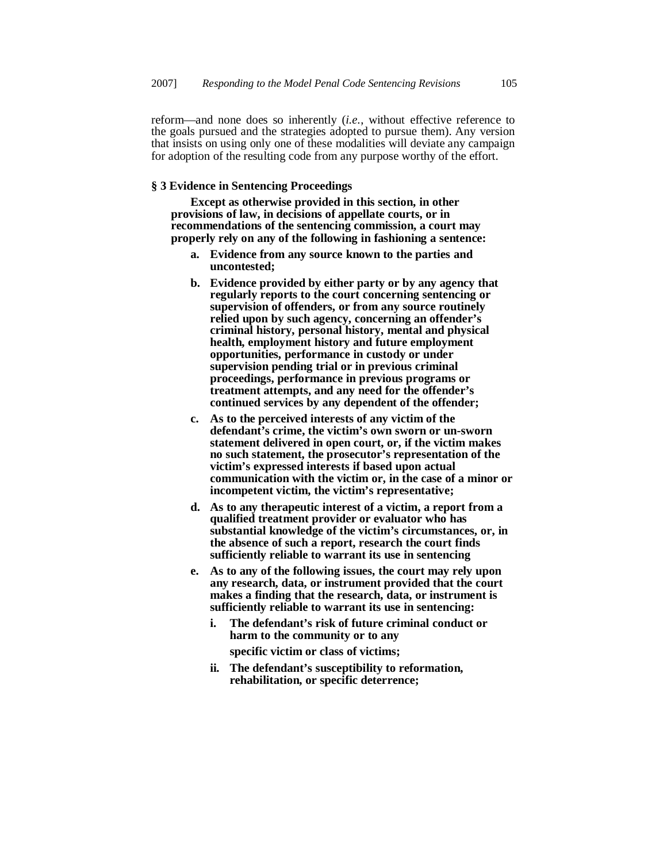reform—and none does so inherently (*i.e.*, without effective reference to the goals pursued and the strategies adopted to pursue them). Any version that insists on using only one of these modalities will deviate any campaign for adoption of the resulting code from any purpose worthy of the effort.

# **§ 3 Evidence in Sentencing Proceedings**

 **Except as otherwise provided in this section, in other provisions of law, in decisions of appellate courts, or in recommendations of the sentencing commission, a court may properly rely on any of the following in fashioning a sentence:**

- **a. Evidence from any source known to the parties and uncontested;**
- **b. Evidence provided by either party or by any agency that regularly reports to the court concerning sentencing or supervision of offenders, or from any source routinely relied upon by such agency, concerning an offender's criminal history, personal history, mental and physical health, employment history and future employment opportunities, performance in custody or under supervision pending trial or in previous criminal proceedings, performance in previous programs or treatment attempts, and any need for the offender's continued services by any dependent of the offender;**
- **c. As to the perceived interests of any victim of the defendant's crime, the victim's own sworn or un-sworn statement delivered in open court, or, if the victim makes no such statement, the prosecutor's representation of the victim's expressed interests if based upon actual communication with the victim or, in the case of a minor or incompetent victim, the victim's representative;**
- **d. As to any therapeutic interest of a victim, a report from a qualified treatment provider or evaluator who has substantial knowledge of the victim's circumstances, or, in the absence of such a report, research the court finds sufficiently reliable to warrant its use in sentencing**
- **e. As to any of the following issues, the court may rely upon any research, data, or instrument provided that the court makes a finding that the research, data, or instrument is sufficiently reliable to warrant its use in sentencing:**
	- **i. The defendant's risk of future criminal conduct or harm to the community or to any**

 **specific victim or class of victims;**

**ii. The defendant's susceptibility to reformation, rehabilitation, or specific deterrence;**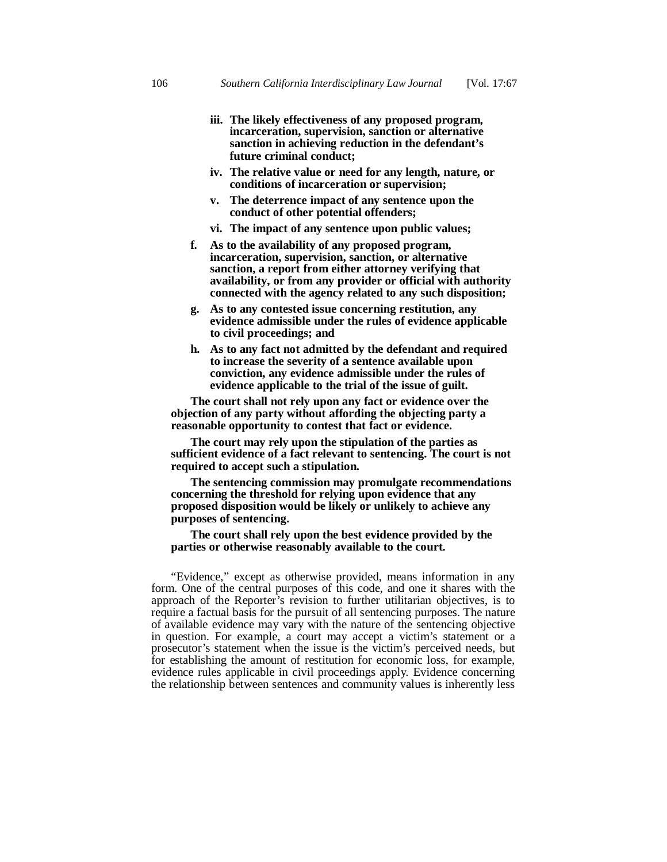- **iii. The likely effectiveness of any proposed program, incarceration, supervision, sanction or alternative sanction in achieving reduction in the defendant's future criminal conduct;**
- **iv. The relative value or need for any length, nature, or conditions of incarceration or supervision;**
- **v. The deterrence impact of any sentence upon the conduct of other potential offenders;**
- **vi. The impact of any sentence upon public values;**
- **f. As to the availability of any proposed program, incarceration, supervision, sanction, or alternative sanction, a report from either attorney verifying that availability, or from any provider or official with authority connected with the agency related to any such disposition;**
- **g. As to any contested issue concerning restitution, any evidence admissible under the rules of evidence applicable to civil proceedings; and**
- **h. As to any fact not admitted by the defendant and required to increase the severity of a sentence available upon conviction, any evidence admissible under the rules of evidence applicable to the trial of the issue of guilt.**

 **The court shall not rely upon any fact or evidence over the objection of any party without affording the objecting party a reasonable opportunity to contest that fact or evidence.**

 **The court may rely upon the stipulation of the parties as sufficient evidence of a fact relevant to sentencing. The court is not required to accept such a stipulation.**

 **The sentencing commission may promulgate recommendations concerning the threshold for relying upon evidence that any proposed disposition would be likely or unlikely to achieve any purposes of sentencing.**

# **The court shall rely upon the best evidence provided by the parties or otherwise reasonably available to the court.**

"Evidence," except as otherwise provided, means information in any form. One of the central purposes of this code, and one it shares with the approach of the Reporter's revision to further utilitarian objectives, is to require a factual basis for the pursuit of all sentencing purposes. The nature of available evidence may vary with the nature of the sentencing objective in question. For example, a court may accept a victim's statement or a prosecutor's statement when the issue is the victim's perceived needs, but for establishing the amount of restitution for economic loss, for example, evidence rules applicable in civil proceedings apply. Evidence concerning the relationship between sentences and community values is inherently less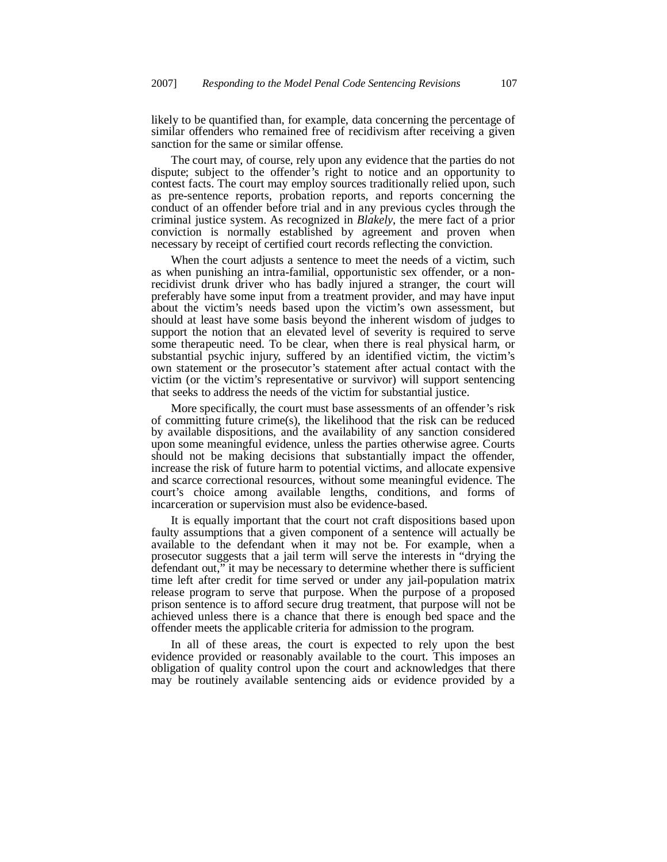likely to be quantified than, for example, data concerning the percentage of similar offenders who remained free of recidivism after receiving a given sanction for the same or similar offense.

The court may, of course, rely upon any evidence that the parties do not dispute; subject to the offender's right to notice and an opportunity to contest facts. The court may employ sources traditionally relied upon, such as pre-sentence reports, probation reports, and reports concerning the conduct of an offender before trial and in any previous cycles through the criminal justice system. As recognized in *Blakely*, the mere fact of a prior conviction is normally established by agreement and proven when necessary by receipt of certified court records reflecting the conviction.

When the court adjusts a sentence to meet the needs of a victim, such as when punishing an intra-familial, opportunistic sex offender, or a nonrecidivist drunk driver who has badly injured a stranger, the court will preferably have some input from a treatment provider, and may have input about the victim's needs based upon the victim's own assessment, but should at least have some basis beyond the inherent wisdom of judges to support the notion that an elevated level of severity is required to serve some therapeutic need. To be clear, when there is real physical harm, or substantial psychic injury, suffered by an identified victim, the victim's own statement or the prosecutor's statement after actual contact with the victim (or the victim's representative or survivor) will support sentencing that seeks to address the needs of the victim for substantial justice.

More specifically, the court must base assessments of an offender's risk of committing future crime(s), the likelihood that the risk can be reduced by available dispositions, and the availability of any sanction considered upon some meaningful evidence, unless the parties otherwise agree. Courts should not be making decisions that substantially impact the offender, increase the risk of future harm to potential victims, and allocate expensive and scarce correctional resources, without some meaningful evidence. The court's choice among available lengths, conditions, and forms of incarceration or supervision must also be evidence-based.

It is equally important that the court not craft dispositions based upon faulty assumptions that a given component of a sentence will actually be available to the defendant when it may not be. For example, when a prosecutor suggests that a jail term will serve the interests in "drying the defendant out," it may be necessary to determine whether there is sufficient time left after credit for time served or under any jail-population matrix release program to serve that purpose. When the purpose of a proposed prison sentence is to afford secure drug treatment, that purpose will not be achieved unless there is a chance that there is enough bed space and the offender meets the applicable criteria for admission to the program.

In all of these areas, the court is expected to rely upon the best evidence provided or reasonably available to the court. This imposes an obligation of quality control upon the court and acknowledges that there may be routinely available sentencing aids or evidence provided by a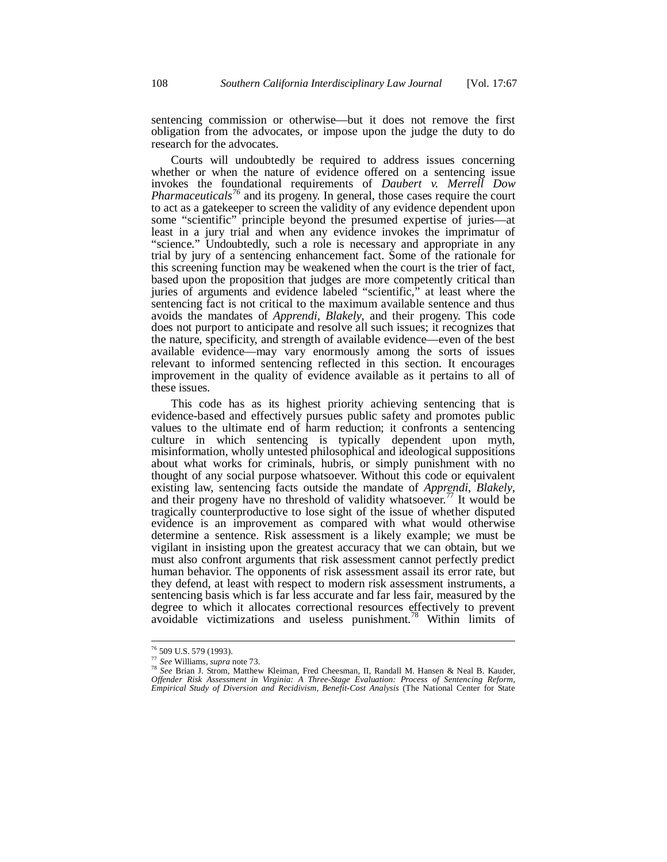sentencing commission or otherwise—but it does not remove the first obligation from the advocates, or impose upon the judge the duty to do research for the advocates.

Courts will undoubtedly be required to address issues concerning whether or when the nature of evidence offered on a sentencing issue invokes the foundational requirements of *Daubert v. Merrell Dow Pharmaceuticals<sup>76</sup>* and its progeny. In general, those cases require the court to act as a gatekeeper to screen the validity of any evidence dependent upon some "scientific" principle beyond the presumed expertise of juries—at least in a jury trial and when any evidence invokes the imprimatur of "science." Undoubtedly, such a role is necessary and appropriate in any trial by jury of a sentencing enhancement fact. Some of the rationale for this screening function may be weakened when the court is the trier of fact, based upon the proposition that judges are more competently critical than juries of arguments and evidence labeled "scientific," at least where the sentencing fact is not critical to the maximum available sentence and thus avoids the mandates of *Apprendi, Blakely*, and their progeny. This code does not purport to anticipate and resolve all such issues; it recognizes that the nature, specificity, and strength of available evidence—even of the best available evidence—may vary enormously among the sorts of issues relevant to informed sentencing reflected in this section. It encourages improvement in the quality of evidence available as it pertains to all of these issues.

This code has as its highest priority achieving sentencing that is evidence-based and effectively pursues public safety and promotes public values to the ultimate end of harm reduction; it confronts a sentencing culture in which sentencing is typically dependent upon myth, misinformation, wholly untested philosophical and ideological suppositions about what works for criminals, hubris, or simply punishment with no thought of any social purpose whatsoever. Without this code or equivalent existing law, sentencing facts outside the mandate of *Apprendi, Blakely*, and their progeny have no threshold of validity whatsoever.<sup>77</sup> It would be tragically counterproductive to lose sight of the issue of whether disputed evidence is an improvement as compared with what would otherwise determine a sentence. Risk assessment is a likely example; we must be vigilant in insisting upon the greatest accuracy that we can obtain, but we must also confront arguments that risk assessment cannot perfectly predict human behavior. The opponents of risk assessment assail its error rate, but they defend, at least with respect to modern risk assessment instruments, a sentencing basis which is far less accurate and far less fair, measured by the degree to which it allocates correctional resources effectively to prevent avoidable victimizations and useless punishment.<sup>78</sup> Within limits of

<sup>76</sup> 509 U.S. 579 (1993).

<sup>77</sup> *See* Williams, *supra* note 73.

<sup>78</sup> *See* Brian J. Strom, Matthew Kleiman, Fred Cheesman, II, Randall M. Hansen & Neal B. Kauder, *Offender Risk Assessment in Virginia: A Three-Stage Evaluation: Process of Sentencing Reform, Empirical Study of Diversion and Recidivism, Benefit-Cost Analysis* (The National Center for State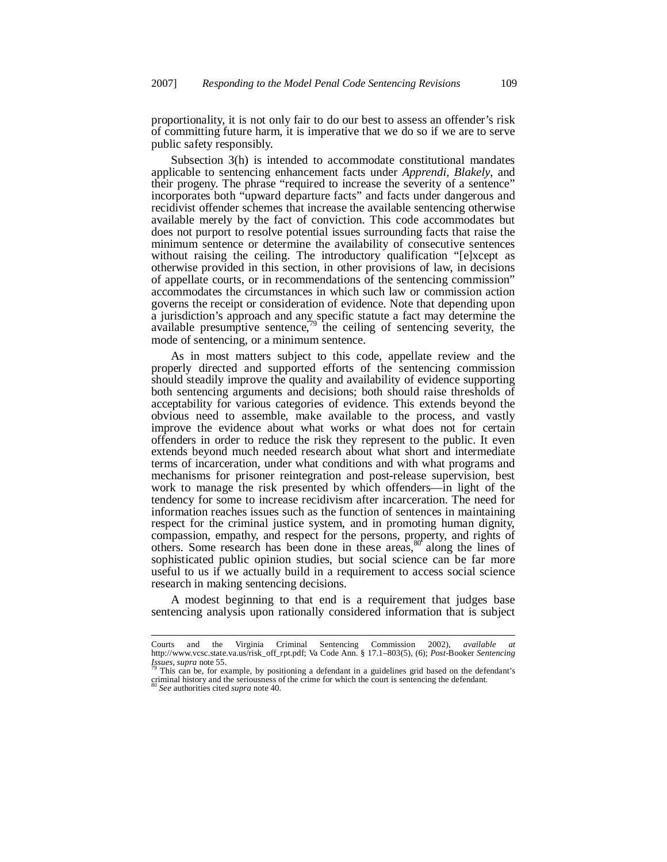proportionality, it is not only fair to do our best to assess an offender's risk of committing future harm, it is imperative that we do so if we are to serve public safety responsibly.

Subsection 3(h) is intended to accommodate constitutional mandates applicable to sentencing enhancement facts under *Apprendi, Blakely*, and their progeny. The phrase "required to increase the severity of a sentence" incorporates both "upward departure facts" and facts under dangerous and recidivist offender schemes that increase the available sentencing otherwise available merely by the fact of conviction. This code accommodates but does not purport to resolve potential issues surrounding facts that raise the minimum sentence or determine the availability of consecutive sentences without raising the ceiling. The introductory qualification "[e]xcept as otherwise provided in this section, in other provisions of law, in decisions of appellate courts, or in recommendations of the sentencing commission" accommodates the circumstances in which such law or commission action governs the receipt or consideration of evidence. Note that depending upon a jurisdiction's approach and any specific statute a fact may determine the available presumptive sentence, $\frac{79}{7}$  the ceiling of sentencing severity, the mode of sentencing, or a minimum sentence.

As in most matters subject to this code, appellate review and the properly directed and supported efforts of the sentencing commission should steadily improve the quality and availability of evidence supporting both sentencing arguments and decisions; both should raise thresholds of acceptability for various categories of evidence. This extends beyond the obvious need to assemble, make available to the process, and vastly improve the evidence about what works or what does not for certain offenders in order to reduce the risk they represent to the public. It even extends beyond much needed research about what short and intermediate terms of incarceration, under what conditions and with what programs and mechanisms for prisoner reintegration and post-release supervision, best work to manage the risk presented by which offenders—in light of the tendency for some to increase recidivism after incarceration. The need for information reaches issues such as the function of sentences in maintaining respect for the criminal justice system, and in promoting human dignity, compassion, empathy, and respect for the persons, property, and rights of others. Some research has been done in these areas, $80^\circ$  along the lines of sophisticated public opinion studies, but social science can be far more useful to us if we actually build in a requirement to access social science research in making sentencing decisions.

A modest beginning to that end is a requirement that judges base sentencing analysis upon rationally considered information that is subject

Courts and the Virginia Criminal Sentencing Commission 2002), *available at* http://www.vcsc.state.va.us/risk\_off\_rpt.pdf; Va Code Ann. § 17.1–803(5), (6); *Post*-Booker *Sentencing Issues*, *supra* note 55.

This can be, for example, by positioning a defendant in a guidelines grid based on the defendant's criminal history and the seriousness of the crime for which the court is sentencing the defendant.

<sup>80</sup> *See* authorities cited *supra* note 40.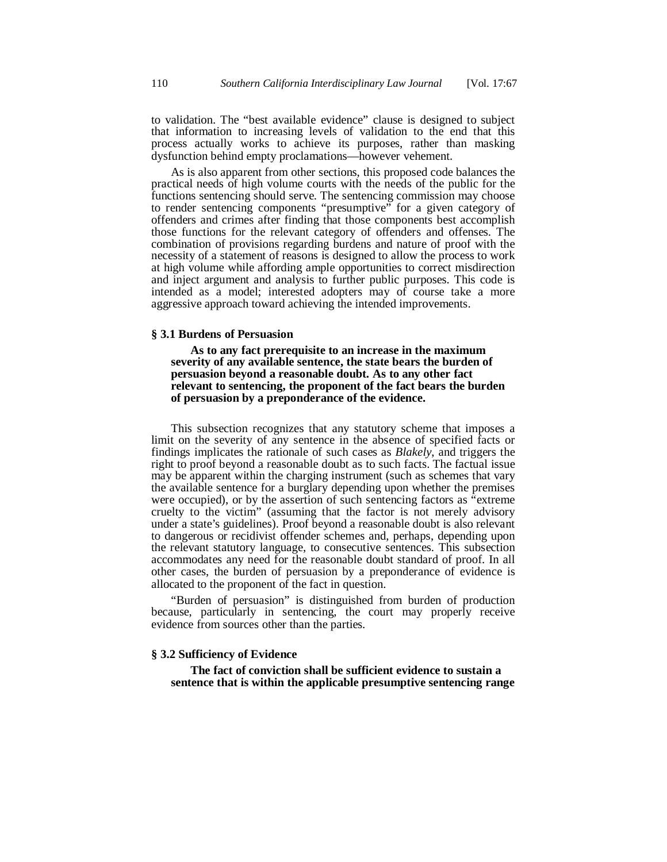to validation. The "best available evidence" clause is designed to subject that information to increasing levels of validation to the end that this process actually works to achieve its purposes, rather than masking dysfunction behind empty proclamations—however vehement.

As is also apparent from other sections, this proposed code balances the practical needs of high volume courts with the needs of the public for the functions sentencing should serve. The sentencing commission may choose to render sentencing components "presumptive" for a given category of offenders and crimes after finding that those components best accomplish those functions for the relevant category of offenders and offenses. The combination of provisions regarding burdens and nature of proof with the necessity of a statement of reasons is designed to allow the process to work at high volume while affording ample opportunities to correct misdirection and inject argument and analysis to further public purposes. This code is intended as a model; interested adopters may of course take a more aggressive approach toward achieving the intended improvements.

#### **§ 3.1 Burdens of Persuasion**

 **As to any fact prerequisite to an increase in the maximum severity of any available sentence, the state bears the burden of persuasion beyond a reasonable doubt. As to any other fact relevant to sentencing, the proponent of the fact bears the burden of persuasion by a preponderance of the evidence.**

This subsection recognizes that any statutory scheme that imposes a limit on the severity of any sentence in the absence of specified facts or findings implicates the rationale of such cases as *Blakely*, and triggers the right to proof beyond a reasonable doubt as to such facts. The factual issue may be apparent within the charging instrument (such as schemes that vary the available sentence for a burglary depending upon whether the premises were occupied), or by the assertion of such sentencing factors as "extreme cruelty to the victim" (assuming that the factor is not merely advisory under a state's guidelines). Proof beyond a reasonable doubt is also relevant to dangerous or recidivist offender schemes and, perhaps, depending upon the relevant statutory language, to consecutive sentences. This subsection accommodates any need for the reasonable doubt standard of proof. In all other cases, the burden of persuasion by a preponderance of evidence is allocated to the proponent of the fact in question.

"Burden of persuasion" is distinguished from burden of production because, particularly in sentencing, the court may properly receive evidence from sources other than the parties.

### **§ 3.2 Sufficiency of Evidence**

 **The fact of conviction shall be sufficient evidence to sustain a sentence that is within the applicable presumptive sentencing range**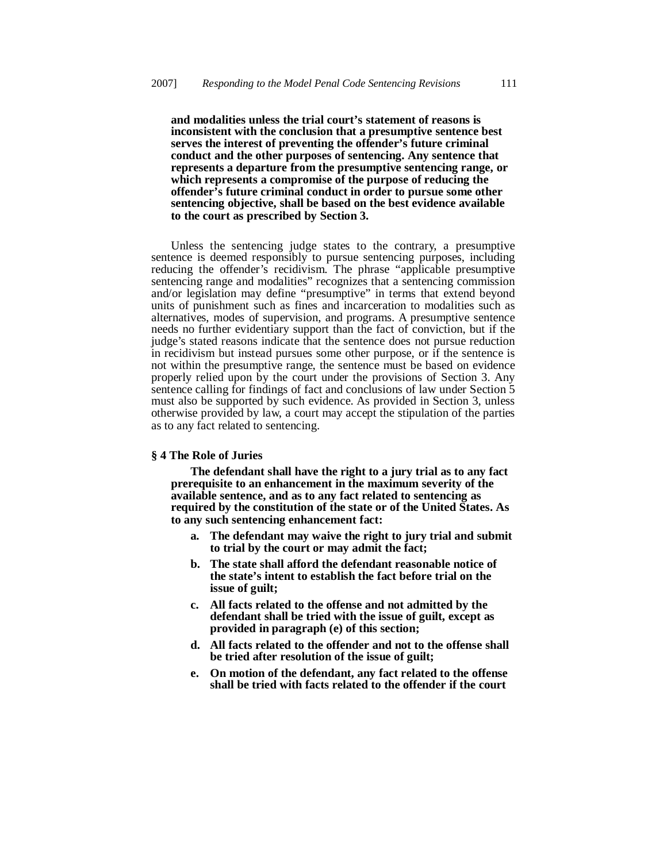**and modalities unless the trial court's statement of reasons is inconsistent with the conclusion that a presumptive sentence best serves the interest of preventing the offender's future criminal conduct and the other purposes of sentencing. Any sentence that represents a departure from the presumptive sentencing range, or which represents a compromise of the purpose of reducing the offender's future criminal conduct in order to pursue some other sentencing objective, shall be based on the best evidence available to the court as prescribed by Section 3.**

Unless the sentencing judge states to the contrary, a presumptive sentence is deemed responsibly to pursue sentencing purposes, including reducing the offender's recidivism. The phrase "applicable presumptive sentencing range and modalities" recognizes that a sentencing commission and/or legislation may define "presumptive" in terms that extend beyond units of punishment such as fines and incarceration to modalities such as alternatives, modes of supervision, and programs. A presumptive sentence needs no further evidentiary support than the fact of conviction, but if the judge's stated reasons indicate that the sentence does not pursue reduction in recidivism but instead pursues some other purpose, or if the sentence is not within the presumptive range, the sentence must be based on evidence properly relied upon by the court under the provisions of Section 3. Any sentence calling for findings of fact and conclusions of law under Section 5 must also be supported by such evidence. As provided in Section 3, unless otherwise provided by law, a court may accept the stipulation of the parties as to any fact related to sentencing.

# **§ 4 The Role of Juries**

 **The defendant shall have the right to a jury trial as to any fact prerequisite to an enhancement in the maximum severity of the available sentence, and as to any fact related to sentencing as required by the constitution of the state or of the United States. As to any such sentencing enhancement fact:**

- **a. The defendant may waive the right to jury trial and submit to trial by the court or may admit the fact;**
- **b. The state shall afford the defendant reasonable notice of the state's intent to establish the fact before trial on the issue of guilt;**
- **c. All facts related to the offense and not admitted by the defendant shall be tried with the issue of guilt, except as provided in paragraph (e) of this section;**
- **d. All facts related to the offender and not to the offense shall be tried after resolution of the issue of guilt;**
- **e. On motion of the defendant, any fact related to the offense shall be tried with facts related to the offender if the court**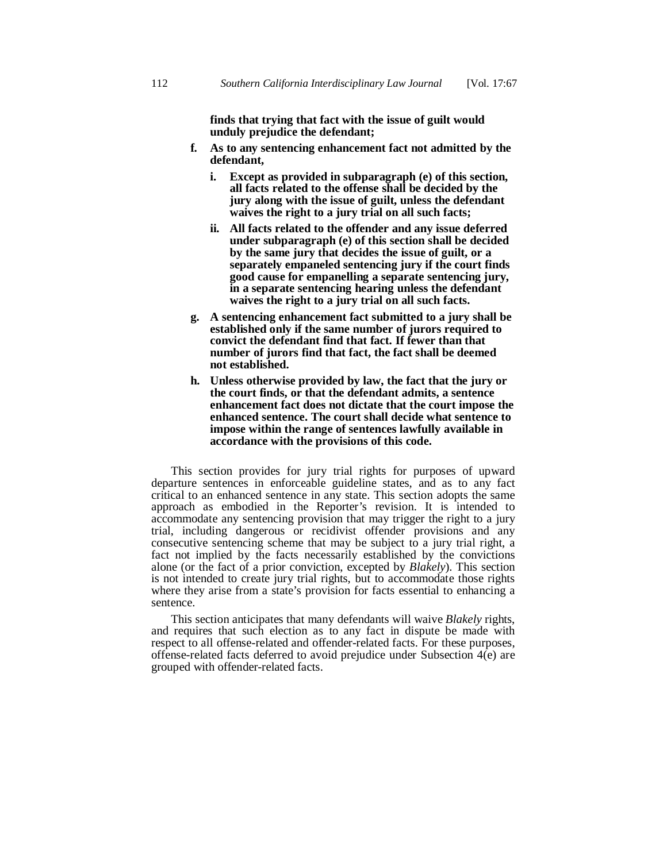**finds that trying that fact with the issue of guilt would unduly prejudice the defendant;**

- **f. As to any sentencing enhancement fact not admitted by the defendant,**
	- **i. Except as provided in subparagraph (e) of this section, all facts related to the offense shall be decided by the jury along with the issue of guilt, unless the defendant waives the right to a jury trial on all such facts;**
	- **ii. All facts related to the offender and any issue deferred under subparagraph (e) of this section shall be decided by the same jury that decides the issue of guilt, or a separately empaneled sentencing jury if the court finds good cause for empanelling a separate sentencing jury, in a separate sentencing hearing unless the defendant waives the right to a jury trial on all such facts.**
- **g. A sentencing enhancement fact submitted to a jury shall be established only if the same number of jurors required to convict the defendant find that fact. If fewer than that number of jurors find that fact, the fact shall be deemed not established.**
- **h. Unless otherwise provided by law, the fact that the jury or the court finds, or that the defendant admits, a sentence enhancement fact does not dictate that the court impose the enhanced sentence. The court shall decide what sentence to impose within the range of sentences lawfully available in accordance with the provisions of this code.**

This section provides for jury trial rights for purposes of upward departure sentences in enforceable guideline states, and as to any fact critical to an enhanced sentence in any state. This section adopts the same approach as embodied in the Reporter's revision. It is intended to accommodate any sentencing provision that may trigger the right to a jury trial, including dangerous or recidivist offender provisions and any consecutive sentencing scheme that may be subject to a jury trial right, a fact not implied by the facts necessarily established by the convictions alone (or the fact of a prior conviction, excepted by *Blakely*). This section is not intended to create jury trial rights, but to accommodate those rights where they arise from a state's provision for facts essential to enhancing a sentence.

This section anticipates that many defendants will waive *Blakely* rights, and requires that such election as to any fact in dispute be made with respect to all offense-related and offender-related facts. For these purposes, offense-related facts deferred to avoid prejudice under Subsection 4(e) are grouped with offender-related facts.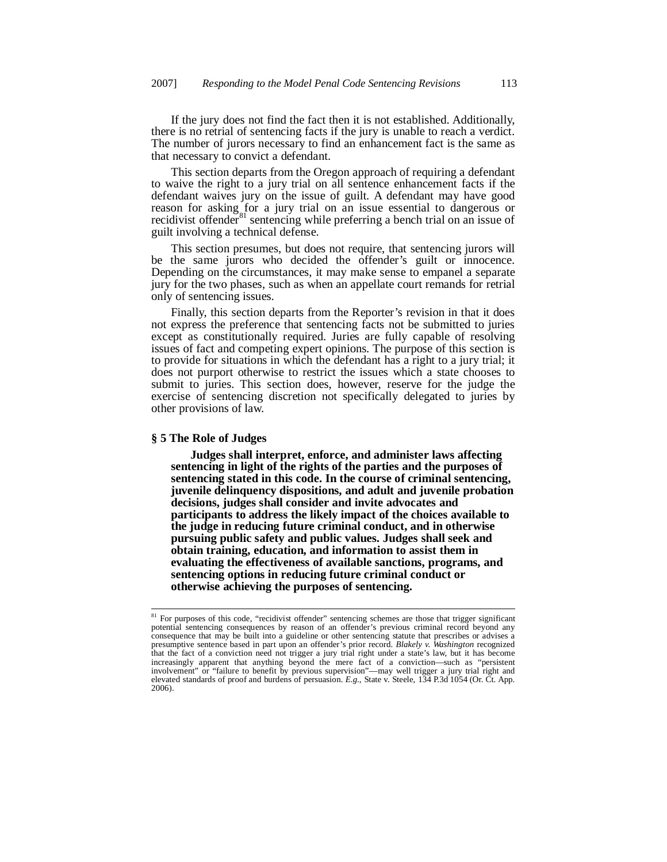If the jury does not find the fact then it is not established. Additionally, there is no retrial of sentencing facts if the jury is unable to reach a verdict. The number of jurors necessary to find an enhancement fact is the same as that necessary to convict a defendant.

This section departs from the Oregon approach of requiring a defendant to waive the right to a jury trial on all sentence enhancement facts if the defendant waives jury on the issue of guilt. A defendant may have good reason for asking for a jury trial on an issue essential to dangerous or recidivist offender<sup>81</sup> sentencing while preferring a bench trial on an issue of guilt involving a technical defense.

This section presumes, but does not require, that sentencing jurors will be the same jurors who decided the offender's guilt or innocence. Depending on the circumstances, it may make sense to empanel a separate jury for the two phases, such as when an appellate court remands for retrial only of sentencing issues.

Finally, this section departs from the Reporter's revision in that it does not express the preference that sentencing facts not be submitted to juries except as constitutionally required. Juries are fully capable of resolving issues of fact and competing expert opinions. The purpose of this section is to provide for situations in which the defendant has a right to a jury trial; it does not purport otherwise to restrict the issues which a state chooses to submit to juries. This section does, however, reserve for the judge the exercise of sentencing discretion not specifically delegated to juries by other provisions of law.

#### **§ 5 The Role of Judges**

 **Judges shall interpret, enforce, and administer laws affecting sentencing in light of the rights of the parties and the purposes of sentencing stated in this code. In the course of criminal sentencing, juvenile delinquency dispositions, and adult and juvenile probation decisions, judges shall consider and invite advocates and participants to address the likely impact of the choices available to the judge in reducing future criminal conduct, and in otherwise pursuing public safety and public values. Judges shall seek and obtain training, education, and information to assist them in evaluating the effectiveness of available sanctions, programs, and sentencing options in reducing future criminal conduct or otherwise achieving the purposes of sentencing.**

<sup>&</sup>lt;sup>81</sup> For purposes of this code, "recidivist offender" sentencing schemes are those that trigger significant potential sentencing consequences by reason of an offender's previous criminal record beyond any consequence that may be built into a guideline or other sentencing statute that prescribes or advises a presumptive sentence based in part upon an offender's prior record. *Blakely v. Washington* recognized that the fact of a conviction need not trigger a jury trial right under a state's law, but it has become increasingly apparent that anything beyond the mere fact of a conviction—such as "persistent involvement" or "failure to benefit by previous supervision"—may well trigger a jury trial right and elevated standards of proof and burdens of persuasion. *E.g.,* State v. Steele, 134 P.3d 1054 (Or. Ct. App. 2006).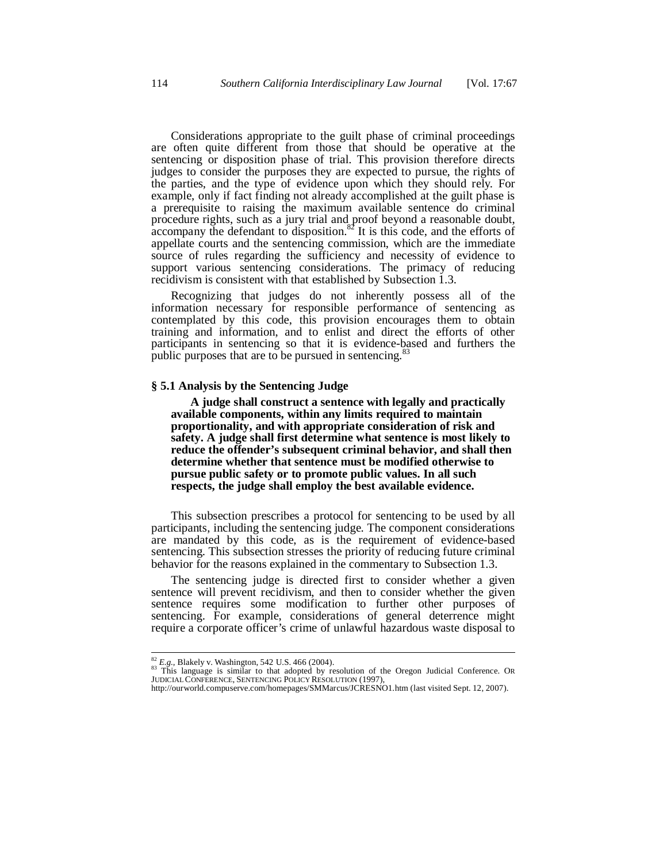Considerations appropriate to the guilt phase of criminal proceedings are often quite different from those that should be operative at the sentencing or disposition phase of trial. This provision therefore directs judges to consider the purposes they are expected to pursue, the rights of the parties, and the type of evidence upon which they should rely. For example, only if fact finding not already accomplished at the guilt phase is a prerequisite to raising the maximum available sentence do criminal procedure rights, such as a jury trial and proof beyond a reasonable doubt,  $\alpha$  accompany the defendant to disposition.<sup>82</sup> It is this code, and the efforts of appellate courts and the sentencing commission, which are the immediate source of rules regarding the sufficiency and necessity of evidence to support various sentencing considerations. The primacy of reducing recidivism is consistent with that established by Subsection 1.3.

Recognizing that judges do not inherently possess all of the information necessary for responsible performance of sentencing as contemplated by this code, this provision encourages them to obtain training and information, and to enlist and direct the efforts of other participants in sentencing so that it is evidence-based and furthers the public purposes that are to be pursued in sentencing. $\frac{8}{3}$ 

## **§ 5.1 Analysis by the Sentencing Judge**

 **A judge shall construct a sentence with legally and practically available components, within any limits required to maintain proportionality, and with appropriate consideration of risk and safety. A judge shall first determine what sentence is most likely to reduce the offender's subsequent criminal behavior, and shall then determine whether that sentence must be modified otherwise to pursue public safety or to promote public values. In all such respects, the judge shall employ the best available evidence.**

This subsection prescribes a protocol for sentencing to be used by all participants, including the sentencing judge. The component considerations are mandated by this code, as is the requirement of evidence-based sentencing. This subsection stresses the priority of reducing future criminal behavior for the reasons explained in the commentary to Subsection 1.3.

The sentencing judge is directed first to consider whether a given sentence will prevent recidivism, and then to consider whether the given sentence requires some modification to further other purposes of sentencing. For example, considerations of general deterrence might require a corporate officer's crime of unlawful hazardous waste disposal to

<sup>&</sup>lt;sup>82</sup> *E.g.*, Blakely v. Washington, 542 U.S. 466 (2004).<br><sup>83</sup> This language is similar to that adopted by resolution of the Oregon Judicial Conference. OR JUDICIALCONFERENCE, SENTENCING POLICY RESOLUTION (1997),

http://ourworld.compuserve.com/homepages/SMMarcus/JCRESNO1.htm (last visited Sept. 12, 2007).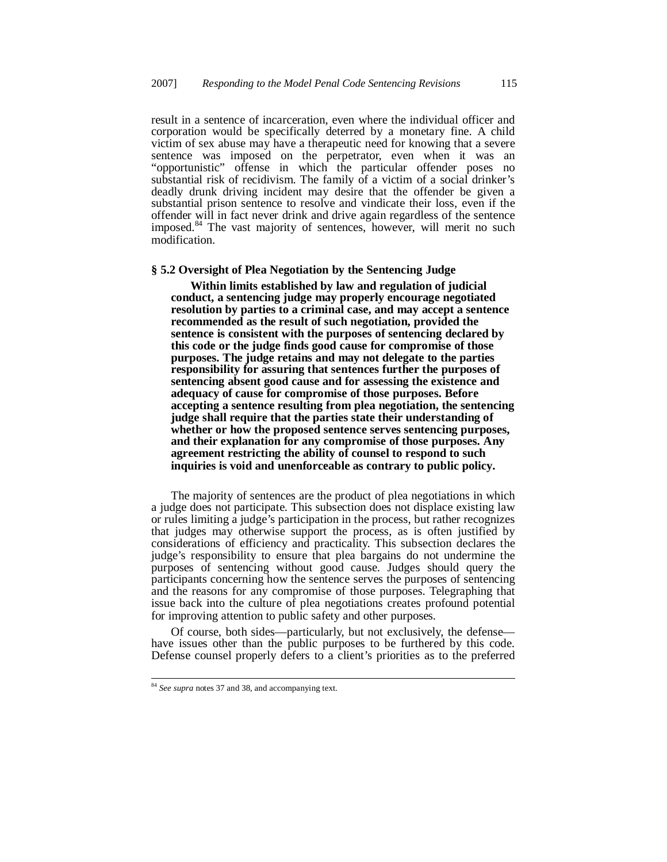result in a sentence of incarceration, even where the individual officer and corporation would be specifically deterred by a monetary fine. A child victim of sex abuse may have a therapeutic need for knowing that a severe sentence was imposed on the perpetrator, even when it was an "opportunistic" offense in which the particular offender poses no substantial risk of recidivism. The family of a victim of a social drinker's deadly drunk driving incident may desire that the offender be given a substantial prison sentence to resolve and vindicate their loss, even if the offender will in fact never drink and drive again regardless of the sentence imposed.<sup>84</sup> The vast majority of sentences, however, will merit no such modification.

#### **§ 5.2 Oversight of Plea Negotiation by the Sentencing Judge**

 **Within limits established by law and regulation of judicial conduct, a sentencing judge may properly encourage negotiated resolution by parties to a criminal case, and may accept a sentence recommended as the result of such negotiation, provided the sentence is consistent with the purposes of sentencing declared by this code or the judge finds good cause for compromise of those purposes. The judge retains and may not delegate to the parties responsibility for assuring that sentences further the purposes of sentencing absent good cause and for assessing the existence and adequacy of cause for compromise of those purposes. Before accepting a sentence resulting from plea negotiation, the sentencing judge shall require that the parties state their understanding of whether or how the proposed sentence serves sentencing purposes, and their explanation for any compromise of those purposes. Any agreement restricting the ability of counsel to respond to such inquiries is void and unenforceable as contrary to public policy.**

The majority of sentences are the product of plea negotiations in which a judge does not participate. This subsection does not displace existing law or rules limiting a judge's participation in the process, but rather recognizes that judges may otherwise support the process, as is often justified by considerations of efficiency and practicality. This subsection declares the judge's responsibility to ensure that plea bargains do not undermine the purposes of sentencing without good cause. Judges should query the participants concerning how the sentence serves the purposes of sentencing and the reasons for any compromise of those purposes. Telegraphing that issue back into the culture of plea negotiations creates profound potential for improving attention to public safety and other purposes.

Of course, both sides—particularly, but not exclusively, the defense have issues other than the public purposes to be furthered by this code. Defense counsel properly defers to a client's priorities as to the preferred

<sup>84</sup> *See supra* notes 37 and 38, and accompanying text.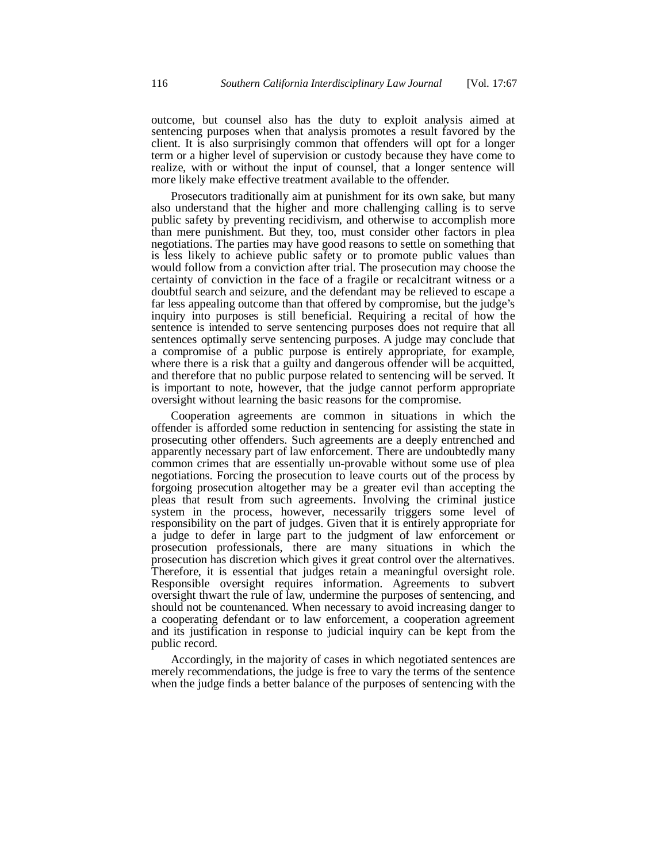outcome, but counsel also has the duty to exploit analysis aimed at sentencing purposes when that analysis promotes a result favored by the client. It is also surprisingly common that offenders will opt for a longer term or a higher level of supervision or custody because they have come to realize, with or without the input of counsel, that a longer sentence will more likely make effective treatment available to the offender.

Prosecutors traditionally aim at punishment for its own sake, but many also understand that the higher and more challenging calling is to serve public safety by preventing recidivism, and otherwise to accomplish more than mere punishment. But they, too, must consider other factors in plea negotiations. The parties may have good reasons to settle on something that is less likely to achieve public safety or to promote public values than would follow from a conviction after trial. The prosecution may choose the certainty of conviction in the face of a fragile or recalcitrant witness or a doubtful search and seizure, and the defendant may be relieved to escape a far less appealing outcome than that offered by compromise, but the judge's inquiry into purposes is still beneficial. Requiring a recital of how the sentence is intended to serve sentencing purposes does not require that all sentences optimally serve sentencing purposes. A judge may conclude that a compromise of a public purpose is entirely appropriate, for example, where there is a risk that a guilty and dangerous offender will be acquitted, and therefore that no public purpose related to sentencing will be served. It is important to note, however, that the judge cannot perform appropriate oversight without learning the basic reasons for the compromise.

Cooperation agreements are common in situations in which the offender is afforded some reduction in sentencing for assisting the state in prosecuting other offenders. Such agreements are a deeply entrenched and apparently necessary part of law enforcement. There are undoubtedly many common crimes that are essentially un-provable without some use of plea negotiations. Forcing the prosecution to leave courts out of the process by forgoing prosecution altogether may be a greater evil than accepting the pleas that result from such agreements. Involving the criminal justice system in the process, however, necessarily triggers some level of responsibility on the part of judges. Given that it is entirely appropriate for a judge to defer in large part to the judgment of law enforcement or prosecution professionals, there are many situations in which the prosecution has discretion which gives it great control over the alternatives. Therefore, it is essential that judges retain a meaningful oversight role. Responsible oversight requires information. Agreements to subvert oversight thwart the rule of law, undermine the purposes of sentencing, and should not be countenanced. When necessary to avoid increasing danger to a cooperating defendant or to law enforcement, a cooperation agreement and its justification in response to judicial inquiry can be kept from the public record.

Accordingly, in the majority of cases in which negotiated sentences are merely recommendations, the judge is free to vary the terms of the sentence when the judge finds a better balance of the purposes of sentencing with the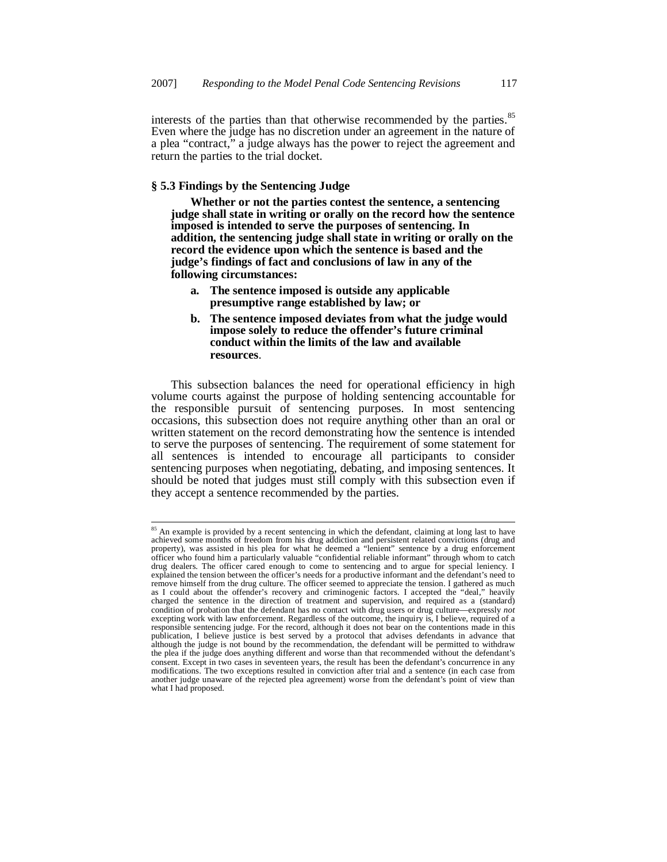interests of the parties than that otherwise recommended by the parties.<sup>85</sup> Even where the judge has no discretion under an agreement in the nature of a plea "contract," a judge always has the power to reject the agreement and return the parties to the trial docket.

# **§ 5.3 Findings by the Sentencing Judge**

 **Whether or not the parties contest the sentence, a sentencing judge shall state in writing or orally on the record how the sentence imposed is intended to serve the purposes of sentencing. In addition, the sentencing judge shall state in writing or orally on the record the evidence upon which the sentence is based and the judge's findings of fact and conclusions of law in any of the following circumstances:**

- **a. The sentence imposed is outside any applicable presumptive range established by law; or**
- **b. The sentence imposed deviates from what the judge would impose solely to reduce the offender's future criminal conduct within the limits of the law and available resources**.

This subsection balances the need for operational efficiency in high volume courts against the purpose of holding sentencing accountable for the responsible pursuit of sentencing purposes. In most sentencing occasions, this subsection does not require anything other than an oral or written statement on the record demonstrating how the sentence is intended to serve the purposes of sentencing. The requirement of some statement for all sentences is intended to encourage all participants to consider sentencing purposes when negotiating, debating, and imposing sentences. It should be noted that judges must still comply with this subsection even if they accept a sentence recommended by the parties.

<sup>&</sup>lt;sup>85</sup> An example is provided by a recent sentencing in which the defendant, claiming at long last to have achieved some months of freedom from his drug addiction and persistent related convictions (drug and property), was assisted in his plea for what he deemed a "lenient" sentence by a drug enforcement officer who found him a particularly valuable "confidential reliable informant" through whom to catch drug dealers. The officer cared enough to come to sentencing and to argue for special leniency. I explained the tension between the officer's needs for a productive informant and the defendant's need to remove himself from the drug culture. The officer seemed to appreciate the tension. I gathered as much<br>as I could about the offender's recovery and criminogenic factors. I accepted the "deal," heavily<br>charged the sentence condition of probation that the defendant has no contact with drug users or drug culture—expressly *not* excepting work with law enforcement. Regardless of the outcome, the inquiry is, I believe, required of a responsible sentencing judge. For the record, although it does not bear on the contentions made in this responsible sentencing judge. For the record, although it does not bear on the contentions made in this publication, I believe justice is best served by a protocol that advises defendants in advance that although the judge is not bound by the recommendation, the defendant will be permitted to withdraw the plea if the judge does anything different and worse than that recommended without the defendant's consent. Except in two cases in seventeen years, the result has been the defendant's concurrence in any modifications. The two exceptions resulted in conviction after trial and a sentence (in each case from another judge unaware of the rejected plea agreement) worse from the defendant's point of view than what I had proposed.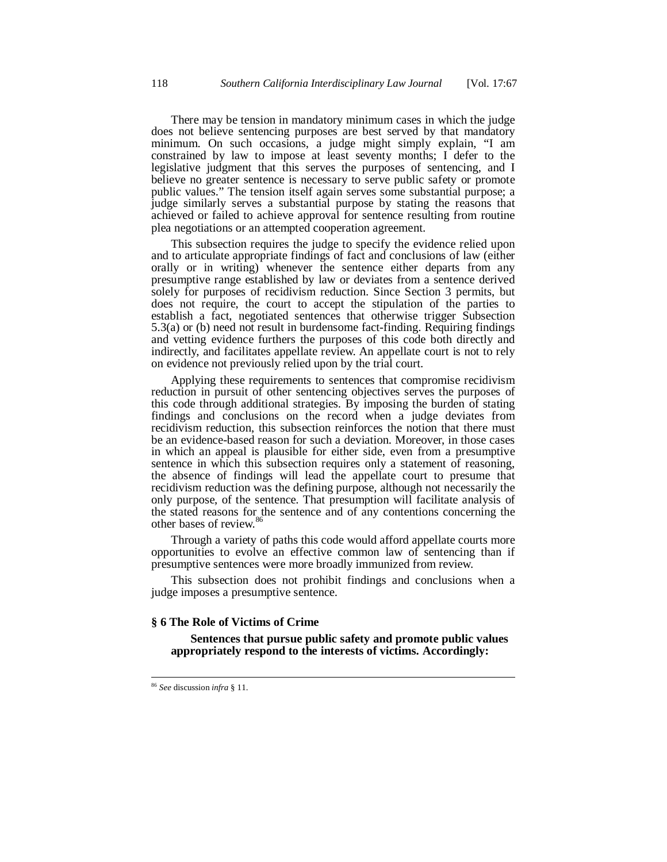There may be tension in mandatory minimum cases in which the judge does not believe sentencing purposes are best served by that mandatory minimum. On such occasions, a judge might simply explain, "I am constrained by law to impose at least seventy months; I defer to the legislative judgment that this serves the purposes of sentencing, and I believe no greater sentence is necessary to serve public safety or promote public values." The tension itself again serves some substantial purpose; a judge similarly serves a substantial purpose by stating the reasons that achieved or failed to achieve approval for sentence resulting from routine plea negotiations or an attempted cooperation agreement.

This subsection requires the judge to specify the evidence relied upon and to articulate appropriate findings of fact and conclusions of law (either orally or in writing) whenever the sentence either departs from any presumptive range established by law or deviates from a sentence derived solely for purposes of recidivism reduction. Since Section 3 permits, but does not require, the court to accept the stipulation of the parties to establish a fact, negotiated sentences that otherwise trigger Subsection 5.3(a) or (b) need not result in burdensome fact-finding. Requiring findings and vetting evidence furthers the purposes of this code both directly and indirectly, and facilitates appellate review. An appellate court is not to rely on evidence not previously relied upon by the trial court.

Applying these requirements to sentences that compromise recidivism reduction in pursuit of other sentencing objectives serves the purposes of this code through additional strategies. By imposing the burden of stating findings and conclusions on the record when a judge deviates from recidivism reduction, this subsection reinforces the notion that there must be an evidence-based reason for such a deviation. Moreover, in those cases in which an appeal is plausible for either side, even from a presumptive sentence in which this subsection requires only a statement of reasoning, the absence of findings will lead the appellate court to presume that recidivism reduction was the defining purpose, although not necessarily the only purpose, of the sentence. That presumption will facilitate analysis of the stated reasons for the sentence and of any contentions concerning the other bases of review.<sup>86</sup>

Through a variety of paths this code would afford appellate courts more opportunities to evolve an effective common law of sentencing than if presumptive sentences were more broadly immunized from review.

This subsection does not prohibit findings and conclusions when a judge imposes a presumptive sentence.

#### **§ 6 The Role of Victims of Crime**

 **Sentences that pursue public safety and promote public values appropriately respond to the interests of victims. Accordingly:**

<sup>86</sup> *See* discussion *infra* § 11.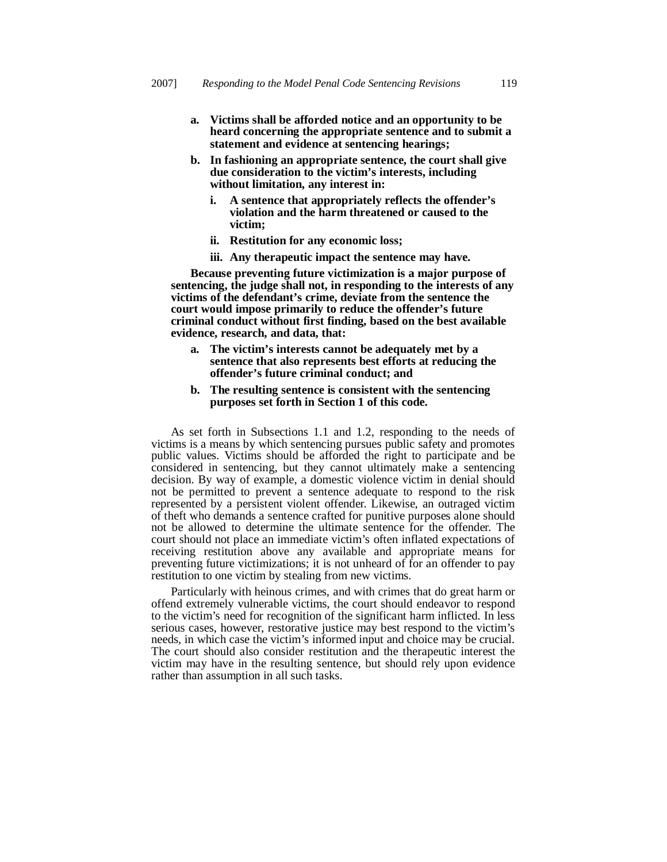- **a. Victims shall be afforded notice and an opportunity to be heard concerning the appropriate sentence and to submit a statement and evidence at sentencing hearings;**
- **b. In fashioning an appropriate sentence, the court shall give due consideration to the victim's interests, including without limitation, any interest in:**
	- **i. A sentence that appropriately reflects the offender's violation and the harm threatened or caused to the victim;**
	- **ii. Restitution for any economic loss;**
	- **iii. Any therapeutic impact the sentence may have.**

 **Because preventing future victimization is a major purpose of sentencing, the judge shall not, in responding to the interests of any victims of the defendant's crime, deviate from the sentence the court would impose primarily to reduce the offender's future criminal conduct without first finding, based on the best available evidence, research, and data, that:**

- **a. The victim's interests cannot be adequately met by a sentence that also represents best efforts at reducing the offender's future criminal conduct; and**
- **b. The resulting sentence is consistent with the sentencing purposes set forth in Section 1 of this code.**

As set forth in Subsections 1.1 and 1.2, responding to the needs of victims is a means by which sentencing pursues public safety and promotes public values. Victims should be afforded the right to participate and be considered in sentencing, but they cannot ultimately make a sentencing decision. By way of example, a domestic violence victim in denial should not be permitted to prevent a sentence adequate to respond to the risk represented by a persistent violent offender. Likewise, an outraged victim of theft who demands a sentence crafted for punitive purposes alone should not be allowed to determine the ultimate sentence for the offender. The court should not place an immediate victim's often inflated expectations of receiving restitution above any available and appropriate means for preventing future victimizations; it is not unheard of for an offender to pay restitution to one victim by stealing from new victims.

Particularly with heinous crimes, and with crimes that do great harm or offend extremely vulnerable victims, the court should endeavor to respond to the victim's need for recognition of the significant harm inflicted. In less serious cases, however, restorative justice may best respond to the victim's needs, in which case the victim's informed input and choice may be crucial. The court should also consider restitution and the therapeutic interest the victim may have in the resulting sentence, but should rely upon evidence rather than assumption in all such tasks.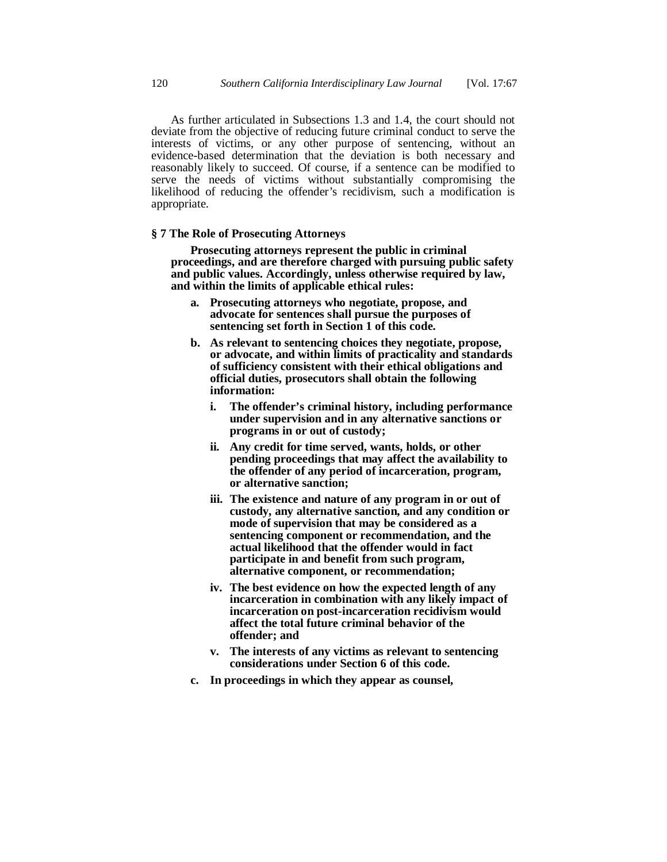As further articulated in Subsections 1.3 and 1.4, the court should not deviate from the objective of reducing future criminal conduct to serve the interests of victims, or any other purpose of sentencing, without an evidence-based determination that the deviation is both necessary and reasonably likely to succeed. Of course, if a sentence can be modified to serve the needs of victims without substantially compromising the likelihood of reducing the offender's recidivism, such a modification is appropriate.

# **§ 7 The Role of Prosecuting Attorneys**

 **Prosecuting attorneys represent the public in criminal proceedings, and are therefore charged with pursuing public safety and public values. Accordingly, unless otherwise required by law, and within the limits of applicable ethical rules:**

- **a. Prosecuting attorneys who negotiate, propose, and advocate for sentences shall pursue the purposes of sentencing set forth in Section 1 of this code.**
- **b. As relevant to sentencing choices they negotiate, propose, or advocate, and within limits of practicality and standards of sufficiency consistent with their ethical obligations and official duties, prosecutors shall obtain the following information:**
	- **i. The offender's criminal history, including performance under supervision and in any alternative sanctions or programs in or out of custody;**
	- **ii. Any credit for time served, wants, holds, or other pending proceedings that may affect the availability to the offender of any period of incarceration, program, or alternative sanction;**
	- **iii. The existence and nature of any program in or out of custody, any alternative sanction, and any condition or mode of supervision that may be considered as a sentencing component or recommendation, and the actual likelihood that the offender would in fact participate in and benefit from such program, alternative component, or recommendation;**
	- **iv. The best evidence on how the expected length of any incarceration in combination with any likely impact of incarceration on post-incarceration recidivism would affect the total future criminal behavior of the offender; and**
	- **v. The interests of any victims as relevant to sentencing considerations under Section 6 of this code.**
- **c. In proceedings in which they appear as counsel,**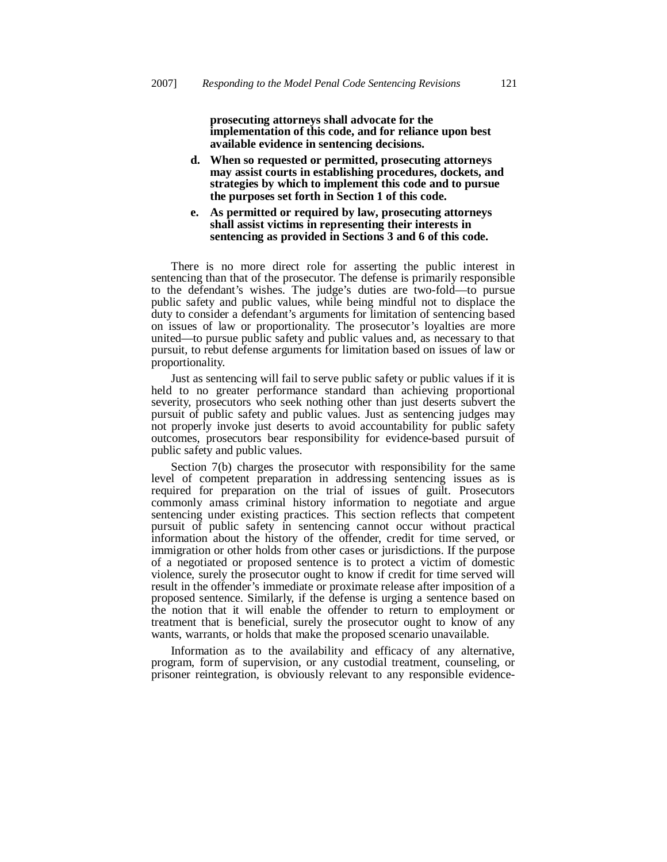**prosecuting attorneys shall advocate for the implementation of this code, and for reliance upon best available evidence in sentencing decisions.**

**d. When so requested or permitted, prosecuting attorneys may assist courts in establishing procedures, dockets, and strategies by which to implement this code and to pursue the purposes set forth in Section 1 of this code.**

#### **e. As permitted or required by law, prosecuting attorneys shall assist victims in representing their interests in sentencing as provided in Sections 3 and 6 of this code.**

There is no more direct role for asserting the public interest in sentencing than that of the prosecutor. The defense is primarily responsible to the defendant's wishes. The judge's duties are two-fold—to pursue public safety and public values, while being mindful not to displace the duty to consider a defendant's arguments for limitation of sentencing based on issues of law or proportionality. The prosecutor's loyalties are more united—to pursue public safety and public values and, as necessary to that pursuit, to rebut defense arguments for limitation based on issues of law or proportionality.

Just as sentencing will fail to serve public safety or public values if it is held to no greater performance standard than achieving proportional severity, prosecutors who seek nothing other than just deserts subvert the pursuit of public safety and public values. Just as sentencing judges may not properly invoke just deserts to avoid accountability for public safety outcomes, prosecutors bear responsibility for evidence-based pursuit of public safety and public values.

Section 7(b) charges the prosecutor with responsibility for the same level of competent preparation in addressing sentencing issues as is required for preparation on the trial of issues of guilt. Prosecutors commonly amass criminal history information to negotiate and argue sentencing under existing practices. This section reflects that competent pursuit of public safety in sentencing cannot occur without practical information about the history of the offender, credit for time served, or immigration or other holds from other cases or jurisdictions. If the purpose of a negotiated or proposed sentence is to protect a victim of domestic violence, surely the prosecutor ought to know if credit for time served will result in the offender's immediate or proximate release after imposition of a proposed sentence. Similarly, if the defense is urging a sentence based on the notion that it will enable the offender to return to employment or treatment that is beneficial, surely the prosecutor ought to know of any wants, warrants, or holds that make the proposed scenario unavailable.

Information as to the availability and efficacy of any alternative, program, form of supervision, or any custodial treatment, counseling, or prisoner reintegration, is obviously relevant to any responsible evidence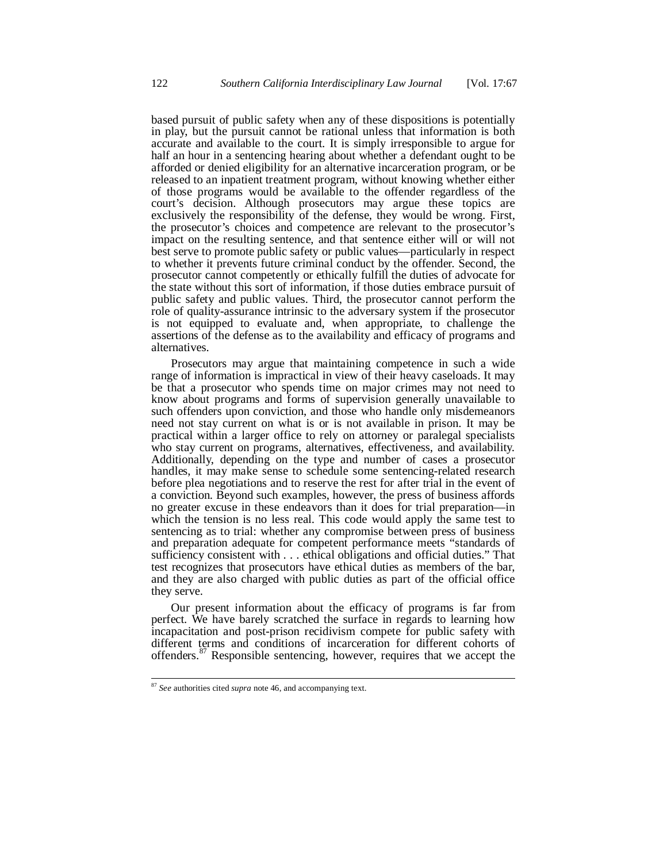based pursuit of public safety when any of these dispositions is potentially in play, but the pursuit cannot be rational unless that information is both accurate and available to the court. It is simply irresponsible to argue for half an hour in a sentencing hearing about whether a defendant ought to be afforded or denied eligibility for an alternative incarceration program, or be released to an inpatient treatment program, without knowing whether either of those programs would be available to the offender regardless of the court's decision. Although prosecutors may argue these topics are exclusively the responsibility of the defense, they would be wrong. First, the prosecutor's choices and competence are relevant to the prosecutor's impact on the resulting sentence, and that sentence either will or will not best serve to promote public safety or public values—particularly in respect to whether it prevents future criminal conduct by the offender. Second, the prosecutor cannot competently or ethically fulfill the duties of advocate for the state without this sort of information, if those duties embrace pursuit of public safety and public values. Third, the prosecutor cannot perform the role of quality-assurance intrinsic to the adversary system if the prosecutor is not equipped to evaluate and, when appropriate, to challenge the assertions of the defense as to the availability and efficacy of programs and alternatives.

Prosecutors may argue that maintaining competence in such a wide range of information is impractical in view of their heavy caseloads. It may be that a prosecutor who spends time on major crimes may not need to know about programs and forms of supervision generally unavailable to such offenders upon conviction, and those who handle only misdemeanors need not stay current on what is or is not available in prison. It may be practical within a larger office to rely on attorney or paralegal specialists who stay current on programs, alternatives, effectiveness, and availability. Additionally, depending on the type and number of cases a prosecutor handles, it may make sense to schedule some sentencing-related research before plea negotiations and to reserve the rest for after trial in the event of a conviction. Beyond such examples, however, the press of business affords no greater excuse in these endeavors than it does for trial preparation—in which the tension is no less real. This code would apply the same test to sentencing as to trial: whether any compromise between press of business and preparation adequate for competent performance meets "standards of sufficiency consistent with . . . ethical obligations and official duties." That test recognizes that prosecutors have ethical duties as members of the bar, and they are also charged with public duties as part of the official office they serve.

Our present information about the efficacy of programs is far from perfect. We have barely scratched the surface in regards to learning how incapacitation and post-prison recidivism compete for public safety with different terms and conditions of incarceration for different cohorts of offenders.<sup>87</sup> Responsible sentencing, however, requires that we accept the

<sup>87</sup> *See* authorities cited *supra* note 46, and accompanying text.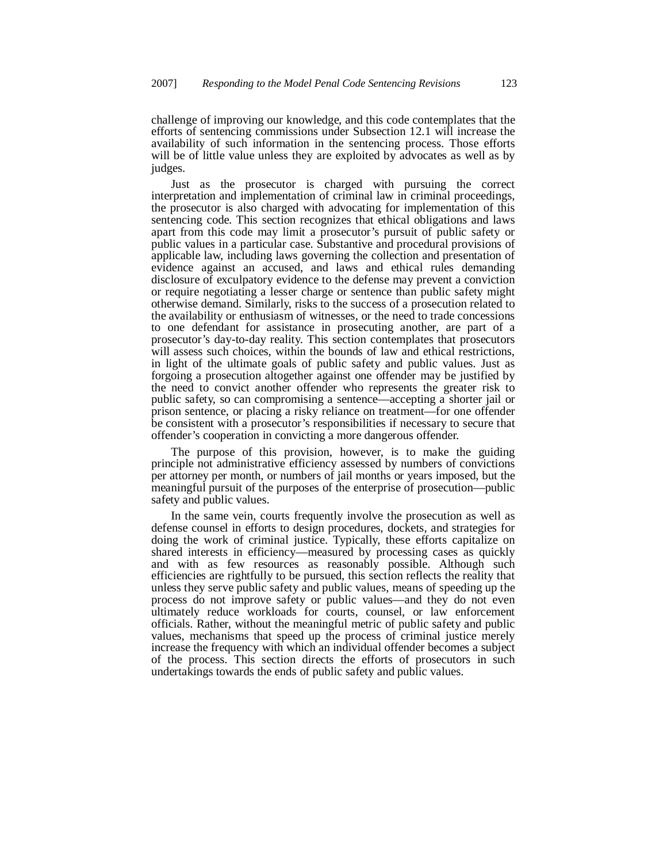challenge of improving our knowledge, and this code contemplates that the efforts of sentencing commissions under Subsection 12.1 will increase the availability of such information in the sentencing process. Those efforts will be of little value unless they are exploited by advocates as well as by judges.

Just as the prosecutor is charged with pursuing the correct interpretation and implementation of criminal law in criminal proceedings, the prosecutor is also charged with advocating for implementation of this sentencing code. This section recognizes that ethical obligations and laws apart from this code may limit a prosecutor's pursuit of public safety or public values in a particular case. Substantive and procedural provisions of applicable law, including laws governing the collection and presentation of evidence against an accused, and laws and ethical rules demanding disclosure of exculpatory evidence to the defense may prevent a conviction or require negotiating a lesser charge or sentence than public safety might otherwise demand. Similarly, risks to the success of a prosecution related to the availability or enthusiasm of witnesses, or the need to trade concessions to one defendant for assistance in prosecuting another, are part of a prosecutor's day-to-day reality. This section contemplates that prosecutors will assess such choices, within the bounds of law and ethical restrictions, in light of the ultimate goals of public safety and public values. Just as forgoing a prosecution altogether against one offender may be justified by the need to convict another offender who represents the greater risk to public safety, so can compromising a sentence—accepting a shorter jail or prison sentence, or placing a risky reliance on treatment—for one offender be consistent with a prosecutor's responsibilities if necessary to secure that offender's cooperation in convicting a more dangerous offender.

The purpose of this provision, however, is to make the guiding principle not administrative efficiency assessed by numbers of convictions per attorney per month, or numbers of jail months or years imposed, but the meaningful pursuit of the purposes of the enterprise of prosecution—public safety and public values.

In the same vein, courts frequently involve the prosecution as well as defense counsel in efforts to design procedures, dockets, and strategies for doing the work of criminal justice. Typically, these efforts capitalize on shared interests in efficiency—measured by processing cases as quickly and with as few resources as reasonably possible. Although such efficiencies are rightfully to be pursued, this section reflects the reality that unless they serve public safety and public values, means of speeding up the process do not improve safety or public values—and they do not even ultimately reduce workloads for courts, counsel, or law enforcement officials. Rather, without the meaningful metric of public safety and public values, mechanisms that speed up the process of criminal justice merely increase the frequency with which an individual offender becomes a subject of the process. This section directs the efforts of prosecutors in such undertakings towards the ends of public safety and public values.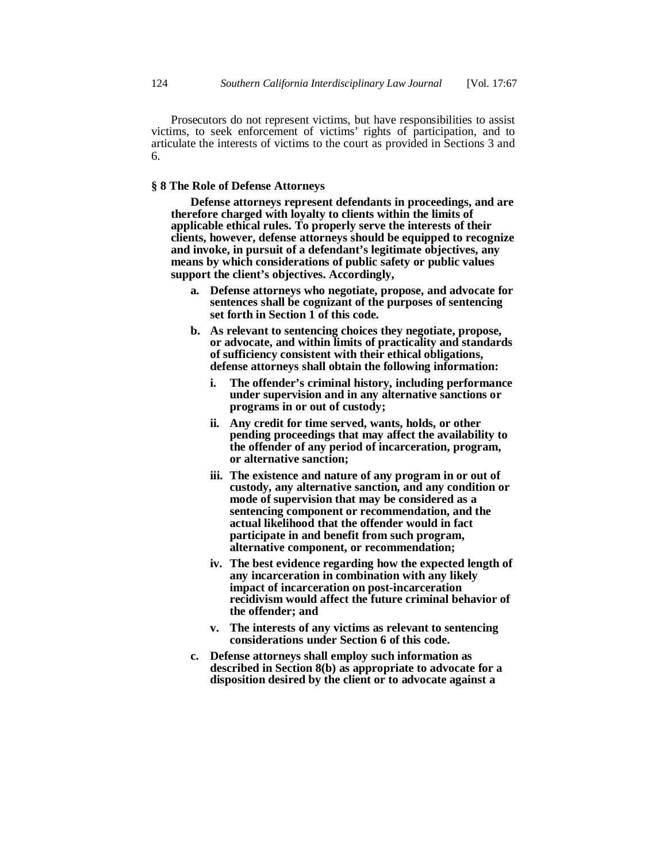Prosecutors do not represent victims, but have responsibilities to assist victims, to seek enforcement of victims' rights of participation, and to articulate the interests of victims to the court as provided in Sections 3 and 6.

# **§ 8 The Role of Defense Attorneys**

 **Defense attorneys represent defendants in proceedings, and are therefore charged with loyalty to clients within the limits of applicable ethical rules. To properly serve the interests of their clients, however, defense attorneys should be equipped to recognize and invoke, in pursuit of a defendant's legitimate objectives, any means by which considerations of public safety or public values support the client's objectives. Accordingly,**

- **a. Defense attorneys who negotiate, propose, and advocate for sentences shall be cognizant of the purposes of sentencing set forth in Section 1 of this code.**
- **b. As relevant to sentencing choices they negotiate, propose, or advocate, and within limits of practicality and standards of sufficiency consistent with their ethical obligations, defense attorneys shall obtain the following information:**
	- **i. The offender's criminal history, including performance under supervision and in any alternative sanctions or programs in or out of custody;**
	- **ii. Any credit for time served, wants, holds, or other pending proceedings that may affect the availability to the offender of any period of incarceration, program, or alternative sanction;**
	- **iii. The existence and nature of any program in or out of custody, any alternative sanction, and any condition or mode of supervision that may be considered as a sentencing component or recommendation, and the actual likelihood that the offender would in fact participate in and benefit from such program, alternative component, or recommendation;**
	- **iv. The best evidence regarding how the expected length of any incarceration in combination with any likely impact of incarceration on post-incarceration recidivism would affect the future criminal behavior of the offender; and**
	- **v. The interests of any victims as relevant to sentencing considerations under Section 6 of this code.**
- **c. Defense attorneys shall employ such information as described in Section 8(b) as appropriate to advocate for a disposition desired by the client or to advocate against a**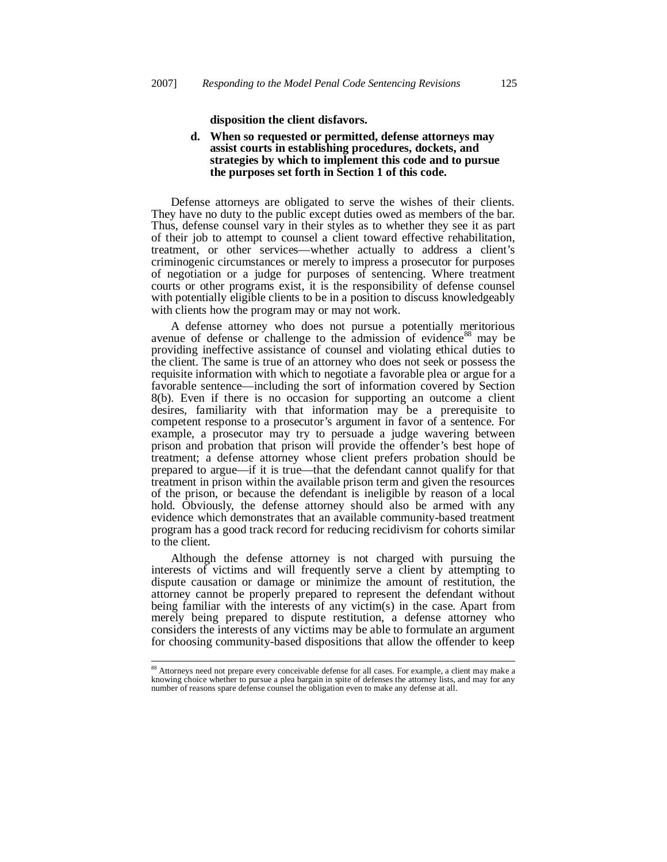**disposition the client disfavors.**

# **d. When so requested or permitted, defense attorneys may assist courts in establishing procedures, dockets, and strategies by which to implement this code and to pursue the purposes set forth in Section 1 of this code.**

Defense attorneys are obligated to serve the wishes of their clients. They have no duty to the public except duties owed as members of the bar. Thus, defense counsel vary in their styles as to whether they see it as part of their job to attempt to counsel a client toward effective rehabilitation, treatment, or other services—whether actually to address a client's criminogenic circumstances or merely to impress a prosecutor for purposes of negotiation or a judge for purposes of sentencing. Where treatment courts or other programs exist, it is the responsibility of defense counsel with potentially eligible clients to be in a position to discuss knowledgeably with clients how the program may or may not work.

A defense attorney who does not pursue a potentially meritorious avenue of defense or challenge to the admission of evidence<sup>88</sup> may be providing ineffective assistance of counsel and violating ethical duties to the client. The same is true of an attorney who does not seek or possess the requisite information with which to negotiate a favorable plea or argue for a favorable sentence—including the sort of information covered by Section 8(b). Even if there is no occasion for supporting an outcome a client desires, familiarity with that information may be a prerequisite to competent response to a prosecutor's argument in favor of a sentence. For example, a prosecutor may try to persuade a judge wavering between prison and probation that prison will provide the offender's best hope of treatment; a defense attorney whose client prefers probation should be prepared to argue—if it is true—that the defendant cannot qualify for that treatment in prison within the available prison term and given the resources of the prison, or because the defendant is ineligible by reason of a local hold. Obviously, the defense attorney should also be armed with any evidence which demonstrates that an available community-based treatment program has a good track record for reducing recidivism for cohorts similar to the client.

Although the defense attorney is not charged with pursuing the interests of victims and will frequently serve a client by attempting to dispute causation or damage or minimize the amount of restitution, the attorney cannot be properly prepared to represent the defendant without being familiar with the interests of any victim(s) in the case. Apart from merely being prepared to dispute restitution, a defense attorney who considers the interests of any victims may be able to formulate an argument for choosing community-based dispositions that allow the offender to keep

<sup>88</sup> Attorneys need not prepare every conceivable defense for all cases. For example, a client may make a knowing choice whether to pursue a plea bargain in spite of defenses the attorney lists, and may for any number of reasons spare defense counsel the obligation even to make any defense at all.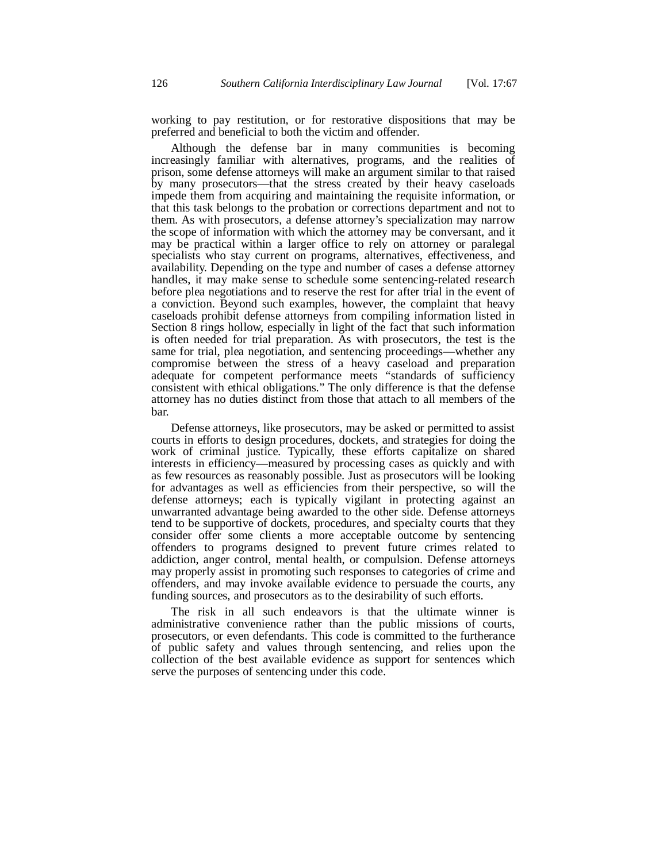working to pay restitution, or for restorative dispositions that may be preferred and beneficial to both the victim and offender.

Although the defense bar in many communities is becoming increasingly familiar with alternatives, programs, and the realities of prison, some defense attorneys will make an argument similar to that raised by many prosecutors—that the stress created by their heavy caseloads impede them from acquiring and maintaining the requisite information, or that this task belongs to the probation or corrections department and not to them. As with prosecutors, a defense attorney's specialization may narrow the scope of information with which the attorney may be conversant, and it may be practical within a larger office to rely on attorney or paralegal specialists who stay current on programs, alternatives, effectiveness, and availability. Depending on the type and number of cases a defense attorney handles, it may make sense to schedule some sentencing-related research before plea negotiations and to reserve the rest for after trial in the event of a conviction. Beyond such examples, however, the complaint that heavy caseloads prohibit defense attorneys from compiling information listed in Section 8 rings hollow, especially in light of the fact that such information is often needed for trial preparation. As with prosecutors, the test is the same for trial, plea negotiation, and sentencing proceedings—whether any compromise between the stress of a heavy caseload and preparation adequate for competent performance meets "standards of sufficiency consistent with ethical obligations." The only difference is that the defense attorney has no duties distinct from those that attach to all members of the bar.

Defense attorneys, like prosecutors, may be asked or permitted to assist courts in efforts to design procedures, dockets, and strategies for doing the work of criminal justice. Typically, these efforts capitalize on shared interests in efficiency—measured by processing cases as quickly and with as few resources as reasonably possible. Just as prosecutors will be looking for advantages as well as efficiencies from their perspective, so will the defense attorneys; each is typically vigilant in protecting against an unwarranted advantage being awarded to the other side. Defense attorneys tend to be supportive of dockets, procedures, and specialty courts that they consider offer some clients a more acceptable outcome by sentencing offenders to programs designed to prevent future crimes related to addiction, anger control, mental health, or compulsion. Defense attorneys may properly assist in promoting such responses to categories of crime and offenders, and may invoke available evidence to persuade the courts, any funding sources, and prosecutors as to the desirability of such efforts.

The risk in all such endeavors is that the ultimate winner is administrative convenience rather than the public missions of courts, prosecutors, or even defendants. This code is committed to the furtherance of public safety and values through sentencing, and relies upon the collection of the best available evidence as support for sentences which serve the purposes of sentencing under this code.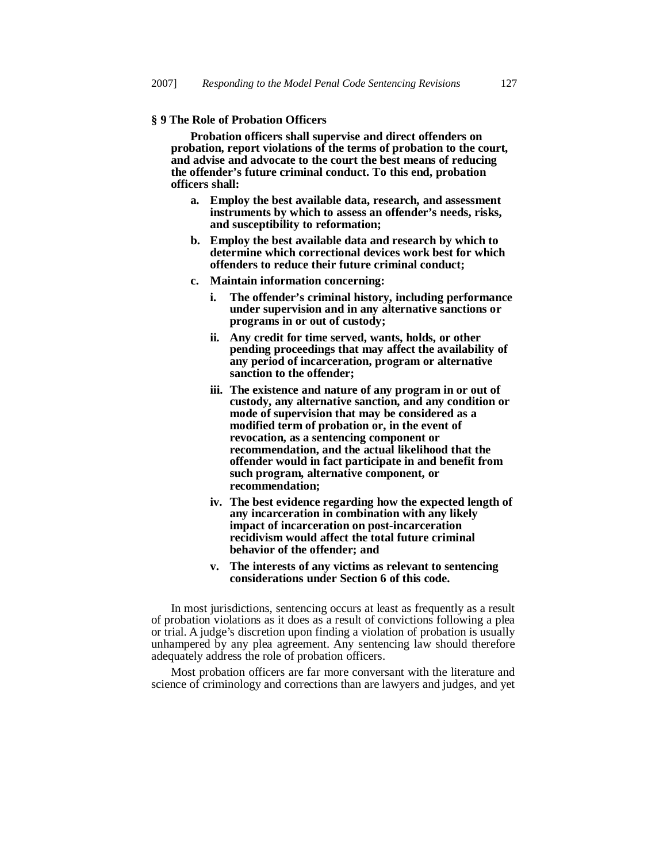#### **§ 9 The Role of Probation Officers**

 **Probation officers shall supervise and direct offenders on probation, report violations of the terms of probation to the court, and advise and advocate to the court the best means of reducing the offender's future criminal conduct. To this end, probation officers shall:**

- **a. Employ the best available data, research, and assessment instruments by which to assess an offender's needs, risks, and susceptibility to reformation;**
- **b. Employ the best available data and research by which to determine which correctional devices work best for which offenders to reduce their future criminal conduct;**
- **c. Maintain information concerning:**
	- **i. The offender's criminal history, including performance under supervision and in any alternative sanctions or programs in or out of custody;**
	- **ii. Any credit for time served, wants, holds, or other pending proceedings that may affect the availability of any period of incarceration, program or alternative sanction to the offender;**
	- **iii. The existence and nature of any program in or out of custody, any alternative sanction, and any condition or mode of supervision that may be considered as a modified term of probation or, in the event of revocation, as a sentencing component or recommendation, and the actual likelihood that the offender would in fact participate in and benefit from such program, alternative component, or recommendation;**
	- **iv. The best evidence regarding how the expected length of any incarceration in combination with any likely impact of incarceration on post-incarceration recidivism would affect the total future criminal behavior of the offender; and**
	- **v. The interests of any victims as relevant to sentencing considerations under Section 6 of this code.**

In most jurisdictions, sentencing occurs at least as frequently as a result of probation violations as it does as a result of convictions following a plea or trial. A judge's discretion upon finding a violation of probation is usually unhampered by any plea agreement. Any sentencing law should therefore adequately address the role of probation officers.

Most probation officers are far more conversant with the literature and science of criminology and corrections than are lawyers and judges, and yet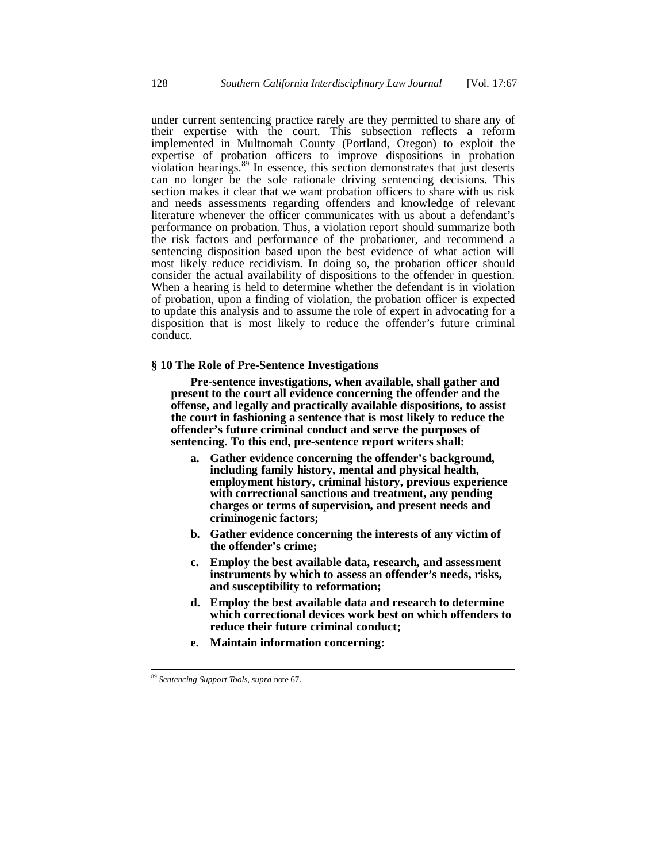under current sentencing practice rarely are they permitted to share any of their expertise with the court. This subsection reflects a reform implemented in Multnomah County (Portland, Oregon) to exploit the expertise of probation officers to improve dispositions in probation violation hearings.<sup>89</sup> In essence, this section demonstrates that just deserts can no longer be the sole rationale driving sentencing decisions. This section makes it clear that we want probation officers to share with us risk and needs assessments regarding offenders and knowledge of relevant literature whenever the officer communicates with us about a defendant's performance on probation. Thus, a violation report should summarize both the risk factors and performance of the probationer, and recommend a sentencing disposition based upon the best evidence of what action will most likely reduce recidivism. In doing so, the probation officer should consider the actual availability of dispositions to the offender in question. When a hearing is held to determine whether the defendant is in violation of probation, upon a finding of violation, the probation officer is expected to update this analysis and to assume the role of expert in advocating for a disposition that is most likely to reduce the offender's future criminal conduct.

#### **§ 10 The Role of Pre-Sentence Investigations**

 **Pre-sentence investigations, when available, shall gather and present to the court all evidence concerning the offender and the offense, and legally and practically available dispositions, to assist the court in fashioning a sentence that is most likely to reduce the offender's future criminal conduct and serve the purposes of sentencing. To this end, pre-sentence report writers shall:**

- **a. Gather evidence concerning the offender's background, including family history, mental and physical health, employment history, criminal history, previous experience with correctional sanctions and treatment, any pending charges or terms of supervision, and present needs and criminogenic factors;**
- **b. Gather evidence concerning the interests of any victim of the offender's crime;**
- **c. Employ the best available data, research, and assessment instruments by which to assess an offender's needs, risks, and susceptibility to reformation;**
- **d. Employ the best available data and research to determine which correctional devices work best on which offenders to reduce their future criminal conduct;**
- **e. Maintain information concerning:**

<sup>89</sup> *Sentencing Support Tools*, *supra* note 67.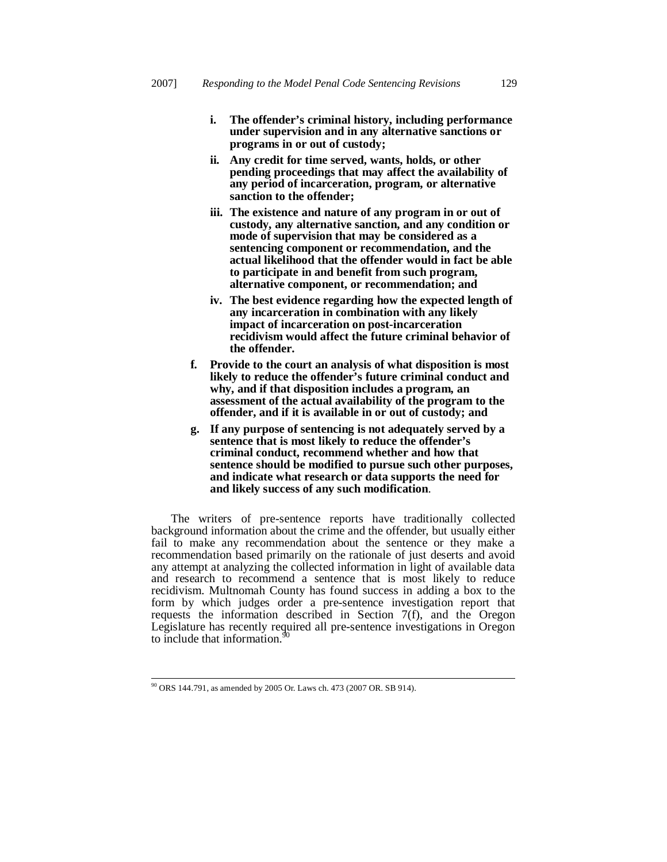- **i. The offender's criminal history, including performance under supervision and in any alternative sanctions or programs in or out of custody;**
- **ii. Any credit for time served, wants, holds, or other pending proceedings that may affect the availability of any period of incarceration, program, or alternative sanction to the offender;**
- **iii. The existence and nature of any program in or out of custody, any alternative sanction, and any condition or mode of supervision that may be considered as a sentencing component or recommendation, and the actual likelihood that the offender would in fact be able to participate in and benefit from such program, alternative component, or recommendation; and**
- **iv. The best evidence regarding how the expected length of any incarceration in combination with any likely impact of incarceration on post-incarceration recidivism would affect the future criminal behavior of the offender.**
- **f. Provide to the court an analysis of what disposition is most likely to reduce the offender's future criminal conduct and why, and if that disposition includes a program, an assessment of the actual availability of the program to the offender, and if it is available in or out of custody; and**
- **g. If any purpose of sentencing is not adequately served by a sentence that is most likely to reduce the offender's criminal conduct, recommend whether and how that sentence should be modified to pursue such other purposes, and indicate what research or data supports the need for and likely success of any such modification**.

The writers of pre-sentence reports have traditionally collected background information about the crime and the offender, but usually either fail to make any recommendation about the sentence or they make a recommendation based primarily on the rationale of just deserts and avoid any attempt at analyzing the collected information in light of available data and research to recommend a sentence that is most likely to reduce recidivism. Multnomah County has found success in adding a box to the form by which judges order a pre-sentence investigation report that requests the information described in Section 7(f), and the Oregon Legislature has recently required all pre-sentence investigations in Oregon to include that information.<sup>9</sup>

<sup>90</sup> ORS 144.791, as amended by 2005 Or. Laws ch. 473 (2007 OR. SB 914).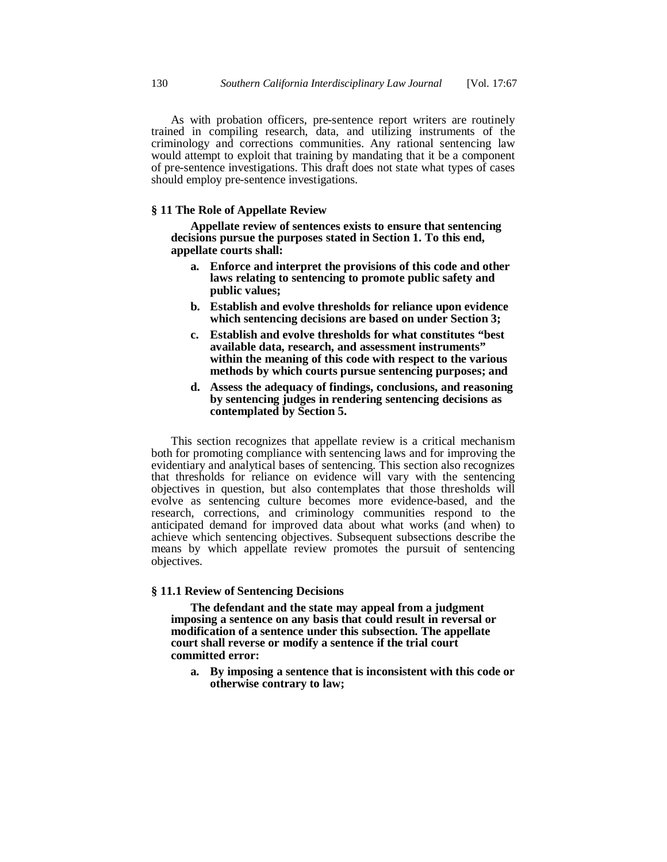As with probation officers, pre-sentence report writers are routinely trained in compiling research, data, and utilizing instruments of the criminology and corrections communities. Any rational sentencing law would attempt to exploit that training by mandating that it be a component of pre-sentence investigations. This draft does not state what types of cases should employ pre-sentence investigations.

# **§ 11 The Role of Appellate Review**

 **Appellate review of sentences exists to ensure that sentencing decisions pursue the purposes stated in Section 1. To this end, appellate courts shall:**

- **a. Enforce and interpret the provisions of this code and other laws relating to sentencing to promote public safety and public values;**
- **b. Establish and evolve thresholds for reliance upon evidence which sentencing decisions are based on under Section 3;**
- **c. Establish and evolve thresholds for what constitutes "best available data, research, and assessment instruments" within the meaning of this code with respect to the various methods by which courts pursue sentencing purposes; and**
- **d. Assess the adequacy of findings, conclusions, and reasoning by sentencing judges in rendering sentencing decisions as contemplated by Section 5.**

This section recognizes that appellate review is a critical mechanism both for promoting compliance with sentencing laws and for improving the evidentiary and analytical bases of sentencing. This section also recognizes that thresholds for reliance on evidence will vary with the sentencing objectives in question, but also contemplates that those thresholds will evolve as sentencing culture becomes more evidence-based, and the research, corrections, and criminology communities respond to the anticipated demand for improved data about what works (and when) to achieve which sentencing objectives. Subsequent subsections describe the means by which appellate review promotes the pursuit of sentencing objectives.

# **§ 11.1 Review of Sentencing Decisions**

 **The defendant and the state may appeal from a judgment imposing a sentence on any basis that could result in reversal or modification of a sentence under this subsection. The appellate court shall reverse or modify a sentence if the trial court committed error:**

**a. By imposing a sentence that is inconsistent with this code or otherwise contrary to law;**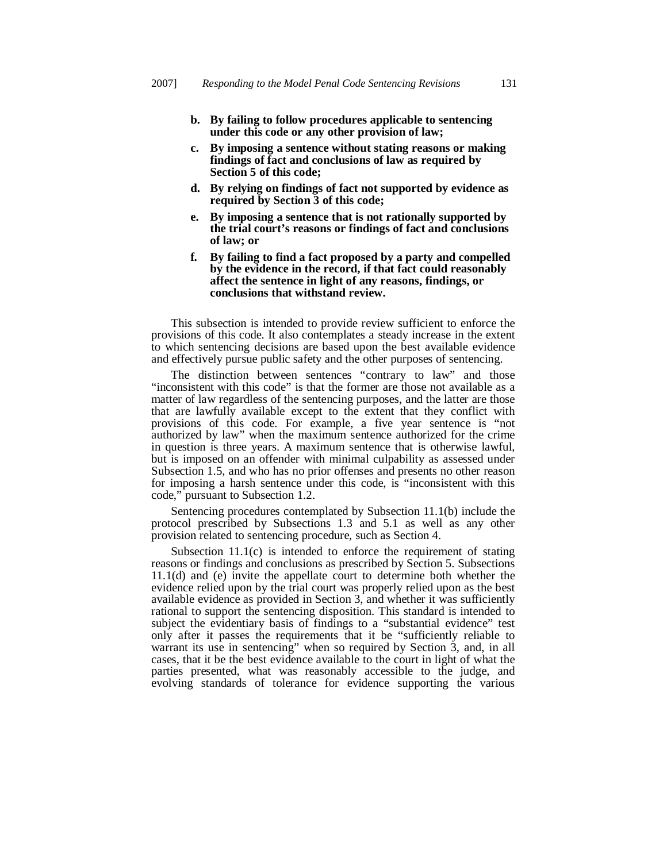- **b. By failing to follow procedures applicable to sentencing under this code or any other provision of law;**
- **c. By imposing a sentence without stating reasons or making findings of fact and conclusions of law as required by Section 5 of this code;**
- **d. By relying on findings of fact not supported by evidence as required by Section 3 of this code;**
- **e. By imposing a sentence that is not rationally supported by the trial court's reasons or findings of fact and conclusions of law; or**
- **f. By failing to find a fact proposed by a party and compelled by the evidence in the record, if that fact could reasonably affect the sentence in light of any reasons, findings, or conclusions that withstand review.**

This subsection is intended to provide review sufficient to enforce the provisions of this code. It also contemplates a steady increase in the extent to which sentencing decisions are based upon the best available evidence and effectively pursue public safety and the other purposes of sentencing.

The distinction between sentences "contrary to law" and those "inconsistent with this code" is that the former are those not available as a matter of law regardless of the sentencing purposes, and the latter are those that are lawfully available except to the extent that they conflict with provisions of this code. For example, a five year sentence is "not authorized by law" when the maximum sentence authorized for the crime in question is three years. A maximum sentence that is otherwise lawful, but is imposed on an offender with minimal culpability as assessed under Subsection 1.5, and who has no prior offenses and presents no other reason for imposing a harsh sentence under this code, is "inconsistent with this code," pursuant to Subsection 1.2.

Sentencing procedures contemplated by Subsection 11.1(b) include the protocol prescribed by Subsections 1.3 and 5.1 as well as any other provision related to sentencing procedure, such as Section 4.

Subsection 11.1(c) is intended to enforce the requirement of stating reasons or findings and conclusions as prescribed by Section 5. Subsections 11.1(d) and (e) invite the appellate court to determine both whether the evidence relied upon by the trial court was properly relied upon as the best available evidence as provided in Section 3, and whether it was sufficiently rational to support the sentencing disposition. This standard is intended to subject the evidentiary basis of findings to a "substantial evidence" test only after it passes the requirements that it be "sufficiently reliable to warrant its use in sentencing" when so required by Section 3, and, in all cases, that it be the best evidence available to the court in light of what the parties presented, what was reasonably accessible to the judge, and evolving standards of tolerance for evidence supporting the various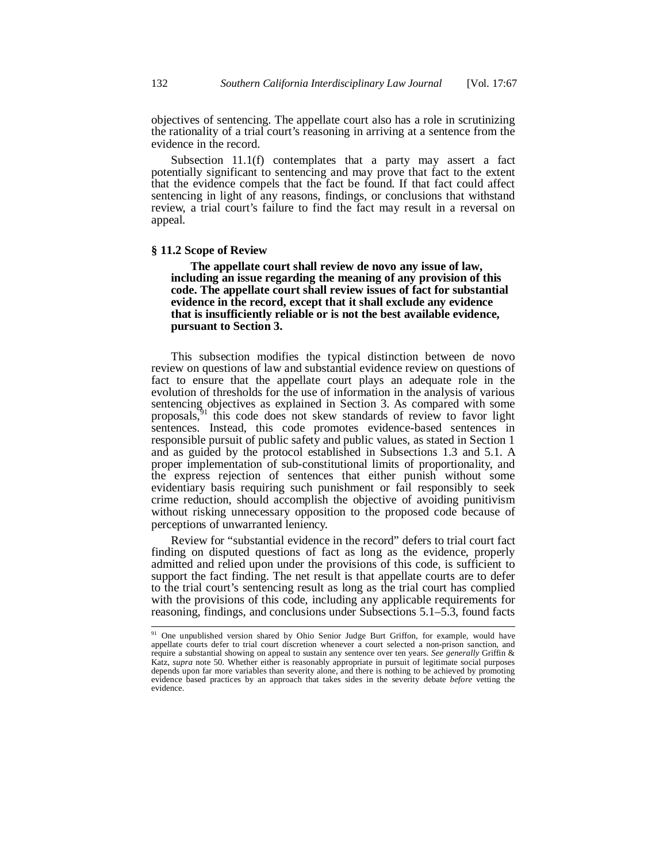objectives of sentencing. The appellate court also has a role in scrutinizing the rationality of a trial court's reasoning in arriving at a sentence from the evidence in the record.

Subsection 11.1(f) contemplates that a party may assert a fact potentially significant to sentencing and may prove that fact to the extent that the evidence compels that the fact be found. If that fact could affect sentencing in light of any reasons, findings, or conclusions that withstand review, a trial court's failure to find the fact may result in a reversal on appeal.

# **§ 11.2 Scope of Review**

 **The appellate court shall review de novo any issue of law, including an issue regarding the meaning of any provision of this code. The appellate court shall review issues of fact for substantial evidence in the record, except that it shall exclude any evidence that is insufficiently reliable or is not the best available evidence, pursuant to Section 3.**

This subsection modifies the typical distinction between de novo review on questions of law and substantial evidence review on questions of fact to ensure that the appellate court plays an adequate role in the evolution of thresholds for the use of information in the analysis of various sentencing objectives as explained in Section 3. As compared with some proposals,<sup>91</sup> this code does not skew standards of review to favor light sentences. Instead, this code promotes evidence-based sentences in responsible pursuit of public safety and public values, as stated in Section 1 and as guided by the protocol established in Subsections 1.3 and 5.1. A proper implementation of sub-constitutional limits of proportionality, and the express rejection of sentences that either punish without some evidentiary basis requiring such punishment or fail responsibly to seek crime reduction, should accomplish the objective of avoiding punitivism without risking unnecessary opposition to the proposed code because of perceptions of unwarranted leniency.

Review for "substantial evidence in the record" defers to trial court fact finding on disputed questions of fact as long as the evidence, properly admitted and relied upon under the provisions of this code, is sufficient to support the fact finding. The net result is that appellate courts are to defer to the trial court's sentencing result as long as the trial court has complied with the provisions of this code, including any applicable requirements for reasoning, findings, and conclusions under Subsections 5.1–5.3, found facts

<sup>&</sup>lt;sup>91</sup> One unpublished version shared by Ohio Senior Judge Burt Griffon, for example, would have appellate courts defer to trial court discretion whenever a court selected a non-prison sanction, and require a substantial showing on appeal to sustain any sentence over ten years. *See generally* Griffin & Katz, *supra* note 50*.* Whether either is reasonably appropriate in pursuit of legitimate social purposes depends upon far more variables than severity alone, and there is nothing to be achieved by promoting evidence based practices by an approach that takes sides in the severity debate *before* vetting the evidence.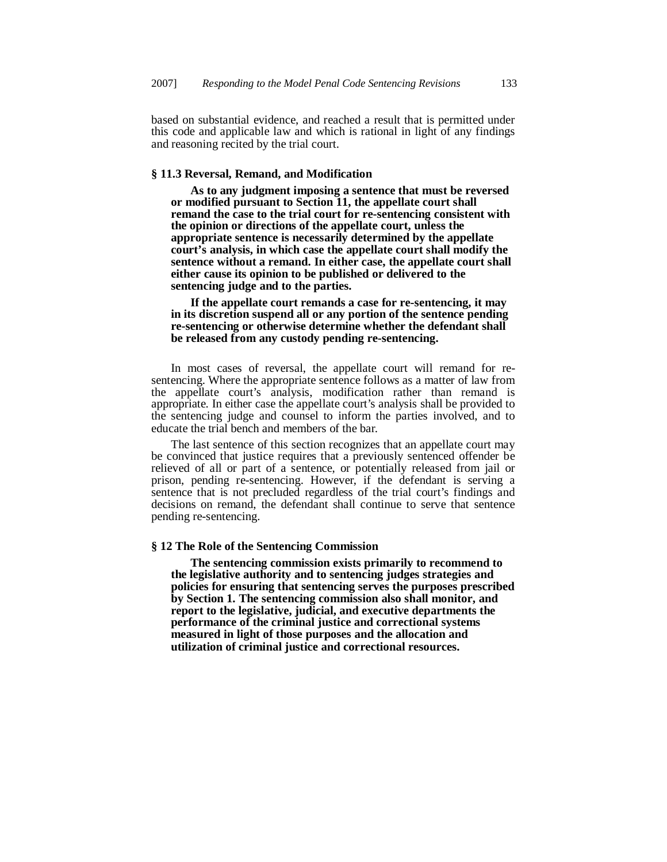based on substantial evidence, and reached a result that is permitted under this code and applicable law and which is rational in light of any findings and reasoning recited by the trial court.

# **§ 11.3 Reversal, Remand, and Modification**

 **As to any judgment imposing a sentence that must be reversed or modified pursuant to Section 11, the appellate court shall remand the case to the trial court for re-sentencing consistent with the opinion or directions of the appellate court, unless the appropriate sentence is necessarily determined by the appellate court's analysis, in which case the appellate court shall modify the sentence without a remand. In either case, the appellate court shall either cause its opinion to be published or delivered to the sentencing judge and to the parties.**

 **If the appellate court remands a case for re-sentencing, it may in its discretion suspend all or any portion of the sentence pending re-sentencing or otherwise determine whether the defendant shall be released from any custody pending re-sentencing.**

In most cases of reversal, the appellate court will remand for resentencing. Where the appropriate sentence follows as a matter of law from the appellate court's analysis, modification rather than remand is appropriate. In either case the appellate court's analysis shall be provided to the sentencing judge and counsel to inform the parties involved, and to educate the trial bench and members of the bar.

The last sentence of this section recognizes that an appellate court may be convinced that justice requires that a previously sentenced offender be relieved of all or part of a sentence, or potentially released from jail or prison, pending re-sentencing. However, if the defendant is serving a sentence that is not precluded regardless of the trial court's findings and decisions on remand, the defendant shall continue to serve that sentence pending re-sentencing.

### **§ 12 The Role of the Sentencing Commission**

 **The sentencing commission exists primarily to recommend to the legislative authority and to sentencing judges strategies and policies for ensuring that sentencing serves the purposes prescribed by Section 1. The sentencing commission also shall monitor, and report to the legislative, judicial, and executive departments the performance of the criminal justice and correctional systems measured in light of those purposes and the allocation and utilization of criminal justice and correctional resources.**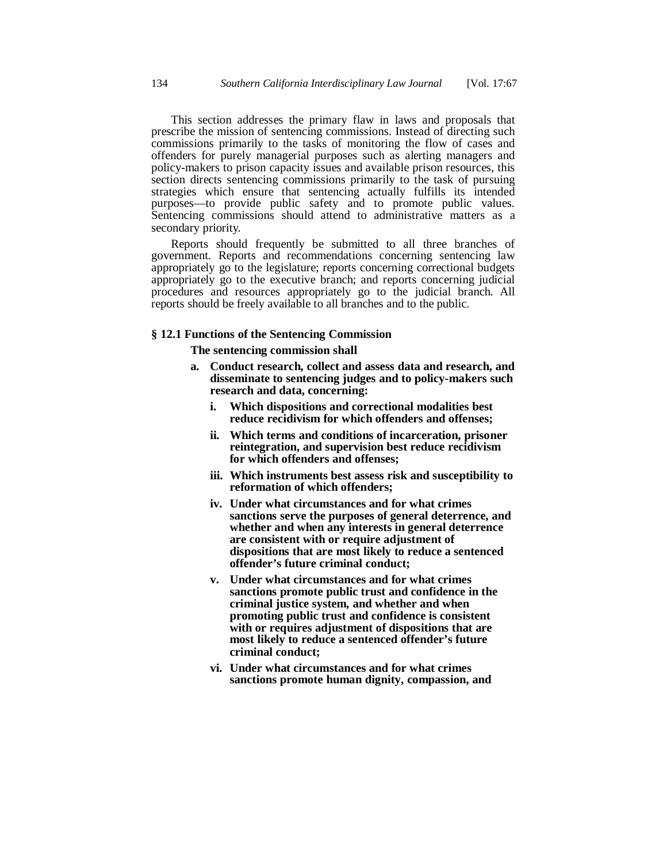This section addresses the primary flaw in laws and proposals that prescribe the mission of sentencing commissions. Instead of directing such commissions primarily to the tasks of monitoring the flow of cases and offenders for purely managerial purposes such as alerting managers and policy-makers to prison capacity issues and available prison resources, this section directs sentencing commissions primarily to the task of pursuing strategies which ensure that sentencing actually fulfills its intended purposes—to provide public safety and to promote public values. Sentencing commissions should attend to administrative matters as a secondary priority.

Reports should frequently be submitted to all three branches of government. Reports and recommendations concerning sentencing law appropriately go to the legislature; reports concerning correctional budgets appropriately go to the executive branch; and reports concerning judicial procedures and resources appropriately go to the judicial branch. All reports should be freely available to all branches and to the public.

# **§ 12.1 Functions of the Sentencing Commission**

 **The sentencing commission shall**

- **a. Conduct research, collect and assess data and research, and disseminate to sentencing judges and to policy-makers such research and data, concerning:**
	- **i. Which dispositions and correctional modalities best reduce recidivism for which offenders and offenses;**
	- **ii. Which terms and conditions of incarceration, prisoner reintegration, and supervision best reduce recidivism for which offenders and offenses;**
	- **iii. Which instruments best assess risk and susceptibility to reformation of which offenders;**
	- **iv. Under what circumstances and for what crimes sanctions serve the purposes of general deterrence, and whether and when any interests in general deterrence are consistent with or require adjustment of dispositions that are most likely to reduce a sentenced offender's future criminal conduct;**
	- **v. Under what circumstances and for what crimes sanctions promote public trust and confidence in the criminal justice system, and whether and when promoting public trust and confidence is consistent with or requires adjustment of dispositions that are most likely to reduce a sentenced offender's future criminal conduct;**
	- **vi. Under what circumstances and for what crimes sanctions promote human dignity, compassion, and**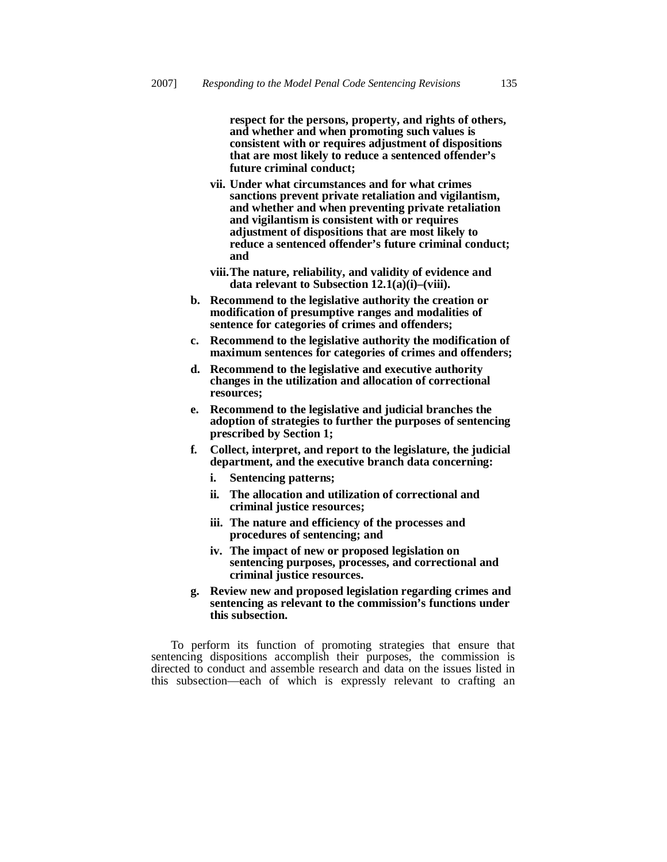**respect for the persons, property, and rights of others, and whether and when promoting such values is consistent with or requires adjustment of dispositions that are most likely to reduce a sentenced offender's future criminal conduct;**

- **vii. Under what circumstances and for what crimes sanctions prevent private retaliation and vigilantism, and whether and when preventing private retaliation and vigilantism is consistent with or requires adjustment of dispositions that are most likely to reduce a sentenced offender's future criminal conduct; and**
- **viii. The nature, reliability, and validity of evidence and data relevant to Subsection 12.1(a)(i)–(viii).**
- **b. Recommend to the legislative authority the creation or modification of presumptive ranges and modalities of sentence for categories of crimes and offenders;**
- **c. Recommend to the legislative authority the modification of maximum sentences for categories of crimes and offenders;**
- **d. Recommend to the legislative and executive authority changes in the utilization and allocation of correctional resources;**
- **e. Recommend to the legislative and judicial branches the adoption of strategies to further the purposes of sentencing prescribed by Section 1;**
- **f. Collect, interpret, and report to the legislature, the judicial department, and the executive branch data concerning:**
	- **i. Sentencing patterns;**
	- **ii. The allocation and utilization of correctional and criminal justice resources;**
	- **iii. The nature and efficiency of the processes and procedures of sentencing; and**
	- **iv. The impact of new or proposed legislation on sentencing purposes, processes, and correctional and criminal justice resources.**
- **g. Review new and proposed legislation regarding crimes and sentencing as relevant to the commission's functions under this subsection.**

To perform its function of promoting strategies that ensure that sentencing dispositions accomplish their purposes, the commission is directed to conduct and assemble research and data on the issues listed in this subsection—each of which is expressly relevant to crafting an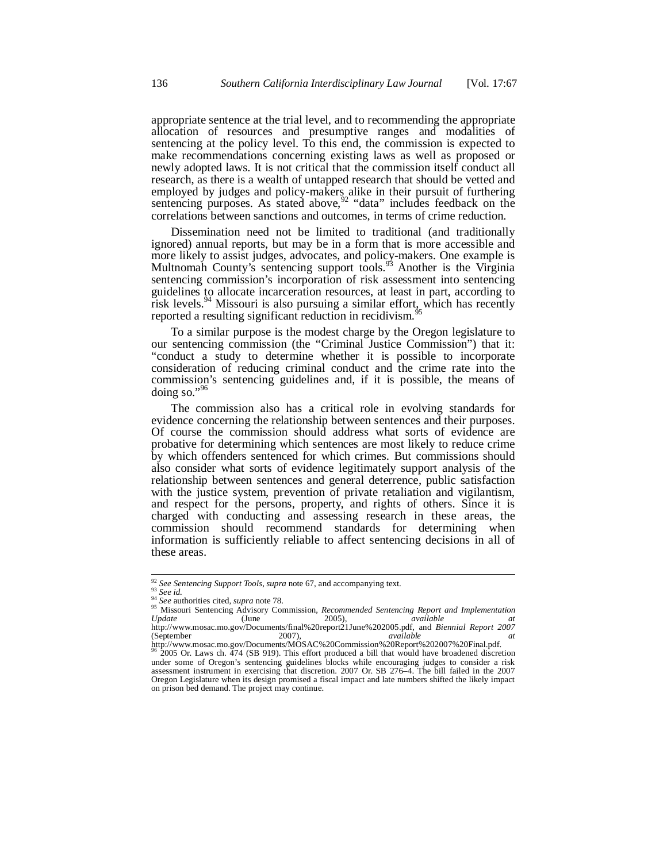appropriate sentence at the trial level, and to recommending the appropriate allocation of resources and presumptive ranges and modalities of sentencing at the policy level. To this end, the commission is expected to make recommendations concerning existing laws as well as proposed or newly adopted laws. It is not critical that the commission itself conduct all research, as there is a wealth of untapped research that should be vetted and employed by judges and policy-makers alike in their pursuit of furthering sentencing purposes. As stated above,  $92$  "data" includes feedback on the correlations between sanctions and outcomes, in terms of crime reduction.

Dissemination need not be limited to traditional (and traditionally ignored) annual reports, but may be in a form that is more accessible and more likely to assist judges, advocates, and policy-makers. One example is Multnomah County's sentencing support tools.<sup>93</sup> Another is the Virginia sentencing commission's incorporation of risk assessment into sentencing guidelines to allocate incarceration resources, at least in part, according to risk levels.<sup>94</sup> Missouri is also pursuing a similar effort<sub> $\frac{1}{95}$ </sub> which has recently reported a resulting significant reduction in recidivism.<sup>9</sup>

To a similar purpose is the modest charge by the Oregon legislature to our sentencing commission (the "Criminal Justice Commission") that it: "conduct a study to determine whether it is possible to incorporate consideration of reducing criminal conduct and the crime rate into the commission's sentencing guidelines and, if it is possible, the means of doing so."<sup>96</sup>

The commission also has a critical role in evolving standards for evidence concerning the relationship between sentences and their purposes. Of course the commission should address what sorts of evidence are probative for determining which sentences are most likely to reduce crime by which offenders sentenced for which crimes. But commissions should also consider what sorts of evidence legitimately support analysis of the relationship between sentences and general deterrence, public satisfaction with the justice system, prevention of private retaliation and vigilantism, and respect for the persons, property, and rights of others. Since it is charged with conducting and assessing research in these areas, the commission should recommend standards for determining when information is sufficiently reliable to affect sentencing decisions in all of these areas.

<sup>92</sup> *See Sentencing Support Tools*, *supra* note 67, and accompanying text. <sup>93</sup> *See id.* <sup>94</sup> *See* authorities cited, *supra* note 78.

<sup>&</sup>lt;sup>95</sup> Missouri Sentencing Advisory Commission, *Recommended Sentencing Report and Implementation*<br>Update (June 2005), *available at Update* (June 2005), *available at* http://www.mosac.mo.gov/Documents/final%20report21June%202005.pdf, and *Biennial Report 2007*

<sup>(</sup>September 2007), *available at* http://www.mosac.mo.gov/Documents/MOSAC%20Commission%20Report%202007%20Final.pdf. <sup>96</sup> 2005 Or. Laws ch. 474 (SB 919). This effort produced a bill that would have broadened discretion under some of Oregon's sentencing guidelines blocks while encouraging judges to consider a risk assessment instrument in exercising that discretion. 2007 Or. SB 276–4. The bill failed in the 2007 Oregon Legislature when its design promised a fiscal impact and late numbers shifted the likely impact on prison bed demand. The project may continue.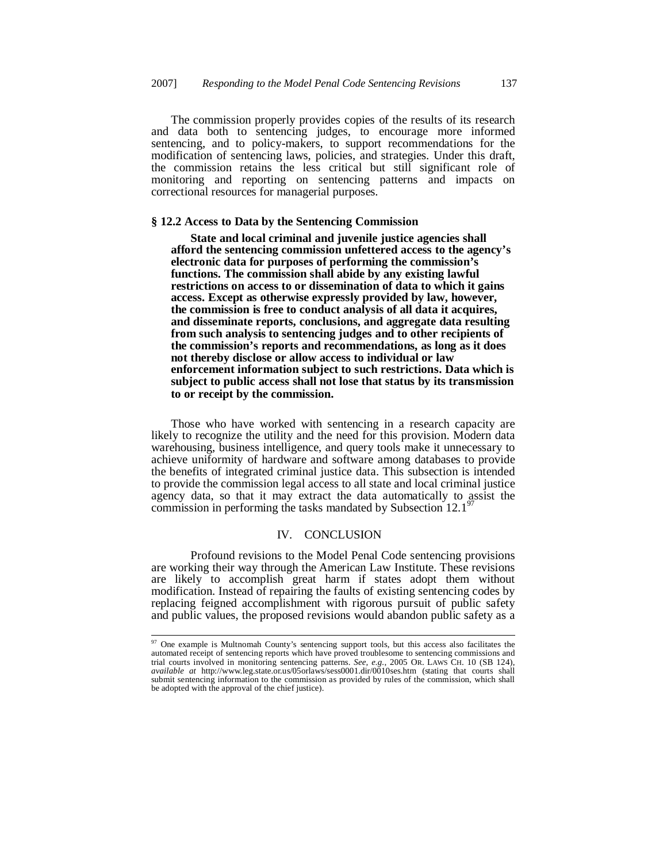The commission properly provides copies of the results of its research and data both to sentencing judges, to encourage more informed sentencing, and to policy-makers, to support recommendations for the modification of sentencing laws, policies, and strategies. Under this draft, the commission retains the less critical but still significant role of monitoring and reporting on sentencing patterns and impacts on correctional resources for managerial purposes.

#### **§ 12.2 Access to Data by the Sentencing Commission**

 **State and local criminal and juvenile justice agencies shall afford the sentencing commission unfettered access to the agency's electronic data for purposes of performing the commission's functions. The commission shall abide by any existing lawful restrictions on access to or dissemination of data to which it gains access. Except as otherwise expressly provided by law, however, the commission is free to conduct analysis of all data it acquires, and disseminate reports, conclusions, and aggregate data resulting from such analysis to sentencing judges and to other recipients of the commission's reports and recommendations, as long as it does not thereby disclose or allow access to individual or law enforcement information subject to such restrictions. Data which is subject to public access shall not lose that status by its transmission to or receipt by the commission.**

Those who have worked with sentencing in a research capacity are likely to recognize the utility and the need for this provision. Modern data warehousing, business intelligence, and query tools make it unnecessary to achieve uniformity of hardware and software among databases to provide the benefits of integrated criminal justice data. This subsection is intended to provide the commission legal access to all state and local criminal justice agency data, so that it may extract the data automatically to assist the commission in performing the tasks mandated by Subsection  $12.1^9$ 

#### IV. CONCLUSION

 Profound revisions to the Model Penal Code sentencing provisions are working their way through the American Law Institute. These revisions are likely to accomplish great harm if states adopt them without modification. Instead of repairing the faults of existing sentencing codes by replacing feigned accomplishment with rigorous pursuit of public safety and public values, the proposed revisions would abandon public safety as a

<sup>&</sup>lt;sup>97</sup> One example is Multnomah County's sentencing support tools, but this access also facilitates the automated receipt of sentencing reports which have proved troublesome to sentencing commissions and trial courts involved in monitoring sentencing patterns. *See, e.g.*, 2005 OR. LAWS CH. 10 (SB 124), *available at* http://www.leg.state.or.us/05orlaws/sess0001.dir/0010ses.htm (stating that courts shall submit sentencing information to the commission as provided by rules of the commission, which shall be adopted with the approval of the chief justice).